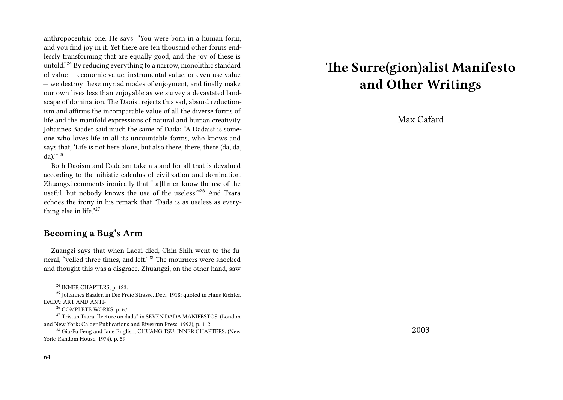anthropocentric one. He says: "You were born in a human form, and you find joy in it. Yet there are ten thousand other forms endlessly transforming that are equally good, and the joy of these is untold."<sup>24</sup> By reducing everything to a narrow, monolithic standard of value — economic value, instrumental value, or even use value — we destroy these myriad modes of enjoyment, and finally make our own lives less than enjoyable as we survey a devastated landscape of domination. The Daoist rejects this sad, absurd reductionism and affirms the incomparable value of all the diverse forms of life and the manifold expressions of natural and human creativity. Johannes Baader said much the same of Dada: "A Dadaist is someone who loves life in all its uncountable forms, who knows and says that, 'Life is not here alone, but also there, there, there (da, da, da).'"<sup>25</sup>

Both Daoism and Dadaism take a stand for all that is devalued according to the nihistic calculus of civilization and domination. Zhuangzi comments ironically that "[a]ll men know the use of the useful, but nobody knows the use of the useless!"<sup>26</sup> And Tzara echoes the irony in his remark that "Dada is as useless as everything else in life."<sup>27</sup>

## **Becoming a Bug's Arm**

Zuangzi says that when Laozi died, Chin Shih went to the funeral, "yelled three times, and left."<sup>28</sup> The mourners were shocked and thought this was a disgrace. Zhuangzi, on the other hand, saw

# **The Surre(gion)alist Manifesto and Other Writings**

Max Cafard

<sup>24</sup> INNER CHAPTERS, p. 123.

<sup>&</sup>lt;sup>25</sup> Johannes Baader, in Die Freie Strasse, Dec., 1918; quoted in Hans Richter, DADA: ART AND ANTI-

<sup>26</sup> COMPLETE WORKS, p. 67.

<sup>&</sup>lt;sup>27</sup> Tristan Tzara, "lecture on dada" in SEVEN DADA MANIFESTOS. (London and New York: Calder Publications and Riverrun Press, 1992), p. 112.

<sup>&</sup>lt;sup>28</sup> Gia-Fu Feng and Jane English, CHUANG TSU: INNER CHAPTERS. (New York: Random House, 1974), p. 59.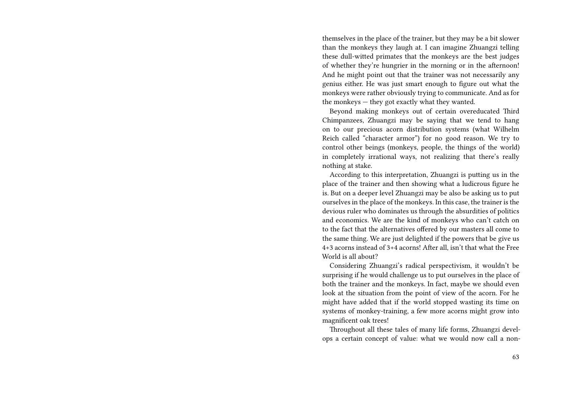themselves in the place of the trainer, but they may be a bit slower than the monkeys they laugh at. I can imagine Zhuangzi telling these dull-witted primates that the monkeys are the best judges of whether they're hungrier in the morning or in the afternoon! And he might point out that the trainer was not necessarily any genius either. He was just smart enough to figure out what the monkeys were rather obviously trying to communicate. And as for the monkeys — they got exactly what they wanted.

Beyond making monkeys out of certain overeducated Third Chimpanzees, Zhuangzi may be saying that we tend to hang on to our precious acorn distribution systems (what Wilhelm Reich called "character armor") for no good reason. We try to control other beings (monkeys, people, the things of the world) in completely irrational ways, not realizing that there's really nothing at stake.

According to this interpretation, Zhuangzi is putting us in the place of the trainer and then showing what a ludicrous figure he is. But on a deeper level Zhuangzi may be also be asking us to put ourselves in the place of the monkeys. In this case, the trainer is the devious ruler who dominates us through the absurdities of politics and economics. We are the kind of monkeys who can't catch on to the fact that the alternatives offered by our masters all come to the same thing. We are just delighted if the powers that be give us 4+3 acorns instead of 3+4 acorns! After all, isn't that what the Free World is all about?

Considering Zhuangzi's radical perspectivism, it wouldn't be surprising if he would challenge us to put ourselves in the place of both the trainer and the monkeys. In fact, maybe we should even look at the situation from the point of view of the acorn. For he might have added that if the world stopped wasting its time on systems of monkey-training, a few more acorns might grow into magnificent oak trees!

Throughout all these tales of many life forms, Zhuangzi develops a certain concept of value: what we would now call a non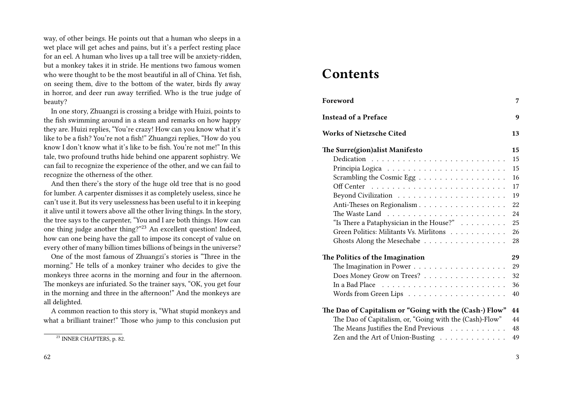way, of other beings. He points out that a human who sleeps in a wet place will get aches and pains, but it's a perfect resting place for an eel. A human who lives up a tall tree will be anxiety-ridden, but a monkey takes it in stride. He mentions two famous women who were thought to be the most beautiful in all of China. Yet fish, on seeing them, dive to the bottom of the water, birds fly away in horror, and deer run away terrified. Who is the true judge of beauty?

In one story, Zhuangzi is crossing a bridge with Huizi, points to the fish swimming around in a steam and remarks on how happy they are. Huizi replies, "You're crazy! How can you know what it's like to be a fish? You're not a fish!" Zhuangzi replies, "How do you know I don't know what it's like to be fish. You're not me!" In this tale, two profound truths hide behind one apparent sophistry. We can fail to recognize the experience of the other, and we can fail to recognize the otherness of the other.

And then there's the story of the huge old tree that is no good for lumber. A carpenter dismisses it as completely useless, since he can't use it. But its very uselessness has been useful to it in keeping it alive until it towers above all the other living things. In the story, the tree says to the carpenter, "You and I are both things. How can one thing judge another thing?"<sup>23</sup> An excellent question! Indeed, how can one being have the gall to impose its concept of value on every other of many billion times billions of beings in the universe?

One of the most famous of Zhuangzi's stories is "Three in the morning." He tells of a monkey trainer who decides to give the monkeys three acorns in the morning and four in the afternoon. The monkeys are infuriated. So the trainer says, "OK, you get four in the morning and three in the afternoon!" And the monkeys are all delighted.

A common reaction to this story is, "What stupid monkeys and what a brilliant trainer!" Those who jump to this conclusion put

## **Contents**

| Foreword                                                          | 7  |
|-------------------------------------------------------------------|----|
| <b>Instead of a Preface</b>                                       | 9  |
| <b>Works of Nietzsche Cited</b>                                   | 13 |
| The Surre(gion)alist Manifesto                                    | 15 |
|                                                                   | 15 |
|                                                                   | 15 |
|                                                                   | 16 |
|                                                                   | 17 |
|                                                                   | 19 |
| Anti-Theses on Regionalism                                        | 22 |
| The Waste Land $\ldots \ldots \ldots \ldots \ldots \ldots \ldots$ | 24 |
| "Is There a Pataphysician in the House?"                          | 25 |
| Green Politics: Militants Vs. Mirlitons                           | 26 |
| Ghosts Along the Mesechabe                                        | 28 |
| The Politics of the Imagination                                   | 29 |
|                                                                   | 29 |
| Does Money Grow on Trees?                                         | 32 |
|                                                                   | 36 |
|                                                                   | 40 |
| The Dao of Capitalism or "Going with the (Cash-) Flow"            | 44 |
| The Dao of Capitalism, or, "Going with the (Cash)-Flow"           | 44 |
| The Means Justifies the End Previous $\ldots \ldots \ldots$       | 48 |
| Zen and the Art of Union-Busting $\ldots \ldots \ldots \ldots$    | 49 |

 $^{23}$  INNER CHAPTERS, p. 82.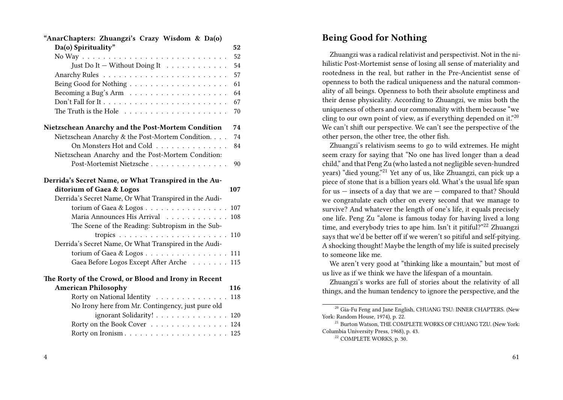| "AnarChapters: Zhuangzi's Crazy Wisdom & Da(o)                         |  |
|------------------------------------------------------------------------|--|
| Da(o) Spirituality"<br>52                                              |  |
| 52                                                                     |  |
| Just Do It - Without Doing It<br>54                                    |  |
| 57                                                                     |  |
| 61                                                                     |  |
| Becoming a Bug's Arm $\ldots \ldots \ldots \ldots \ldots \ldots$<br>64 |  |
| 67                                                                     |  |
| 70                                                                     |  |
| Nietzschean Anarchy and the Post-Mortem Condition<br>74                |  |
| Nietzschean Anarchy & the Post-Mortem Condition.<br>74                 |  |
| On Monsters Hot and Cold<br>84                                         |  |
| Nietzschean Anarchy and the Post-Mortem Condition:                     |  |
| Post-Mortemist Nietzsche<br>90                                         |  |
| Derrida's Secret Name, or What Transpired in the Au-                   |  |
| ditorium of Gaea & Logos<br>107                                        |  |
| Derrida's Secret Name, Or What Transpired in the Audi-                 |  |
| torium of Gaea & Logos<br>107                                          |  |
| Maria Announces His Arrival<br>108                                     |  |
| The Scene of the Reading: Subtropism in the Sub-                       |  |
| 110                                                                    |  |
| Derrida's Secret Name, Or What Transpired in the Audi-                 |  |
| torium of Gaea & Logos<br>111                                          |  |
| Gaea Before Logos Except After Arche<br>115                            |  |
| The Rorty of the Crowd, or Blood and Irony in Recent                   |  |
| <b>American Philosophy</b><br>116                                      |  |
| Rorty on National Identity<br>118                                      |  |
| No Irony here from Mr. Contingency, just pure old                      |  |
| ignorant Solidarity!<br>120                                            |  |
| Rorty on the Book Cover<br>124                                         |  |
|                                                                        |  |
|                                                                        |  |

## **Being Good for Nothing**

Zhuangzi was a radical relativist and perspectivist. Not in the nihilistic Post-Mortemist sense of losing all sense of materiality and rootedness in the real, but rather in the Pre-Ancientist sense of openness to both the radical uniqueness and the natural commonality of all beings. Openness to both their absolute emptiness and their dense physicality. According to Zhuangzi, we miss both the uniqueness of others and our commonality with them because "we cling to our own point of view, as if everything depended on it."20 We can't shift our perspective. We can't see the perspective of the other person, the other tree, the other fish.

Zhuangzi's relativism seems to go to wild extremes. He might seem crazy for saying that "No one has lived longer than a dead child," and that Peng Zu (who lasted a not negligible seven-hundred years) "died young."<sup>21</sup> Yet any of us, like Zhuangzi, can pick up a piece of stone that is a billion years old. What's the usual life span for us  $-$  insects of a day that we are  $-$  compared to that? Should we congratulate each other on every second that we manage to survive? And whatever the length of one's life, it equals precisely one life. Peng Zu "alone is famous today for having lived a long time, and everybody tries to ape him. Isn't it pitiful?"<sup>22</sup> Zhuangzi says that we'd be better off if we weren't so pitiful and self-pitying. A shocking thought! Maybe the length of my life is suited precisely to someone like me.

We aren't very good at "thinking like a mountain," but most of us live as if we think we have the lifespan of a mountain.

Zhuangzi's works are full of stories about the relativity of all things, and the human tendency to ignore the perspective, and the

<sup>&</sup>lt;sup>20</sup> Gia-Fu Feng and Jane English, CHUANG TSU: INNER CHAPTERS. (New York: Random House, 1974), p. 22.

<sup>&</sup>lt;sup>21</sup> Burton Watson, THE COMPLETE WORKS OF CHUANG TZU. (New York: Columbia University Press, 1968), p. 43.

<sup>22</sup> COMPLETE WORKS, p. 30.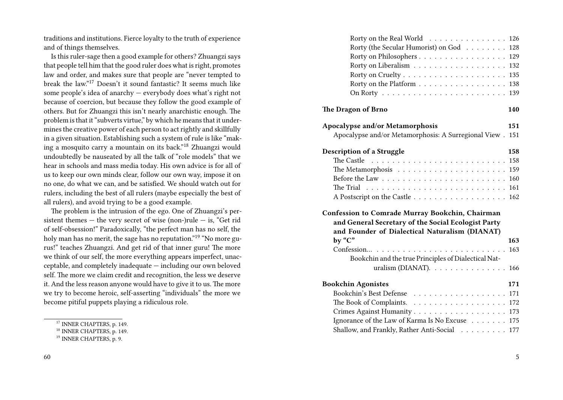traditions and institutions. Fierce loyalty to the truth of experience and of things themselves.

Is this ruler-sage then a good example for others? Zhuangzi says that people tell him that the good ruler does what is right, promotes law and order, and makes sure that people are "never tempted to break the law."<sup>17</sup> Doesn't it sound fantastic? It seems much like some people's idea of anarchy — everybody does what's right not because of coercion, but because they follow the good example of others. But for Zhuangzi this isn't nearly anarchistic enough. The problem is that it "subverts virtue," by which he means that it undermines the creative power of each person to act rightly and skillfully in a given situation. Establishing such a system of rule is like "making a mosquito carry a mountain on its back."<sup>18</sup> Zhuangzi would undoubtedly be nauseated by all the talk of "role models" that we hear in schools and mass media today. His own advice is for all of us to keep our own minds clear, follow our own way, impose it on no one, do what we can, and be satisfied. We should watch out for rulers, including the best of all rulers (maybe especially the best of all rulers), and avoid trying to be a good example.

The problem is the intrusion of the ego. One of Zhuangzi's persistent themes  $-$  the very secret of wise (non-)rule  $-$  is, "Get rid of self-obsession!" Paradoxically, "the perfect man has no self, the holy man has no merit, the sage has no reputation."<sup>19</sup> "No more gurus!" teaches Zhuangzi. And get rid of that inner guru! The more we think of our self, the more everything appears imperfect, unacceptable, and completely inadequate — including our own beloved self. The more we claim credit and recognition, the less we deserve it. And the less reason anyone would have to give it to us. The more we try to become heroic, self-asserting "individuals" the more we become pitiful puppets playing a ridiculous role.

| Rorty on the Real World<br>Rorty (the Secular Humorist) on God<br>Rorty on Philosophers<br>Rorty on the Platform $\ldots \ldots \ldots \ldots \ldots$                                                                                                                           | 126<br>128<br>129<br>132<br>135<br>138<br>139 |
|---------------------------------------------------------------------------------------------------------------------------------------------------------------------------------------------------------------------------------------------------------------------------------|-----------------------------------------------|
| The Dragon of Brno                                                                                                                                                                                                                                                              | 140                                           |
| <b>Apocalypse and/or Metamorphosis</b><br>Apocalypse and/or Metamorphosis: A Surregional View.                                                                                                                                                                                  | 151<br>151                                    |
| Description of a Struggle<br>The Castle<br>The Trial $\ldots \ldots \ldots \ldots \ldots \ldots \ldots \ldots$                                                                                                                                                                  | 158<br>158<br>159<br>160<br>161<br>162        |
| <b>Confession to Comrade Murray Bookchin, Chairman</b><br>and General Secretary of the Social Ecologist Party<br>and Founder of Dialectical Naturalism (DIANAT)<br>by "C"<br>$Confession$<br>.<br>Bookchin and the true Principles of Dialectical Nat-<br>uralism ( $DIANAT$ ). | 163<br>163<br>166                             |
| <b>Bookchin Agonistes</b><br>Crimes Against Humanity 173<br>Ignorance of the Law of Karma Is No Excuse 175<br>Shallow, and Frankly, Rather Anti-Social                                                                                                                          | 171<br>171<br>177                             |

<sup>&</sup>lt;sup>17</sup> INNER CHAPTERS, p. 149.

<sup>&</sup>lt;sup>18</sup> INNER CHAPTERS, p. 149.

<sup>&</sup>lt;sup>19</sup> INNER CHAPTERS, p. 9.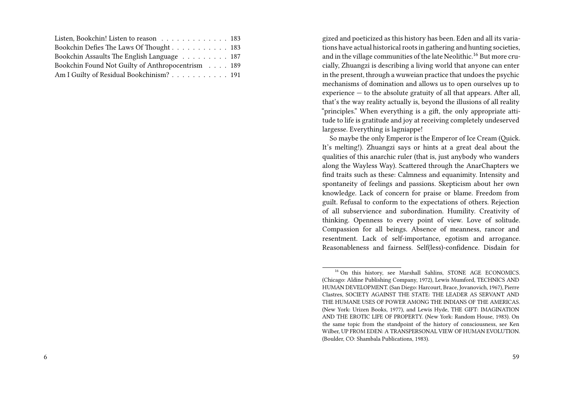| Listen, Bookchin! Listen to reason 183            |
|---------------------------------------------------|
| Bookchin Defies The Laws Of Thought 183           |
| Bookchin Assaults The English Language 187        |
| Bookchin Found Not Guilty of Anthropocentrism 189 |
| Am I Guilty of Residual Bookchinism? 191          |

gized and poeticized as this history has been. Eden and all its variations have actual historical roots in gathering and hunting societies, and in the village communities of the late Neolithic.<sup>16</sup> But more crucially, Zhuangzi is describing a living world that anyone can enter in the present, through a wuweian practice that undoes the psychic mechanisms of domination and allows us to open ourselves up to experience — to the absolute gratuity of all that appears. After all, that's the way reality actually is, beyond the illusions of all reality "principles." When everything is a gift, the only appropriate attitude to life is gratitude and joy at receiving completely undeserved largesse. Everything is lagniappe!

So maybe the only Emperor is the Emperor of Ice Cream (Quick. It's melting!). Zhuangzi says or hints at a great deal about the qualities of this anarchic ruler (that is, just anybody who wanders along the Wayless Way). Scattered through the AnarChapters we find traits such as these: Calmness and equanimity. Intensity and spontaneity of feelings and passions. Skepticism about her own knowledge. Lack of concern for praise or blame. Freedom from guilt. Refusal to conform to the expectations of others. Rejection of all subservience and subordination. Humility. Creativity of thinking. Openness to every point of view. Love of solitude. Compassion for all beings. Absence of meanness, rancor and resentment. Lack of self-importance, egotism and arrogance. Reasonableness and fairness. Self(less)-confidence. Disdain for

<sup>&</sup>lt;sup>16</sup> On this history, see Marshall Sahlins, STONE AGE ECONOMICS. (Chicago: Aldine Publishing Company, 1972), Lewis Mumford, TECHNICS AND HUMAN DEVELOPMENT. (San Diego: Harcourt, Brace, Jovanovich, 1967), Pierre Clastres, SOCIETY AGAINST THE STATE: THE LEADER AS SERVANT AND THE HUMANE USES OF POWER AMONG THE INDIANS OF THE AMERICAS. (New York: Urizen Books, 1977), and Lewis Hyde, THE GIFT: IMAGINATION AND THE EROTIC LIFE OF PROPERTY. (New York: Random House, 1983). On the same topic from the standpoint of the history of consciousness, see Ken Wilber, UP FROM EDEN: A TRANSPERSONAL VIEW OF HUMAN EVOLUTION. (Boulder, CO: Shambala Publications, 1983).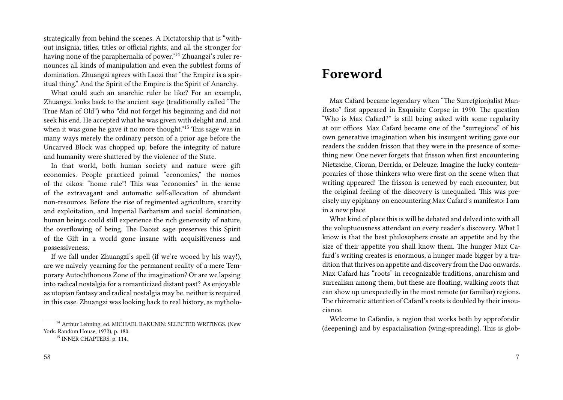strategically from behind the scenes. A Dictatorship that is "without insignia, titles, titles or official rights, and all the stronger for having none of the paraphernalia of power.<sup>"14</sup> Zhuangzi's ruler renounces all kinds of manipulation and even the subtlest forms of domination. Zhuangzi agrees with Laozi that "the Empire is a spiritual thing." And the Spirit of the Empire is the Spirit of Anarchy.

What could such an anarchic ruler be like? For an example, Zhuangzi looks back to the ancient sage (traditionally called "The True Man of Old") who "did not forget his beginning and did not seek his end. He accepted what he was given with delight and, and when it was gone he gave it no more thought.<sup>"15</sup> This sage was in many ways merely the ordinary person of a prior age before the Uncarved Block was chopped up, before the integrity of nature and humanity were shattered by the violence of the State.

In that world, both human society and nature were gift economies. People practiced primal "economics," the nomos of the oikos: "home rule"! This was "economics" in the sense of the extravagant and automatic self-allocation of abundant non-resources. Before the rise of regimented agriculture, scarcity and exploitation, and Imperial Barbarism and social domination, human beings could still experience the rich generosity of nature, the overflowing of being. The Daoist sage preserves this Spirit of the Gift in a world gone insane with acquisitiveness and possessiveness.

If we fall under Zhuangzi's spell (if we're wooed by his way!), are we naively yearning for the permanent reality of a mere Temporary Autochthonous Zone of the imagination? Or are we lapsing into radical nostalgia for a romanticized distant past? As enjoyable as utopian fantasy and radical nostalgia may be, neither is required in this case. Zhuangzi was looking back to real history, as mytholo-

## **Foreword**

Max Cafard became legendary when "The Surre(gion)alist Manifesto" first appeared in Exquisite Corpse in 1990. The question "Who is Max Cafard?" is still being asked with some regularity at our offices. Max Cafard became one of the "surregions" of his own generative imagination when his insurgent writing gave our readers the sudden frisson that they were in the presence of something new. One never forgets that frisson when first encountering Nietzsche, Cioran, Derrida, or Deleuze. Imagine the lucky contemporaries of those thinkers who were first on the scene when that writing appeared! The frisson is renewed by each encounter, but the original feeling of the discovery is unequalled. This was precisely my epiphany on encountering Max Cafard's manifesto: I am in a new place.

What kind of place this is will be debated and delved into with all the voluptuousness attendant on every reader's discovery. What I know is that the best philosophers create an appetite and by the size of their appetite you shall know them. The hunger Max Cafard's writing creates is enormous, a hunger made bigger by a tradition that thrives on appetite and discovery from the Dao onwards. Max Cafard has "roots" in recognizable traditions, anarchism and surrealism among them, but these are floating, walking roots that can show up unexpectedly in the most remote (or familiar) regions. The rhizomatic attention of Cafard's roots is doubled by their insouciance.

Welcome to Cafardia, a region that works both by approfondir (deepening) and by espacialisation (wing-spreading). This is glob-

<sup>&</sup>lt;sup>14</sup> Arthur Lehning, ed. MICHAEL BAKUNIN: SELECTED WRITINGS. (New York: Random House, 1972), p. 180.

<sup>&</sup>lt;sup>15</sup> INNER CHAPTERS, p. 114.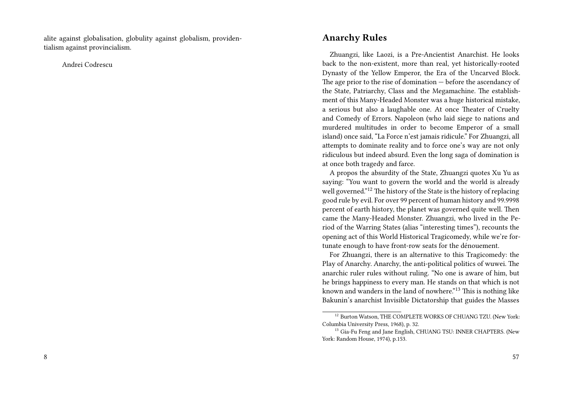alite against globalisation, globulity against globalism, providentialism against provincialism.

Andrei Codrescu

#### **Anarchy Rules**

Zhuangzi, like Laozi, is a Pre-Ancientist Anarchist. He looks back to the non-existent, more than real, yet historically-rooted Dynasty of the Yellow Emperor, the Era of the Uncarved Block. The age prior to the rise of domination — before the ascendancy of the State, Patriarchy, Class and the Megamachine. The establishment of this Many-Headed Monster was a huge historical mistake, a serious but also a laughable one. At once Theater of Cruelty and Comedy of Errors. Napoleon (who laid siege to nations and murdered multitudes in order to become Emperor of a small island) once said, "La Force n'est jamais ridicule." For Zhuangzi, all attempts to dominate reality and to force one's way are not only ridiculous but indeed absurd. Even the long saga of domination is at once both tragedy and farce.

A propos the absurdity of the State, Zhuangzi quotes Xu Yu as saying: "You want to govern the world and the world is already well governed."<sup>12</sup> The history of the State is the history of replacing good rule by evil. For over 99 percent of human history and 99.9998 percent of earth history, the planet was governed quite well. Then came the Many-Headed Monster. Zhuangzi, who lived in the Period of the Warring States (alias "interesting times"), recounts the opening act of this World Historical Tragicomedy, while we're fortunate enough to have front-row seats for the dénouement.

For Zhuangzi, there is an alternative to this Tragicomedy: the Play of Anarchy. Anarchy, the anti-political politics of wuwei. The anarchic ruler rules without ruling. "No one is aware of him, but he brings happiness to every man. He stands on that which is not known and wanders in the land of nowhere."<sup>13</sup> This is nothing like Bakunin's anarchist Invisible Dictatorship that guides the Masses

<sup>&</sup>lt;sup>12</sup> Burton Watson, THE COMPLETE WORKS OF CHUANG TZU. (New York: Columbia University Press, 1968), p. 32.

<sup>&</sup>lt;sup>13</sup> Gia-Fu Feng and Jane English, CHUANG TSU: INNER CHAPTERS. (New York: Random House, 1974), p.153.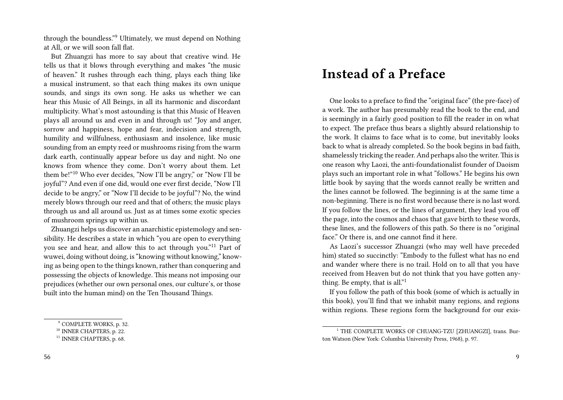through the boundless."<sup>9</sup> Ultimately, we must depend on Nothing at All, or we will soon fall flat.

But Zhuangzi has more to say about that creative wind. He tells us that it blows through everything and makes "the music of heaven." It rushes through each thing, plays each thing like a musical instrument, so that each thing makes its own unique sounds, and sings its own song. He asks us whether we can hear this Music of All Beings, in all its harmonic and discordant multiplicity. What's most astounding is that this Music of Heaven plays all around us and even in and through us! "Joy and anger, sorrow and happiness, hope and fear, indecision and strength, humility and willfulness, enthusiasm and insolence, like music sounding from an empty reed or mushrooms rising from the warm dark earth, continually appear before us day and night. No one knows from whence they come. Don't worry about them. Let them be!"<sup>10</sup> Who ever decides, "Now I'll be angry," or "Now I'll be joyful"? And even if one did, would one ever first decide, "Now I'll decide to be angry," or "Now I'll decide to be joyful"? No, the wind merely blows through our reed and that of others; the music plays through us and all around us. Just as at times some exotic species of mushroom springs up within us.

Zhuangzi helps us discover an anarchistic epistemology and sensibility. He describes a state in which "you are open to everything you see and hear, and allow this to act through you."<sup>11</sup> Part of wuwei, doing without doing, is "knowing without knowing," knowing as being open to the things known, rather than conquering and possessing the objects of knowledge. This means not imposing our prejudices (whether our own personal ones, our culture's, or those built into the human mind) on the Ten Thousand Things.

## **Instead of a Preface**

One looks to a preface to find the "original face" (the pre-face) of a work. The author has presumably read the book to the end, and is seemingly in a fairly good position to fill the reader in on what to expect. The preface thus bears a slightly absurd relationship to the work. It claims to face what is to come, but inevitably looks back to what is already completed. So the book begins in bad faith, shamelessly tricking the reader. And perhaps also the writer. This is one reason why Laozi, the anti-foundationalist founder of Daoism plays such an important role in what "follows." He begins his own little book by saying that the words cannot really be written and the lines cannot be followed. The beginning is at the same time a non-beginning. There is no first word because there is no last word. If you follow the lines, or the lines of argument, they lead you off the page, into the cosmos and chaos that gave birth to these words, these lines, and the followers of this path. So there is no "original face." Or there is, and one cannot find it here.

As Laozi's successor Zhuangzi (who may well have preceded him) stated so succinctly: "Embody to the fullest what has no end and wander where there is no trail. Hold on to all that you have received from Heaven but do not think that you have gotten anything. Be empty, that is all."<sup>1</sup>

If you follow the path of this book (some of which is actually in this book), you'll find that we inhabit many regions, and regions within regions. These regions form the background for our exis-

<sup>9</sup> COMPLETE WORKS, p. 32.

<sup>&</sup>lt;sup>10</sup> INNER CHAPTERS, p. 22.

<sup>&</sup>lt;sup>11</sup> INNER CHAPTERS, p. 68.

<sup>&</sup>lt;sup>1</sup> THE COMPLETE WORKS OF CHUANG-TZU [ZHUANGZI], trans. Burton Watson (New York: Columbia University Press, 1968), p. 97.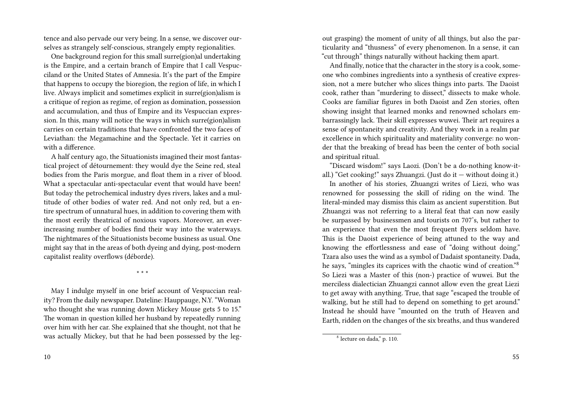tence and also pervade our very being. In a sense, we discover ourselves as strangely self-conscious, strangely empty regionalities.

One background region for this small surre(gion)al undertaking is the Empire, and a certain branch of Empire that I call Vespucciland or the United States of Amnesia. It's the part of the Empire that happens to occupy the bioregion, the region of life, in which I live. Always implicit and sometimes explicit in surre(gion)alism is a critique of region as regime, of region as domination, possession and accumulation, and thus of Empire and its Vespuccian expression. In this, many will notice the ways in which surre(gion)alism carries on certain traditions that have confronted the two faces of Leviathan: the Megamachine and the Spectacle. Yet it carries on with a difference.

A half century ago, the Situationists imagined their most fantastical project of détournement: they would dye the Seine red, steal bodies from the Paris morgue, and float them in a river of blood. What a spectacular anti-spectacular event that would have been! But today the petrochemical industry dyes rivers, lakes and a multitude of other bodies of water red. And not only red, but a entire spectrum of unnatural hues, in addition to covering them with the most eerily theatrical of noxious vapors. Moreover, an everincreasing number of bodies find their way into the waterways. The nightmares of the Situationists become business as usual. One might say that in the areas of both dyeing and dying, post-modern capitalist reality overflows (déborde).

\* \* \*

May I indulge myself in one brief account of Vespuccian reality? From the daily newspaper. Dateline: Hauppauge, N.Y. "Woman who thought she was running down Mickey Mouse gets 5 to 15." The woman in question killed her husband by repeatedly running over him with her car. She explained that she thought, not that he was actually Mickey, but that he had been possessed by the leg-

out grasping) the moment of unity of all things, but also the particularity and "thusness" of every phenomenon. In a sense, it can "cut through" things naturally without hacking them apart.

And finally, notice that the character in the story is a cook, someone who combines ingredients into a synthesis of creative expression, not a mere butcher who slices things into parts. The Daoist cook, rather than "murdering to dissect," dissects to make whole. Cooks are familiar figures in both Daoist and Zen stories, often showing insight that learned monks and renowned scholars embarrassingly lack. Their skill expresses wuwei. Their art requires a sense of spontaneity and creativity. And they work in a realm par excellence in which spirituality and materiality converge: no wonder that the breaking of bread has been the center of both social and spiritual ritual.

"Discard wisdom!" says Laozi. (Don't be a do-nothing know-itall.) "Get cooking!" says Zhuangzi. (Just do it  $-$  without doing it.)

In another of his stories, Zhuangzi writes of Liezi, who was renowned for possessing the skill of riding on the wind. The literal-minded may dismiss this claim as ancient superstition. But Zhuangzi was not referring to a literal feat that can now easily be surpassed by businessmen and tourists on 707's, but rather to an experience that even the most frequent flyers seldom have. This is the Daoist experience of being attuned to the way and knowing the effortlessness and ease of "doing without doing." Tzara also uses the wind as a symbol of Dadaist spontaneity. Dada, he says, "mingles its caprices with the chaotic wind of creation."<sup>8</sup> So Liezi was a Master of this (non-) practice of wuwei. But the merciless dialectician Zhuangzi cannot allow even the great Liezi to get away with anything. True, that sage "escaped the trouble of walking, but he still had to depend on something to get around." Instead he should have "mounted on the truth of Heaven and Earth, ridden on the changes of the six breaths, and thus wandered

<sup>8</sup> lecture on dada," p. 110.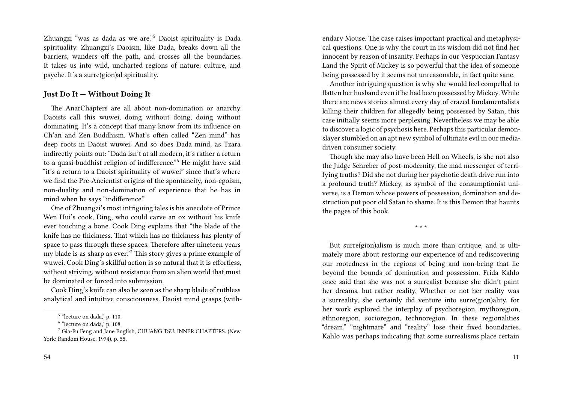Zhuangzi "was as dada as we are."<sup>5</sup> Daoist spirituality is Dada spirituality. Zhuangzi's Daoism, like Dada, breaks down all the barriers, wanders off the path, and crosses all the boundaries. It takes us into wild, uncharted regions of nature, culture, and psyche. It's a surre(gion)al spirituality.

#### **Just Do It — Without Doing It**

The AnarChapters are all about non-domination or anarchy. Daoists call this wuwei, doing without doing, doing without dominating. It's a concept that many know from its influence on Ch'an and Zen Buddhism. What's often called "Zen mind" has deep roots in Daoist wuwei. And so does Dada mind, as Tzara indirectly points out: "Dada isn't at all modern, it's rather a return to a quasi-buddhist religion of indifference."<sup>6</sup> He might have said "it's a return to a Daoist spirituality of wuwei" since that's where we find the Pre-Ancientist origins of the spontaneity, non-egoism, non-duality and non-domination of experience that he has in mind when he says "indifference."

One of Zhuangzi's most intriguing tales is his anecdote of Prince Wen Hui's cook, Ding, who could carve an ox without his knife ever touching a bone. Cook Ding explains that "the blade of the knife has no thickness. That which has no thickness has plenty of space to pass through these spaces. Therefore after nineteen years my blade is as sharp as ever."<sup>7</sup> This story gives a prime example of wuwei. Cook Ding's skillful action is so natural that it is effortless, without striving, without resistance from an alien world that must be dominated or forced into submission.

Cook Ding's knife can also be seen as the sharp blade of ruthless analytical and intuitive consciousness. Daoist mind grasps (withendary Mouse. The case raises important practical and metaphysical questions. One is why the court in its wisdom did not find her innocent by reason of insanity. Perhaps in our Vespuccian Fantasy Land the Spirit of Mickey is so powerful that the idea of someone being possessed by it seems not unreasonable, in fact quite sane.

Another intriguing question is why she would feel compelled to flatten her husband even if he had been possessed by Mickey. While there are news stories almost every day of crazed fundamentalists killing their children for allegedly being possessed by Satan, this case initially seems more perplexing. Nevertheless we may be able to discover a logic of psychosis here. Perhaps this particular demonslayer stumbled on an apt new symbol of ultimate evil in our mediadriven consumer society.

Though she may also have been Hell on Wheels, is she not also the Judge Schreber of post-modernity, the mad messenger of terrifying truths? Did she not during her psychotic death drive run into a profound truth? Mickey, as symbol of the consumptionist universe, is a Demon whose powers of possession, domination and destruction put poor old Satan to shame. It is this Demon that haunts the pages of this book.

\* \* \*

But surre(gion)alism is much more than critique, and is ultimately more about restoring our experience of and rediscovering our rootedness in the regions of being and non-being that lie beyond the bounds of domination and possession. Frida Kahlo once said that she was not a surrealist because she didn't paint her dreams, but rather reality. Whether or not her reality was a surreality, she certainly did venture into surre(gion)ality, for her work explored the interplay of psychoregion, mythoregion, ethnoregion, socioregion, technoregion. In these regionalities "dream," "nightmare" and "reality" lose their fixed boundaries. Kahlo was perhaps indicating that some surrealisms place certain

<sup>&</sup>lt;sup>5</sup> "lecture on dada," p. 110.

<sup>6</sup> "lecture on dada," p. 108.

<sup>7</sup> Gia-Fu Feng and Jane English, CHUANG TSU: INNER CHAPTERS. (New York: Random House, 1974), p. 55.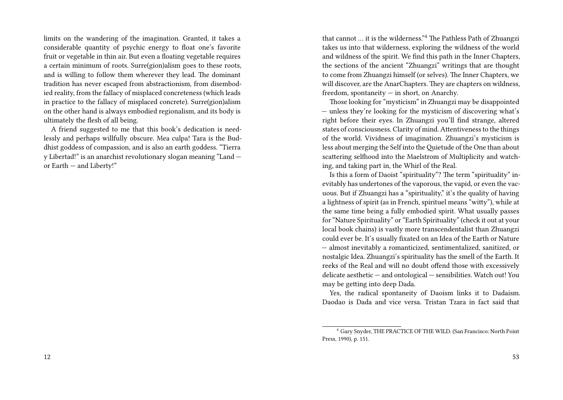limits on the wandering of the imagination. Granted, it takes a considerable quantity of psychic energy to float one's favorite fruit or vegetable in thin air. But even a floating vegetable requires a certain minimum of roots. Surre(gion)alism goes to these roots, and is willing to follow them wherever they lead. The dominant tradition has never escaped from abstractionism, from disembodied reality, from the fallacy of misplaced concreteness (which leads in practice to the fallacy of misplaced concrete). Surre(gion)alism on the other hand is always embodied regionalism, and its body is ultimately the flesh of all being.

A friend suggested to me that this book's dedication is needlessly and perhaps willfully obscure. Mea culpa! Tara is the Buddhist goddess of compassion, and is also an earth goddess. "Tierra y Libertad!" is an anarchist revolutionary slogan meaning "Land or Earth — and Liberty!"

that cannot … it is the wilderness."<sup>4</sup> The Pathless Path of Zhuangzi takes us into that wilderness, exploring the wildness of the world and wildness of the spirit. We find this path in the Inner Chapters, the sections of the ancient "Zhuangzi" writings that are thought to come from Zhuangzi himself (or selves). The Inner Chapters, we will discover, are the AnarChapters. They are chapters on wildness, freedom, spontaneity — in short, on Anarchy.

Those looking for "mysticism" in Zhuangzi may be disappointed — unless they're looking for the mysticism of discovering what's right before their eyes. In Zhuangzi you'll find strange, altered states of consciousness. Clarity of mind. Attentiveness to the things of the world. Vividness of imagination. Zhuangzi's mysticism is less about merging the Self into the Quietude of the One than about scattering selfhood into the Maelstrom of Multiplicity and watching, and taking part in, the Whirl of the Real.

Is this a form of Daoist "spirituality"? The term "spirituality" inevitably has undertones of the vaporous, the vapid, or even the vacuous. But if Zhuangzi has a "spirituality," it's the quality of having a lightness of spirit (as in French, spirituel means "witty"), while at the same time being a fully embodied spirit. What usually passes for "Nature Spirituality" or "Earth Spirituality" (check it out at your local book chains) is vastly more transcendentalist than Zhuangzi could ever be. It's usually fixated on an Idea of the Earth or Nature — almost inevitably a romanticized, sentimentalized, sanitized, or nostalgic Idea. Zhuangzi's spirituality has the smell of the Earth. It reeks of the Real and will no doubt offend those with excessively delicate aesthetic — and ontological — sensibilities. Watch out! You may be getting into deep Dada.

Yes, the radical spontaneity of Daoism links it to Dadaism. Daodao is Dada and vice versa. Tristan Tzara in fact said that

<sup>4</sup> Gary Snyder, THE PRACTICE OF THE WILD. (San Francisco: North Point Press, 1990), p. 151.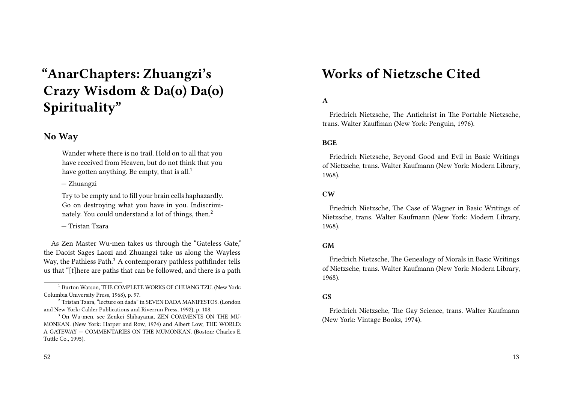# **"AnarChapters: Zhuangzi's Crazy Wisdom & Da(o) Da(o) Spirituality"**

## **No Way**

Wander where there is no trail. Hold on to all that you have received from Heaven, but do not think that you have gotten anything. Be empty, that is all.<sup>1</sup>

— Zhuangzi

Try to be empty and to fill your brain cells haphazardly. Go on destroying what you have in you. Indiscriminately. You could understand a lot of things, then.<sup>2</sup>

— Tristan Tzara

As Zen Master Wu-men takes us through the "Gateless Gate," the Daoist Sages Laozi and Zhuangzi take us along the Wayless Way, the Pathless Path.<sup>3</sup> A contemporary pathless pathfinder tells us that "[t]here are paths that can be followed, and there is a path

## **Works of Nietzsche Cited**

### **A**

Friedrich Nietzsche, The Antichrist in The Portable Nietzsche, trans. Walter Kauffman (New York: Penguin, 1976).

#### **BGE**

Friedrich Nietzsche, Beyond Good and Evil in Basic Writings of Nietzsche, trans. Walter Kaufmann (New York: Modern Library, 1968).

#### **CW**

Friedrich Nietzsche, The Case of Wagner in Basic Writings of Nietzsche, trans. Walter Kaufmann (New York: Modern Library, 1968).

#### **GM**

Friedrich Nietzsche, The Genealogy of Morals in Basic Writings of Nietzsche, trans. Walter Kaufmann (New York: Modern Library, 1968).

#### **GS**

Friedrich Nietzsche, The Gay Science, trans. Walter Kaufmann (New York: Vintage Books, 1974).

<sup>&</sup>lt;sup>1</sup> Burton Watson, THE COMPLETE WORKS OF CHUANG TZU. (New York: Columbia University Press, 1968), p. 97.

<sup>2</sup> Tristan Tzara, "lecture on dada" in SEVEN DADA MANIFESTOS. (London and New York: Calder Publications and Riverrun Press, 1992), p. 108.

<sup>3</sup> On Wu-men, see Zenkei Shibayama, ZEN COMMENTS ON THE MU-MONKAN. (New York: Harper and Row, 1974) and Albert Low, THE WORLD: A GATEWAY — COMMENTARIES ON THE MUMONKAN. (Boston: Charles E. Tuttle Co., 1995).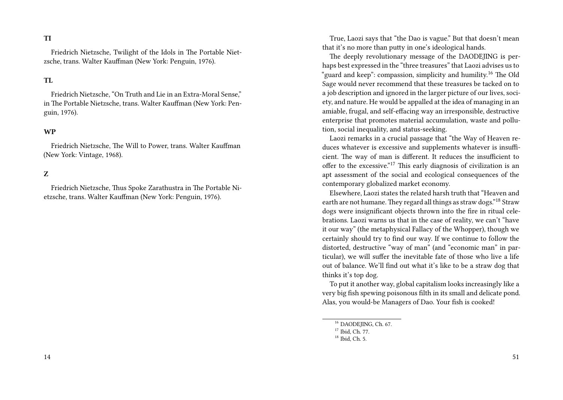#### **TI**

Friedrich Nietzsche, Twilight of the Idols in The Portable Nietzsche, trans. Walter Kauffman (New York: Penguin, 1976).

#### **TL**

Friedrich Nietzsche, "On Truth and Lie in an Extra-Moral Sense," in The Portable Nietzsche, trans. Walter Kauffman (New York: Penguin, 1976).

#### **WP**

Friedrich Nietzsche, The Will to Power, trans. Walter Kauffman (New York: Vintage, 1968).

#### **Z**

Friedrich Nietzsche, Thus Spoke Zarathustra in The Portable Nietzsche, trans. Walter Kauffman (New York: Penguin, 1976).

True, Laozi says that "the Dao is vague." But that doesn't mean that it's no more than putty in one's ideological hands.

The deeply revolutionary message of the DAODEJING is perhaps best expressed in the "three treasures" that Laozi advises us to "guard and keep": compassion, simplicity and humility.<sup>16</sup> The Old Sage would never recommend that these treasures be tacked on to a job description and ignored in the larger picture of our lives, society, and nature. He would be appalled at the idea of managing in an amiable, frugal, and self-effacing way an irresponsible, destructive enterprise that promotes material accumulation, waste and pollution, social inequality, and status-seeking.

Laozi remarks in a crucial passage that "the Way of Heaven reduces whatever is excessive and supplements whatever is insufficient. The way of man is different. It reduces the insufficient to offer to the excessive."<sup>17</sup> This early diagnosis of civilization is an apt assessment of the social and ecological consequences of the contemporary globalized market economy.

Elsewhere, Laozi states the related harsh truth that "Heaven and earth are not humane. They regard all things as straw dogs."<sup>18</sup> Straw dogs were insignificant objects thrown into the fire in ritual celebrations. Laozi warns us that in the case of reality, we can't "have it our way" (the metaphysical Fallacy of the Whopper), though we certainly should try to find our way. If we continue to follow the distorted, destructive "way of man" (and "economic man" in particular), we will suffer the inevitable fate of those who live a life out of balance. We'll find out what it's like to be a straw dog that thinks it's top dog.

To put it another way, global capitalism looks increasingly like a very big fish spewing poisonous filth in its small and delicate pond. Alas, you would-be Managers of Dao. Your fish is cooked!

 $16$  DAODEIING, Ch. 67.

<sup>17</sup> Ibid, Ch. 77.

 $18$  Ibid, Ch. 5.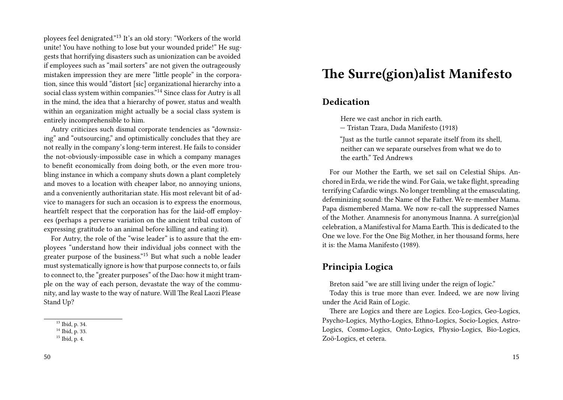ployees feel denigrated."<sup>13</sup> It's an old story: "Workers of the world unite! You have nothing to lose but your wounded pride!" He suggests that horrifying disasters such as unionization can be avoided if employees such as "mail sorters" are not given the outrageously mistaken impression they are mere "little people" in the corporation, since this would "distort [sic] organizational hierarchy into a social class system within companies."<sup>14</sup> Since class for Autry is all in the mind, the idea that a hierarchy of power, status and wealth within an organization might actually be a social class system is entirely incomprehensible to him.

Autry criticizes such dismal corporate tendencies as "downsizing" and "outsourcing," and optimistically concludes that they are not really in the company's long-term interest. He fails to consider the not-obviously-impossible case in which a company manages to benefit economically from doing both, or the even more troubling instance in which a company shuts down a plant completely and moves to a location with cheaper labor, no annoying unions, and a conveniently authoritarian state. His most relevant bit of advice to managers for such an occasion is to express the enormous, heartfelt respect that the corporation has for the laid-off employees (perhaps a perverse variation on the ancient tribal custom of expressing gratitude to an animal before killing and eating it).

For Autry, the role of the "wise leader" is to assure that the employees "understand how their individual jobs connect with the greater purpose of the business."<sup>15</sup> But what such a noble leader must systematically ignore is how that purpose connects to, or fails to connect to, the "greater purposes" of the Dao: how it might trample on the way of each person, devastate the way of the community, and lay waste to the way of nature. Will The Real Laozi Please Stand Up?

## **The Surre(gion)alist Manifesto**

## **Dedication**

Here we cast anchor in rich earth.

— Tristan Tzara, Dada Manifesto (1918)

"Just as the turtle cannot separate itself from its shell, neither can we separate ourselves from what we do to the earth." Ted Andrews

For our Mother the Earth, we set sail on Celestial Ships. Anchored in Erda, we ride the wind. For Gaia, we take flight, spreading terrifying Cafardic wings. No longer trembling at the emasculating, defeminizing sound: the Name of the Father. We re-member Mama. Papa dismembered Mama. We now re-call the suppressed Names of the Mother. Anamnesis for anonymous Inanna. A surre(gion)al celebration, a Manifestival for Mama Earth. This is dedicated to the One we love. For the One Big Mother, in her thousand forms, here it is: the Mama Manifesto (1989).

## **Principia Logica**

Breton said "we are still living under the reign of logic."

Today this is true more than ever. Indeed, we are now living under the Acid Rain of Logic.

There are Logics and there are Logics. Eco-Logics, Geo-Logics, Psycho-Logics, Mytho-Logics, Ethno-Logics, Socio-Logics, Astro-Logics, Cosmo-Logics, Onto-Logics, Physio-Logics, Bio-Logics, Zoö-Logics, et cetera.

 $\overline{^{13}}$  Ibid, p. 34.

 $14$  Ibid, p. 33.

 $15$  Ibid, p. 4.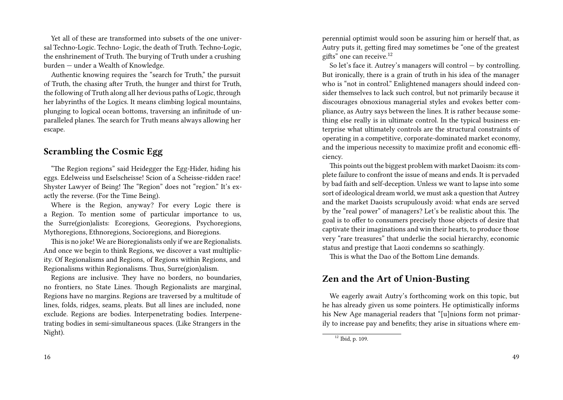Yet all of these are transformed into subsets of the one universal Techno-Logic. Techno- Logic, the death of Truth. Techno-Logic, the enshrinement of Truth. The burying of Truth under a crushing burden — under a Wealth of Knowledge.

Authentic knowing requires the "search for Truth," the pursuit of Truth, the chasing after Truth, the hunger and thirst for Truth, the following of Truth along all her devious paths of Logic, through her labyrinths of the Logics. It means climbing logical mountains, plunging to logical ocean bottoms, traversing an infinitude of unparalleled planes. The search for Truth means always allowing her escape.

## **Scrambling the Cosmic Egg**

"The Region regions" said Heidegger the Egg-Hider, hiding his eggs. Edelweiss und Eselscheisse! Scion of a Scheisse-ridden race! Shyster Lawyer of Being! The "Region" does not "region." It's exactly the reverse. (For the Time Being).

Where is the Region, anyway? For every Logic there is a Region. To mention some of particular importance to us, the Surre(gion)alists: Ecoregions, Georegions, Psychoregions, Mythoregions, Ethnoregions, Socioregions, and Bioregions.

This is no joke! We are Bioregionalists only if we are Regionalists. And once we begin to think Regions, we discover a vast multiplicity. Of Regionalisms and Regions, of Regions within Regions, and Regionalisms within Regionalisms. Thus, Surre(gion)alism.

Regions are inclusive. They have no borders, no boundaries, no frontiers, no State Lines. Though Regionalists are marginal, Regions have no margins. Regions are traversed by a multitude of lines, folds, ridges, seams, pleats. But all lines are included, none exclude. Regions are bodies. Interpenetrating bodies. Interpenetrating bodies in semi-simultaneous spaces. (Like Strangers in the Night).

perennial optimist would soon be assuring him or herself that, as Autry puts it, getting fired may sometimes be "one of the greatest gifts" one can receive.<sup>12</sup>

So let's face it. Autrey's managers will control — by controlling. But ironically, there is a grain of truth in his idea of the manager who is "not in control." Enlightened managers should indeed consider themselves to lack such control, but not primarily because it discourages obnoxious managerial styles and evokes better compliance, as Autry says between the lines. It is rather because something else really is in ultimate control. In the typical business enterprise what ultimately controls are the structural constraints of operating in a competitive, corporate-dominated market economy, and the imperious necessity to maximize profit and economic efficiency.

This points out the biggest problem with market Daoism: its complete failure to confront the issue of means and ends. It is pervaded by bad faith and self-deception. Unless we want to lapse into some sort of ideological dream world, we must ask a question that Autrey and the market Daoists scrupulously avoid: what ends are served by the "real power" of managers? Let's be realistic about this. The goal is to offer to consumers precisely those objects of desire that captivate their imaginations and win their hearts, to produce those very "rare treasures" that underlie the social hierarchy, economic status and prestige that Laozi condemns so scathingly.

This is what the Dao of the Bottom Line demands.

#### **Zen and the Art of Union-Busting**

We eagerly await Autry's forthcoming work on this topic, but he has already given us some pointers. He optimistically informs his New Age managerial readers that "[u]nions form not primarily to increase pay and benefits; they arise in situations where em-

 $12$  Ibid, p. 109.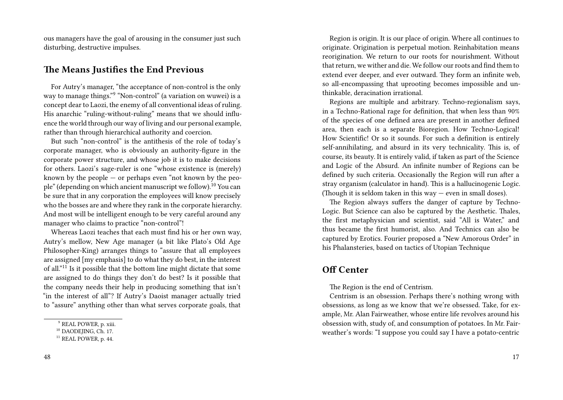ous managers have the goal of arousing in the consumer just such disturbing, destructive impulses.

### **The Means Justifies the End Previous**

For Autry's manager, "the acceptance of non-control is the only way to manage things."<sup>9</sup> "Non-control" (a variation on wuwei) is a concept dear to Laozi, the enemy of all conventional ideas of ruling. His anarchic "ruling-without-ruling" means that we should influence the world through our way of living and our personal example, rather than through hierarchical authority and coercion.

But such "non-control" is the antithesis of the role of today's corporate manager, who is obviously an authority-figure in the corporate power structure, and whose job it is to make decisions for others. Laozi's sage-ruler is one "whose existence is (merely) known by the people — or perhaps even "not known by the people" (depending on which ancient manuscript we follow).<sup>10</sup> You can be sure that in any corporation the employees will know precisely who the bosses are and where they rank in the corporate hierarchy. And most will be intelligent enough to be very careful around any manager who claims to practice "non-control"!

Whereas Laozi teaches that each must find his or her own way, Autry's mellow, New Age manager (a bit like Plato's Old Age Philosopher-King) arranges things to "assure that all employees are assigned [my emphasis] to do what they do best, in the interest of all."<sup>11</sup> Is it possible that the bottom line might dictate that some are assigned to do things they don't do best? Is it possible that the company needs their help in producing something that isn't "in the interest of all"? If Autry's Daoist manager actually tried to "assure" anything other than what serves corporate goals, that

Region is origin. It is our place of origin. Where all continues to originate. Origination is perpetual motion. Reinhabitation means reorigination. We return to our roots for nourishment. Without that return, we wither and die. We follow our roots and find them to extend ever deeper, and ever outward. They form an infinite web, so all-encompassing that uprooting becomes impossible and unthinkable, deracination irrational.

Regions are multiple and arbitrary. Techno-regionalism says, in a Techno-Rational rage for definition, that when less than 90% of the species of one defined area are present in another defined area, then each is a separate Bioregion. How Techno-Logical! How Scientific! Or so it sounds. For such a definition is entirely self-annihilating, and absurd in its very technicality. This is, of course, its beauty. It is entirely valid, if taken as part of the Science and Logic of the Absurd. An infinite number of Regions can be defined by such criteria. Occasionally the Region will run after a stray organism (calculator in hand). This is a hallucinogenic Logic. (Though it is seldom taken in this  $way - even$  in small doses).

The Region always suffers the danger of capture by Techno-Logic. But Science can also be captured by the Aesthetic. Thales, the first metaphysician and scientist, said "All is Water," and thus became the first humorist, also. And Technics can also be captured by Erotics. Fourier proposed a "New Amorous Order" in his Phalansteries, based on tactics of Utopian Technique

### **Off Center**

The Region is the end of Centrism.

Centrism is an obsession. Perhaps there's nothing wrong with obsessions, as long as we know that we're obsessed. Take, for example, Mr. Alan Fairweather, whose entire life revolves around his obsession with, study of, and consumption of potatoes. In Mr. Fairweather's words: "I suppose you could say I have a potato-centric

<sup>&</sup>lt;sup>9</sup> REAL POWER, p. xiii.

 $10$  DAODEIING, Ch. 17.

 $11$  REAL POWER, p. 44.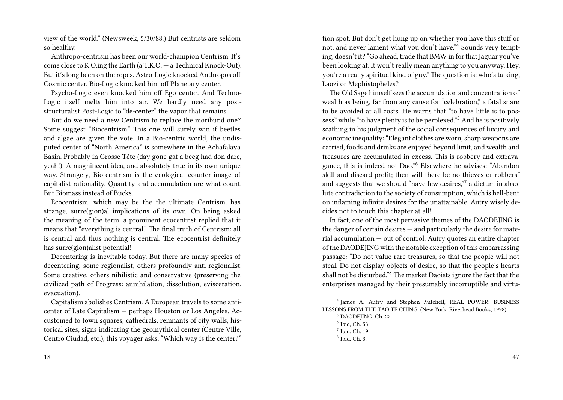view of the world." (Newsweek, 5/30/88.) But centrists are seldom so healthy.

Anthropo-centrism has been our world-champion Centrism. It's come close to K.O.ing the Earth (a T.K.O. — a Technical Knock-Out). But it's long been on the ropes. Astro-Logic knocked Anthropos off Cosmic center. Bio-Logic knocked him off Planetary center.

Psycho-Logic even knocked him off Ego center. And Techno-Logic itself melts him into air. We hardly need any poststructuralist Post-Logic to "de-center" the vapor that remains.

But do we need a new Centrism to replace the moribund one? Some suggest "Biocentrism." This one will surely win if beetles and algae are given the vote. In a Bio-centric world, the undisputed center of "North America" is somewhere in the Achafalaya Basin. Probably in Grosse Tête (day gone gat a beeg had don dare, yeah!). A magnificent idea, and absolutely true in its own unique way. Strangely, Bio-centrism is the ecological counter-image of capitalist rationality. Quantity and accumulation are what count. But Biomass instead of Bucks.

Ecocentrism, which may be the the ultimate Centrism, has strange, surre(gion)al implications of its own. On being asked the meaning of the term, a prominent ecocentrist replied that it means that "everything is central." The final truth of Centrism: all is central and thus nothing is central. The ecocentrist definitely has surre(gion)alist potential!

Decentering is inevitable today. But there are many species of decentering, some regionalist, others profoundly anti-regionalist. Some creative, others nihilistic and conservative (preserving the civilized path of Progress: annihilation, dissolution, evisceration, evacuation).

Capitalism abolishes Centrism. A European travels to some anticenter of Late Capitalism — perhaps Houston or Los Angeles. Accustomed to town squares, cathedrals, remnants of city walls, historical sites, signs indicating the geomythical center (Centre Ville, Centro Ciudad, etc.), this voyager asks, "Which way is the center?"

tion spot. But don't get hung up on whether you have this stuff or not, and never lament what you don't have."<sup>4</sup> Sounds very tempting, doesn't it? "Go ahead, trade that BMW in for that Jaguar you've been looking at. It won't really mean anything to you anyway. Hey, you're a really spiritual kind of guy." The question is: who's talking, Laozi or Mephistopheles?

The Old Sage himself sees the accumulation and concentration of wealth as being, far from any cause for "celebration," a fatal snare to be avoided at all costs. He warns that "to have little is to possess" while "to have plenty is to be perplexed."<sup>5</sup> And he is positively scathing in his judgment of the social consequences of luxury and economic inequality: "Elegant clothes are worn, sharp weapons are carried, foods and drinks are enjoyed beyond limit, and wealth and treasures are accumulated in excess. This is robbery and extravagance, this is indeed not Dao."<sup>6</sup> Elsewhere he advises: "Abandon skill and discard profit; then will there be no thieves or robbers" and suggests that we should "have few desires,"7 a dictum in absolute contradiction to the society of consumption, which is hell-bent on inflaming infinite desires for the unattainable. Autry wisely decides not to touch this chapter at all!

In fact, one of the most pervasive themes of the DAODEJING is the danger of certain desires — and particularly the desire for material accumulation — out of control. Autry quotes an entire chapter of the DAODEJING with the notable exception of this embarrassing passage: "Do not value rare treasures, so that the people will not steal. Do not display objects of desire, so that the people's hearts shall not be disturbed."<sup>8</sup> The market Daoists ignore the fact that the enterprises managed by their presumably incorruptible and virtu-

<sup>4</sup> James A. Autry and Stephen Mitchell, REAL POWER: BUSINESS LESSONS FROM THE TAO TE CHING. (New York: Riverhead Books, 1998),

 $5$  DAODEIING, Ch. 22.

<sup>6</sup> Ibid, Ch. 53.

<sup>7</sup> Ibid, Ch. 19.

<sup>8</sup> Ibid, Ch. 3.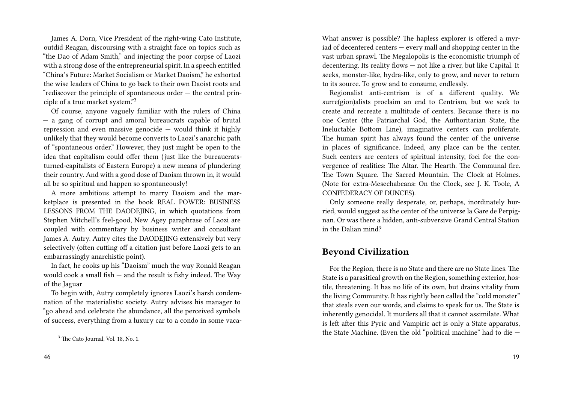James A. Dorn, Vice President of the right-wing Cato Institute, outdid Reagan, discoursing with a straight face on topics such as "the Dao of Adam Smith," and injecting the poor corpse of Laozi with a strong dose of the entrepreneurial spirit. In a speech entitled "China's Future: Market Socialism or Market Daoism," he exhorted the wise leaders of China to go back to their own Daoist roots and "rediscover the principle of spontaneous order — the central principle of a true market system."<sup>3</sup>

Of course, anyone vaguely familiar with the rulers of China — a gang of corrupt and amoral bureaucrats capable of brutal repression and even massive genocide — would think it highly unlikely that they would become converts to Laozi's anarchic path of "spontaneous order." However, they just might be open to the idea that capitalism could offer them (just like the bureaucratsturned-capitalists of Eastern Europe) a new means of plundering their country. And with a good dose of Daoism thrown in, it would all be so spiritual and happen so spontaneously!

A more ambitious attempt to marry Daoism and the marketplace is presented in the book REAL POWER: BUSINESS LESSONS FROM THE DAODEJING, in which quotations from Stephen Mitchell's feel-good, New Agey paraphrase of Laozi are coupled with commentary by business writer and consultant James A. Autry. Autry cites the DAODEJING extensively but very selectively (often cutting off a citation just before Laozi gets to an embarrassingly anarchistic point).

In fact, he cooks up his "Daoism" much the way Ronald Reagan would cook a small fish — and the result is fishy indeed. The Way of the Jaguar

To begin with, Autry completely ignores Laozi's harsh condemnation of the materialistic society. Autry advises his manager to "go ahead and celebrate the abundance, all the perceived symbols of success, everything from a luxury car to a condo in some vacaWhat answer is possible? The hapless explorer is offered a myriad of decentered centers — every mall and shopping center in the vast urban sprawl. The Megalopolis is the economistic triumph of decentering. Its reality flows — not like a river, but like Capital. It seeks, monster-like, hydra-like, only to grow, and never to return to its source. To grow and to consume, endlessly.

Regionalist anti-centrism is of a different quality. We surre(gion)alists proclaim an end to Centrism, but we seek to create and recreate a multitude of centers. Because there is no one Center (the Patriarchal God, the Authoritarian State, the Ineluctable Bottom Line), imaginative centers can proliferate. The human spirit has always found the center of the universe in places of significance. Indeed, any place can be the center. Such centers are centers of spiritual intensity, foci for the convergence of realities: The Altar. The Hearth. The Communal fire. The Town Square. The Sacred Mountain. The Clock at Holmes. (Note for extra-Mesechabeans: On the Clock, see J. K. Toole, A CONFEDERACY OF DUNCES).

Only someone really desperate, or, perhaps, inordinately hurried, would suggest as the center of the universe la Gare de Perpignan. Or was there a hidden, anti-subversive Grand Central Station in the Dalian mind?

### **Beyond Civilization**

For the Region, there is no State and there are no State lines. The State is a parasitical growth on the Region, something exterior, hostile, threatening. It has no life of its own, but drains vitality from the living Community. It has rightly been called the "cold monster" that steals even our words, and claims to speak for us. The State is inherently genocidal. It murders all that it cannot assimilate. What is left after this Pyric and Vampiric act is only a State apparatus, the State Machine. (Even the old "political machine" had to die —

<sup>&</sup>lt;sup>3</sup> The Cato Journal, Vol. 18, No. 1.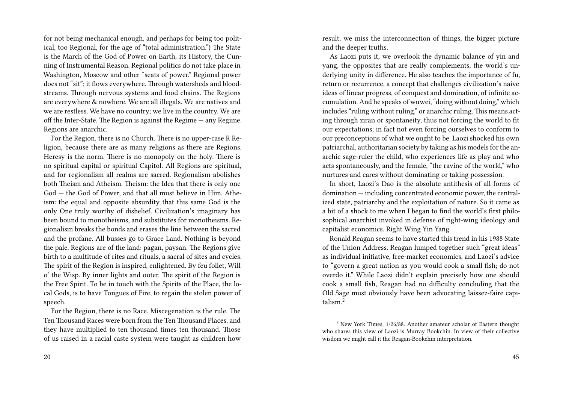for not being mechanical enough, and perhaps for being too political, too Regional, for the age of "total administration.") The State is the March of the God of Power on Earth, its History, the Cunning of Instrumental Reason. Regional politics do not take place in Washington, Moscow and other "seats of power." Regional power does not "sit"; it flows everywhere. Through watersheds and bloodstreams. Through nervous systems and food chains. The Regions are everywhere & nowhere. We are all illegals. We are natives and we are restless. We have no country; we live in the country. We are off the Inter-State. The Region is against the Regime — any Regime. Regions are anarchic.

For the Region, there is no Church. There is no upper-case R Religion, because there are as many religions as there are Regions. Heresy is the norm. There is no monopoly on the holy. There is no spiritual capital or spiritual Capitol. All Regions are spiritual, and for regionalism all realms are sacred. Regionalism abolishes both Theism and Atheism. Theism: the Idea that there is only one God — the God of Power, and that all must believe in Him. Atheism: the equal and opposite absurdity that this same God is the only One truly worthy of disbelief. Civilization's imaginary has been bound to monotheisms, and substitutes for monotheisms. Regionalism breaks the bonds and erases the line between the sacred and the profane. All busses go to Grace Land. Nothing is beyond the pale. Regions are of the land: pagan, paysan. The Regions give birth to a multitude of rites and rituals, a sacral of sites and cycles. The spirit of the Region is inspired, enlightened. By feu follet, Will o' the Wisp. By inner lights and outer. The spirit of the Region is the Free Spirit. To be in touch with the Spirits of the Place, the local Gods, is to have Tongues of Fire, to regain the stolen power of speech.

result, we miss the interconnection of things, the bigger picture and the deeper truths.

As Laozi puts it, we overlook the dynamic balance of yin and yang, the opposites that are really complements, the world's underlying unity in difference. He also teaches the importance of fu, return or recurrence, a concept that challenges civilization's naive ideas of linear progress, of conquest and domination, of infinite accumulation. And he speaks of wuwei, "doing without doing," which includes "ruling without ruling," or anarchic ruling. This means acting through ziran or spontaneity, thus not forcing the world to fit our expectations; in fact not even forcing ourselves to conform to our preconceptions of what we ought to be. Laozi shocked his own patriarchal, authoritarian society by taking as his models for the anarchic sage-ruler the child, who experiences life as play and who acts spontaneously, and the female, "the ravine of the world," who nurtures and cares without dominating or taking possession.

In short, Laozi's Dao is the absolute antithesis of all forms of domination — including concentrated economic power, the centralized state, patriarchy and the exploitation of nature. So it came as a bit of a shock to me when I began to find the world's first philosophical anarchist invoked in defense of right-wing ideology and capitalist economics. Right Wing Yin Yang

Ronald Reagan seems to have started this trend in his 1988 State of the Union Address. Reagan lumped together such "great ideas" as individual initiative, free-market economics, and Laozi's advice to "govern a great nation as you would cook a small fish; do not overdo it." While Laozi didn't explain precisely how one should cook a small fish, Reagan had no difficulty concluding that the Old Sage must obviously have been advocating laissez-faire capitalism.<sup>2</sup>

For the Region, there is no Race. Miscegenation is the rule. The Ten Thousand Races were born from the Ten Thousand Places, and they have multiplied to ten thousand times ten thousand. Those of us raised in a racial caste system were taught as children how

 $2$  New York Times,  $1/26/88$ . Another amateur scholar of Eastern thought who shares this view of Laozi is Murray Bookchin. In view of their collective wisdom we might call it the Reagan-Bookchin interpretation.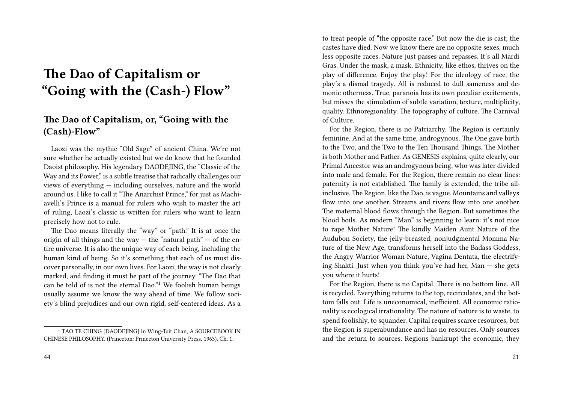# **The Dao of Capitalism or "Going with the (Cash-) Flow"**

## **The Dao of Capitalism, or, "Going with the (Cash)-Flow"**

Laozi was the mythic "Old Sage" of ancient China. We're not sure whether he actually existed but we do know that he founded Daoist philosophy. His legendary DAODEJING, the "Classic of the Way and its Power," is a subtle treatise that radically challenges our views of everything — including ourselves, nature and the world around us. I like to call it "The Anarchist Prince," for just as Machiavelli's Prince is a manual for rulers who wish to master the art of ruling, Laozi's classic is written for rulers who want to learn precisely how not to rule.

The Dao means literally the "way" or "path." It is at once the origin of all things and the way  $-$  the "natural path"  $-$  of the entire universe. It is also the unique way of each being, including the human kind of being. So it's something that each of us must discover personally, in our own lives. For Laozi, the way is not clearly marked, and finding it must be part of the journey. "The Dao that can be told of is not the eternal Dao."<sup>1</sup> We foolish human beings usually assume we know the way ahead of time. We follow society's blind prejudices and our own rigid, self-centered ideas. As a

to treat people of "the opposite race." But now the die is cast; the castes have died. Now we know there are no opposite sexes, much less opposite races. Nature just passes and repasses. It's all Mardi Gras. Under the mask, a mask. Ethnicity, like ethos, thrives on the play of difference. Enjoy the play! For the ideology of race, the play's a dismal tragedy. All is reduced to dull sameness and demonic otherness. True, paranoia has its own peculiar excitements, but misses the stimulation of subtle variation, texture, multiplicity, quality. Ethnoregionality. The topography of culture. The Carnival of Culture.

For the Region, there is no Patriarchy. The Region is certainly feminine. And at the same time, androgynous. The One gave birth to the Two, and the Two to the Ten Thousand Things. The Mother is both Mother and Father. As GENESIS explains, quite clearly, our Primal Ancestor was an androgynous being, who was later divided into male and female. For the Region, there remain no clear lines: paternity is not established. The family is extended, the tribe allinclusive. The Region, like the Dao, is vague. Mountains and valleys flow into one another. Streams and rivers flow into one another. The maternal blood flows through the Region. But sometimes the blood boils. As modern "Man" is beginning to learn: it's not nice to rape Mother Nature! The kindly Maiden Aunt Nature of the Audubon Society, the jelly-breasted, nonjudgmental Momma Nature of the New Age, transforms herself into the Badass Goddess, the Angry Warrior Woman Nature, Vagina Dentata, the electrifying Shakti. Just when you think you've had her, Man — she gets you where it hurts!

For the Region, there is no Capital. There is no bottom line. All is recycled. Everything returns to the top, recirculates, and the bottom falls out. Life is uneconomical, inefficient. All economic rationality is ecological irrationality. The nature of nature is to waste, to spend foolishly, to squander. Capital requires scarce resources, but the Region is superabundance and has no resources. Only sources and the return to sources. Regions bankrupt the economic, they

<sup>&</sup>lt;sup>1</sup> TAO TE CHING [DAODEIING] in Wing-Tsit Chan, A SOURCEBOOK IN CHINESE PHILOSOPHY. (Princeton: Princeton University Press, 1963), Ch. 1.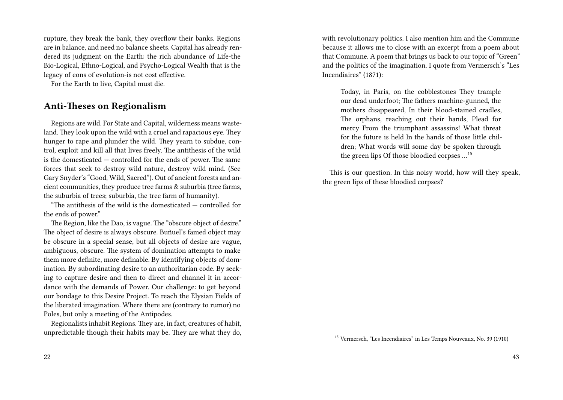rupture, they break the bank, they overflow their banks. Regions are in balance, and need no balance sheets. Capital has already rendered its judgment on the Earth: the rich abundance of Life-the Bio-Logical, Ethno-Logical, and Psycho-Logical Wealth that is the legacy of eons of evolution-is not cost effective.

For the Earth to live, Capital must die.

### **Anti-Theses on Regionalism**

Regions are wild. For State and Capital, wilderness means wasteland. They look upon the wild with a cruel and rapacious eye. They hunger to rape and plunder the wild. They yearn to subdue, control, exploit and kill all that lives freely. The antithesis of the wild is the domesticated — controlled for the ends of power. The same forces that seek to destroy wild nature, destroy wild mind. (See Gary Snyder's "Good, Wild, Sacred"). Out of ancient forests and ancient communities, they produce tree farms & suburbia (tree farms, the suburbia of trees; suburbia, the tree farm of humanity).

"The antithesis of the wild is the domesticated — controlled for the ends of power."

The Region, like the Dao, is vague. The "obscure object of desire." The object of desire is always obscure. Buñuel's famed object may be obscure in a special sense, but all objects of desire are vague, ambiguous, obscure. The system of domination attempts to make them more definite, more definable. By identifying objects of domination. By subordinating desire to an authoritarian code. By seeking to capture desire and then to direct and channel it in accordance with the demands of Power. Our challenge: to get beyond our bondage to this Desire Project. To reach the Elysian Fields of the liberated imagination. Where there are (contrary to rumor) no Poles, but only a meeting of the Antipodes.

Regionalists inhabit Regions. They are, in fact, creatures of habit, unpredictable though their habits may be. They are what they do, with revolutionary politics. I also mention him and the Commune because it allows me to close with an excerpt from a poem about that Commune. A poem that brings us back to our topic of "Green" and the politics of the imagination. I quote from Vermersch's "Les Incendiaires" (1871):

Today, in Paris, on the cobblestones They trample our dead underfoot; The fathers machine-gunned, the mothers disappeared, In their blood-stained cradles, The orphans, reaching out their hands, Plead for mercy From the triumphant assassins! What threat for the future is held In the hands of those little children; What words will some day be spoken through the green lips Of those bloodied corpses …<sup>15</sup>

This is our question. In this noisy world, how will they speak, the green lips of these bloodied corpses?

<sup>&</sup>lt;sup>15</sup> Vermersch, "Les Incendiaires" in Les Temps Nouveaux, No. 39 (1910)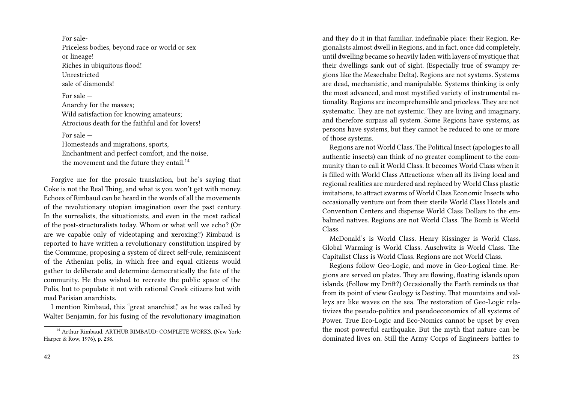For sale-Priceless bodies, beyond race or world or sex or lineage! Riches in ubiquitous flood! Unrestricted sale of diamonds!

For sale — Anarchy for the masses; Wild satisfaction for knowing amateurs; Atrocious death for the faithful and for lovers!

For sale —

Homesteads and migrations, sports, Enchantment and perfect comfort, and the noise, the movement and the future they entail.<sup>14</sup>

Forgive me for the prosaic translation, but he's saying that Coke is not the Real Thing, and what is you won't get with money. Echoes of Rimbaud can be heard in the words of all the movements of the revolutionary utopian imagination over the past century. In the surrealists, the situationists, and even in the most radical of the post-structuralists today. Whom or what will we echo? (Or are we capable only of videotaping and xeroxing?) Rimbaud is reported to have written a revolutionary constitution inspired by the Commune, proposing a system of direct self-rule, reminiscent of the Athenian polis, in which free and equal citizens would gather to deliberate and determine democratically the fate of the community. He thus wished to recreate the public space of the Polis, but to populate it not with rational Greek citizens but with mad Parisian anarchists.

I mention Rimbaud, this "great anarchist," as he was called by Walter Benjamin, for his fusing of the revolutionary imagination

and they do it in that familiar, indefinable place: their Region. Regionalists almost dwell in Regions, and in fact, once did completely, until dwelling became so heavily laden with layers of mystique that their dwellings sank out of sight. (Especially true of swampy regions like the Mesechabe Delta). Regions are not systems. Systems are dead, mechanistic, and manipulable. Systems thinking is only the most advanced, and most mystified variety of instrumental rationality. Regions are incomprehensible and priceless. They are not systematic. They are not systemic. They are living and imaginary, and therefore surpass all system. Some Regions have systems, as persons have systems, but they cannot be reduced to one or more of those systems.

Regions are not World Class. The Political Insect (apologies to all authentic insects) can think of no greater compliment to the community than to call it World Class. It becomes World Class when it is filled with World Class Attractions: when all its living local and regional realities are murdered and replaced by World Class plastic imitations, to attract swarms of World Class Economic Insects who occasionally venture out from their sterile World Class Hotels and Convention Centers and dispense World Class Dollars to the embalmed natives. Regions are not World Class. The Bomb is World Class.

McDonald's is World Class. Henry Kissinger is World Class. Global Warming is World Class. Auschwitz is World Class. The Capitalist Class is World Class. Regions are not World Class.

Regions follow Geo-Logic, and move in Geo-Logical time. Regions are served on plates. They are flowing, floating islands upon islands. (Follow my Drift?) Occasionally the Earth reminds us that from its point of view Geology is Destiny. That mountains and valleys are like waves on the sea. The restoration of Geo-Logic relativizes the pseudo-politics and pseudoeconomics of all systems of Power. True Eco-Logic and Eco-Nomics cannot be upset by even the most powerful earthquake. But the myth that nature can be dominated lives on. Still the Army Corps of Engineers battles to

<sup>14</sup> Arthur Rimbaud, ARTHUR RIMBAUD: COMPLETE WORKS. (New York: Harper & Row, 1976), p. 238.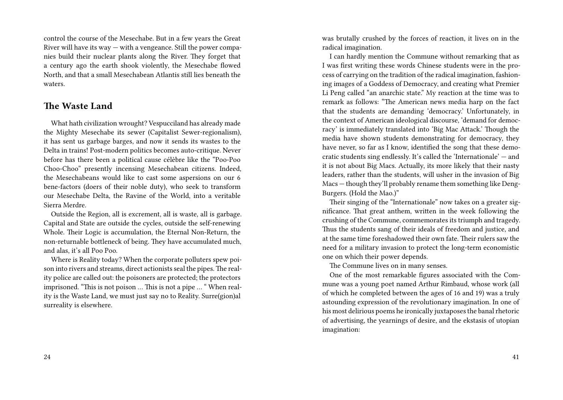control the course of the Mesechabe. But in a few years the Great River will have its way — with a vengeance. Still the power companies build their nuclear plants along the River. They forget that a century ago the earth shook violently, the Mesechabe flowed North, and that a small Mesechabean Atlantis still lies beneath the waters.

### **The Waste Land**

What hath civilization wrought? Vespucciland has already made the Mighty Mesechabe its sewer (Capitalist Sewer-regionalism), it has sent us garbage barges, and now it sends its wastes to the Delta in trains! Post-modern politics becomes auto-critique. Never before has there been a political cause célèbre like the "Poo-Poo Choo-Choo" presently incensing Mesechabean citizens. Indeed, the Mesechabeans would like to cast some aspersions on our 6 bene-factors (doers of their noble duty), who seek to transform our Mesechabe Delta, the Ravine of the World, into a veritable Sierra Merdre.

Outside the Region, all is excrement, all is waste, all is garbage. Capital and State are outside the cycles, outside the self-renewing Whole. Their Logic is accumulation, the Eternal Non-Return, the non-returnable bottleneck of being. They have accumulated much, and alas, it's all Poo Poo.

Where is Reality today? When the corporate polluters spew poison into rivers and streams, direct actionists seal the pipes. The reality police are called out: the poisoners are protected; the protectors imprisoned. "This is not poison … This is not a pipe … " When reality is the Waste Land, we must just say no to Reality. Surre(gion)al surreality is elsewhere.

was brutally crushed by the forces of reaction, it lives on in the radical imagination.

I can hardly mention the Commune without remarking that as I was first writing these words Chinese students were in the process of carrying on the tradition of the radical imagination, fashioning images of a Goddess of Democracy, and creating what Premier Li Peng called "an anarchic state." My reaction at the time was to remark as follows: "The American news media harp on the fact that the students are demanding 'democracy.' Unfortunately, in the context of American ideological discourse, 'demand for democracy' is immediately translated into 'Big Mac Attack.' Though the media have shown students demonstrating for democracy, they have never, so far as I know, identified the song that these democratic students sing endlessly. It's called the 'Internationale' — and it is not about Big Macs. Actually, its more likely that their nasty leaders, rather than the students, will usher in the invasion of Big Macs — though they'll probably rename them something like Deng-Burgers. (Hold the Mao.)"

Their singing of the "Internationale" now takes on a greater significance. That great anthem, written in the week following the crushing of the Commune, commemorates its triumph and tragedy. Thus the students sang of their ideals of freedom and justice, and at the same time foreshadowed their own fate. Their rulers saw the need for a military invasion to protect the long-term economistic one on which their power depends.

The Commune lives on in many senses.

One of the most remarkable figures associated with the Commune was a young poet named Arthur Rimbaud, whose work (all of which he completed between the ages of 16 and 19) was a truly astounding expression of the revolutionary imagination. In one of his most delirious poems he ironically juxtaposes the banal rhetoric of advertising, the yearnings of desire, and the ekstasis of utopian imagination: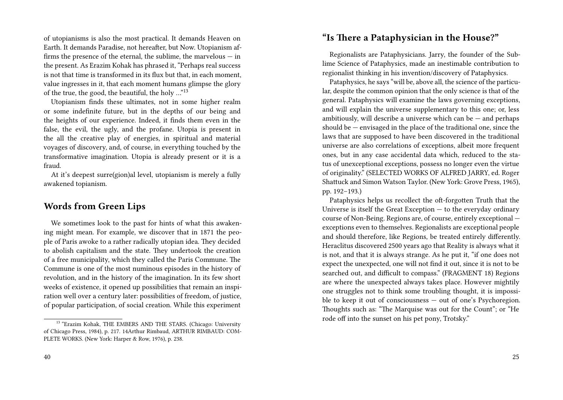of utopianisms is also the most practical. It demands Heaven on Earth. It demands Paradise, not hereafter, but Now. Utopianism affirms the presence of the eternal, the sublime, the marvelous — in the present. As Erazim Kohak has phrased it, "Perhaps real success is not that time is transformed in its flux but that, in each moment, value ingresses in it, that each moment humans glimpse the glory of the true, the good, the beautiful, the holy …"<sup>13</sup>

Utopianism finds these ultimates, not in some higher realm or some indefinite future, but in the depths of our being and the heights of our experience. Indeed, it finds them even in the false, the evil, the ugly, and the profane. Utopia is present in the all the creative play of energies, in spiritual and material voyages of discovery, and, of course, in everything touched by the transformative imagination. Utopia is already present or it is a fraud.

At it's deepest surre(gion)al level, utopianism is merely a fully awakened topianism.

## **Words from Green Lips**

We sometimes look to the past for hints of what this awakening might mean. For example, we discover that in 1871 the people of Paris awoke to a rather radically utopian idea. They decided to abolish capitalism and the state. They undertook the creation of a free municipality, which they called the Paris Commune. The Commune is one of the most numinous episodes in the history of revolution, and in the history of the imagination. In its few short weeks of existence, it opened up possibilities that remain an inspiration well over a century later: possibilities of freedom, of justice, of popular participation, of social creation. While this experiment

### **"Is There a Pataphysician in the House?"**

Regionalists are Pataphysicians. Jarry, the founder of the Sublime Science of Pataphysics, made an inestimable contribution to regionalist thinking in his invention/discovery of Pataphysics.

Pataphysics, he says "will be, above all, the science of the particular, despite the common opinion that the only science is that of the general. Pataphysics will examine the laws governing exceptions, and will explain the universe supplementary to this one; or, less ambitiously, will describe a universe which can be  $-$  and perhaps should be — envisaged in the place of the traditional one, since the laws that are supposed to have been discovered in the traditional universe are also correlations of exceptions, albeit more frequent ones, but in any case accidental data which, reduced to the status of unexceptional exceptions, possess no longer even the virtue of originality." (SELECTED WORKS OF ALFRED JARRY, ed. Roger Shattuck and Simon Watson Taylor. (New York: Grove Press, 1965), pp. 192–193.)

Pataphysics helps us recollect the oft-forgotten Truth that the Universe is itself the Great Exception  $-$  to the everyday ordinary course of Non-Being. Regions are, of course, entirely exceptional exceptions even to themselves. Regionalists are exceptional people and should therefore, like Regions, be treated entirely differently. Heraclitus discovered 2500 years ago that Reality is always what it is not, and that it is always strange. As he put it, "if one does not expect the unexpected, one will not find it out, since it is not to be searched out, and difficult to compass." (FRAGMENT 18) Regions are where the unexpected always takes place. However mightily one struggles not to think some troubling thought, it is impossible to keep it out of consciousness — out of one's Psychoregion. Thoughts such as: "The Marquise was out for the Count"; or "He rode off into the sunset on his pet pony, Trotsky."

<sup>&</sup>lt;sup>13</sup> "Erazim Kohak, THE EMBERS AND THE STARS. (Chicago: University of Chicago Press, 1984), p. 217. 14Arthur Rimbaud, ARTHUR RIMBAUD: COM-PLETE WORKS. (New York: Harper & Row, 1976), p. 238.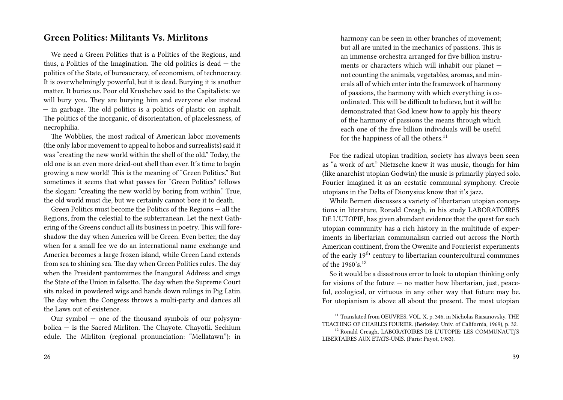### **Green Politics: Militants Vs. Mirlitons**

We need a Green Politics that is a Politics of the Regions, and thus, a Politics of the Imagination. The old politics is dead — the politics of the State, of bureaucracy, of economism, of technocracy. It is overwhelmingly powerful, but it is dead. Burying it is another matter. It buries us. Poor old Krushchev said to the Capitalists: we will bury you. They are burying him and everyone else instead — in garbage. The old politics is a politics of plastic on asphalt. The politics of the inorganic, of disorientation, of placelessness, of necrophilia.

The Wobblies, the most radical of American labor movements (the only labor movement to appeal to hobos and surrealists) said it was "creating the new world within the shell of the old." Today, the old one is an even more dried-out shell than ever. It's time to begin growing a new world! This is the meaning of "Green Politics." But sometimes it seems that what passes for "Green Politics" follows the slogan: "creating the new world by boring from within." True, the old world must die, but we certainly cannot bore it to death.

Green Politics must become the Politics of the Regions — all the Regions, from the celestial to the subterranean. Let the next Gathering of the Greens conduct all its business in poetry. This will foreshadow the day when America will be Green. Even better, the day when for a small fee we do an international name exchange and America becomes a large frozen island, while Green Land extends from sea to shining sea. The day when Green Politics rules. The day when the President pantomimes the Inaugural Address and sings the State of the Union in falsetto. The day when the Supreme Court sits naked in powdered wigs and hands down rulings in Pig Latin. The day when the Congress throws a multi-party and dances all the Laws out of existence.

Our symbol  $-$  one of the thousand symbols of our polysymbolica — is the Sacred Mirliton. The Chayote. Chayotli. Sechium edule. The Mirliton (regional pronunciation: "Mellatawn"): in harmony can be seen in other branches of movement; but all are united in the mechanics of passions. This is an immense orchestra arranged for five billion instruments or characters which will inhabit our planet not counting the animals, vegetables, aromas, and minerals all of which enter into the framework of harmony of passions, the harmony with which everything is coordinated. This will be difficult to believe, but it will be demonstrated that God knew how to apply his theory of the harmony of passions the means through which each one of the five billion individuals will be useful for the happiness of all the others.<sup>11</sup>

For the radical utopian tradition, society has always been seen as "a work of art." Nietzsche knew it was music, though for him (like anarchist utopian Godwin) the music is primarily played solo. Fourier imagined it as an ecstatic communal symphony. Creole utopians in the Delta of Dionysius know that it's jazz.

While Berneri discusses a variety of libertarian utopian conceptions in literature, Ronald Creagh, in his study LABORATOIRES DE L'UTOPIE, has given abundant evidence that the quest for such utopian community has a rich history in the multitude of experiments in libertarian communalism carried out across the North American continent, from the Owenite and Fourierist experiments of the early 19<sup>th</sup> century to libertarian countercultural communes of the  $1960's$ <sup>12</sup>

So it would be a disastrous error to look to utopian thinking only for visions of the future  $-$  no matter how libertarian, just, peaceful, ecological, or virtuous in any other way that future may be. For utopianism is above all about the present. The most utopian

<sup>&</sup>lt;sup>11</sup> Translated from OEUVRES, VOL. X, p. 346, in Nicholas Riasanovsky, THE TEACHING OF CHARLES FOURIER. (Berkeley: Univ. of California, 1969), p. 32.

<sup>&</sup>lt;sup>12</sup> Ronald Creagh, LABORATOIRES DE L'UTOPIE: LES COMMUNAUTfS LIBERTAIRES AUX ETATS-UNIS. (Paris: Payot, 1983).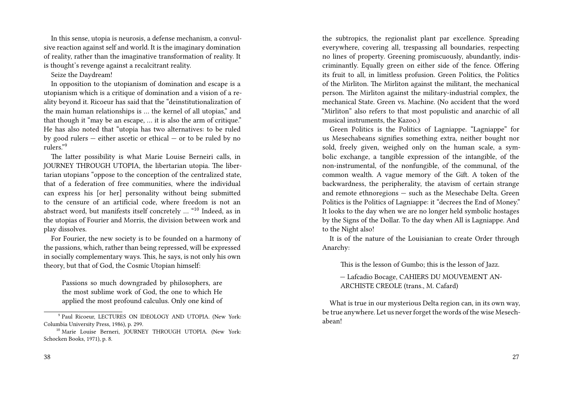In this sense, utopia is neurosis, a defense mechanism, a convulsive reaction against self and world. It is the imaginary domination of reality, rather than the imaginative transformation of reality. It is thought's revenge against a recalcitrant reality.

Seize the Daydream!

In opposition to the utopianism of domination and escape is a utopianism which is a critique of domination and a vision of a reality beyond it. Ricoeur has said that the "deinstitutionalization of the main human relationships is … the kernel of all utopias," and that though it "may be an escape, … it is also the arm of critique." He has also noted that "utopia has two alternatives: to be ruled by good rulers — either ascetic or ethical — or to be ruled by no rulers."<sup>9</sup>

The latter possibility is what Marie Louise Berneiri calls, in JOURNEY THROUGH UTOPIA, the libertarian utopia. The libertarian utopians "oppose to the conception of the centralized state, that of a federation of free communities, where the individual can express his [or her] personality without being submitted to the censure of an artificial code, where freedom is not an abstract word, but manifests itself concretely … "<sup>10</sup> Indeed, as in the utopias of Fourier and Morris, the division between work and play dissolves.

For Fourier, the new society is to be founded on a harmony of the passions, which, rather than being repressed, will be expressed in socially complementary ways. This, he says, is not only his own theory, but that of God, the Cosmic Utopian himself:

Passions so much downgraded by philosophers, are the most sublime work of God, the one to which He applied the most profound calculus. Only one kind of

the subtropics, the regionalist plant par excellence. Spreading everywhere, covering all, trespassing all boundaries, respecting no lines of property. Greening promiscuously, abundantly, indiscriminantly. Equally green on either side of the fence. Offering its fruit to all, in limitless profusion. Green Politics, the Politics of the Mirliton. The Mirliton against the militant, the mechanical person. The Mirliton against the military-industrial complex, the mechanical State. Green vs. Machine. (No accident that the word "Mirliton" also refers to that most populistic and anarchic of all musical instruments, the Kazoo.)

Green Politics is the Politics of Lagniappe. "Lagniappe" for us Mesechabeans signifies something extra, neither bought nor sold, freely given, weighed only on the human scale, a symbolic exchange, a tangible expression of the intangible, of the non-instrumental, of the nonfungible, of the communal, of the common wealth. A vague memory of the Gift. A token of the backwardness, the peripherality, the atavism of certain strange and remote ethnoregions — such as the Mesechabe Delta. Green Politics is the Politics of Lagniappe: it "decrees the End of Money." It looks to the day when we are no longer held symbolic hostages by the Signs of the Dollar. To the day when All is Lagniappe. And to the Night also!

It is of the nature of the Louisianian to create Order through Anarchy:

This is the lesson of Gumbo; this is the lesson of Jazz.

— Lafcadio Bocage, CAHIERS DU MOUVEMENT AN-ARCHISTE CREOLE (trans., M. Cafard)

What is true in our mysterious Delta region can, in its own way, be true anywhere. Let us never forget the words of the wise Mesechabean!

<sup>9</sup> Paul Ricoeur, LECTURES ON IDEOLOGY AND UTOPIA. (New York: Columbia University Press, 1986), p. 299.

<sup>&</sup>lt;sup>10</sup> Marie Louise Berneri, JOURNEY THROUGH UTOPIA. (New York: Schocken Books, 1971), p. 8.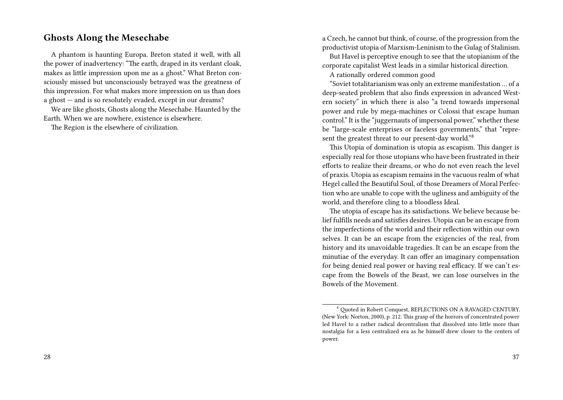#### **Ghosts Along the Mesechabe**

A phantom is haunting Europa. Breton stated it well, with all the power of inadvertency: "The earth, draped in its verdant cloak, makes as little impression upon me as a ghost." What Breton consciously missed but unconsciously betrayed was the greatness of this impression. For what makes more impression on us than does a ghost — and is so resolutely evaded, except in our dreams?

We are like ghosts, Ghosts along the Mesechabe. Haunted by the Earth. When we are nowhere, existence is elsewhere.

The Region is the elsewhere of civilization.

a Czech, he cannot but think, of course, of the progression from the productivist utopia of Marxism-Leninism to the Gulag of Stalinism.

But Havel is perceptive enough to see that the utopianism of the corporate capitalist West leads in a similar historical direction.

A rationally ordered common good

"Soviet totalitarianism was only an extreme manifestation … of a deep-seated problem that also finds expression in advanced Western society" in which there is also "a trend towards impersonal power and rule by mega-machines or Colossi that escape human control." It is the "juggernauts of impersonal power," whether these be "large-scale enterprises or faceless governments," that "represent the greatest threat to our present-day world."<sup>8</sup>

This Utopia of domination is utopia as escapism. This danger is especially real for those utopians who have been frustrated in their efforts to realize their dreams, or who do not even reach the level of praxis. Utopia as escapism remains in the vacuous realm of what Hegel called the Beautiful Soul, of those Dreamers of Moral Perfection who are unable to cope with the ugliness and ambiguity of the world, and therefore cling to a bloodless Ideal.

The utopia of escape has its satisfactions. We believe because belief fulfills needs and satisfies desires. Utopia can be an escape from the imperfections of the world and their reflection within our own selves. It can be an escape from the exigencies of the real, from history and its unavoidable tragedies. It can be an escape from the minutiae of the everyday. It can offer an imaginary compensation for being denied real power or having real efficacy. If we can't escape from the Bowels of the Beast, we can lose ourselves in the Bowels of the Movement.

<sup>8</sup> Quoted in Robert Conquest, REFLECTIONS ON A RAVAGED CENTURY. (New York: Norton, 2000), p. 212. This grasp of the horrors of concentrated power led Havel to a rather radical decentralism that dissolved into little more than nostalgia for a less centralized era as he himself drew closer to the centers of power.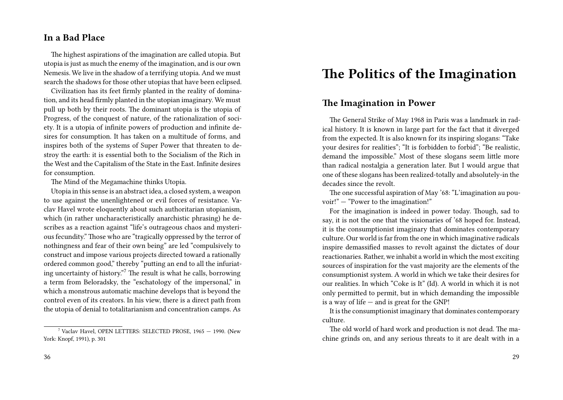### **In a Bad Place**

The highest aspirations of the imagination are called utopia. But utopia is just as much the enemy of the imagination, and is our own Nemesis. We live in the shadow of a terrifying utopia. And we must search the shadows for those other utopias that have been eclipsed.

Civilization has its feet firmly planted in the reality of domination, and its head firmly planted in the utopian imaginary. We must pull up both by their roots. The dominant utopia is the utopia of Progress, of the conquest of nature, of the rationalization of society. It is a utopia of infinite powers of production and infinite desires for consumption. It has taken on a multitude of forms, and inspires both of the systems of Super Power that threaten to destroy the earth: it is essential both to the Socialism of the Rich in the West and the Capitalism of the State in the East. Infinite desires for consumption.

The Mind of the Megamachine thinks Utopia.

Utopia in this sense is an abstract idea, a closed system, a weapon to use against the unenlightened or evil forces of resistance. Vaclav Havel wrote eloquently about such authoritarian utopianism, which (in rather uncharacteristically anarchistic phrasing) he describes as a reaction against "life's outrageous chaos and mysterious fecundity." Those who are "tragically oppressed by the terror of nothingness and fear of their own being" are led "compulsively to construct and impose various projects directed toward a rationally ordered common good," thereby "putting an end to all the infuriating uncertainty of history."<sup>7</sup> The result is what he calls, borrowing a term from Beloradsky, the "eschatology of the impersonal," in which a monstrous automatic machine develops that is beyond the control even of its creators. In his view, there is a direct path from the utopia of denial to totalitarianism and concentration camps. As

<sup>7</sup> Vaclav Havel, OPEN LETTERS: SELECTED PROSE,  $1965 - 1990$ . (New York: Knopf, 1991), p. 301

#### 36

## **The Politics of the Imagination**

#### **The Imagination in Power**

The General Strike of May 1968 in Paris was a landmark in radical history. It is known in large part for the fact that it diverged from the expected. It is also known for its inspiring slogans: "Take your desires for realities": "It is forbidden to forbid": "Be realistic, demand the impossible." Most of these slogans seem little more than radical nostalgia a generation later. But I would argue that one of these slogans has been realized-totally and absolutely-in the decades since the revolt.

The one successful aspiration of May '68: "L'imagination au pouvoir!" — "Power to the imagination!"

For the imagination is indeed in power today. Though, sad to say, it is not the one that the visionaries of '68 hoped for. Instead, it is the consumptionist imaginary that dominates contemporary culture. Our world is far from the one in which imaginative radicals inspire demassified masses to revolt against the dictates of dour reactionaries. Rather, we inhabit a world in which the most exciting sources of inspiration for the vast majority are the elements of the consumptionist system. A world in which we take their desires for our realities. In which "Coke is It" (Id). A world in which it is not only permitted to permit, but in which demanding the impossible is a way of life  $-$  and is great for the GNP!

It is the consumptionist imaginary that dominates contemporary culture.

The old world of hard work and production is not dead. The machine grinds on, and any serious threats to it are dealt with in a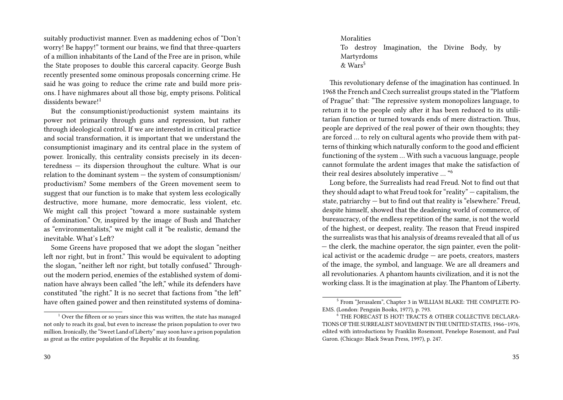suitably productivist manner. Even as maddening echos of "Don't worry! Be happy!" torment our brains, we find that three-quarters of a million inhabitants of the Land of the Free are in prison, while the State proposes to double this carceral capacity. George Bush recently presented some ominous proposals concerning crime. He said he was going to reduce the crime rate and build more prisons. I have nighmares about all those big, empty prisons. Political dissidents beware!<sup>1</sup>

But the consumptionist/productionist system maintains its power not primarily through guns and repression, but rather through ideological control. If we are interested in critical practice and social transformation, it is important that we understand the consumptionist imaginary and its central place in the system of power. Ironically, this centrality consists precisely in its decenteredness — its dispersion throughout the culture. What is our relation to the dominant system — the system of consumptionism/ productivism? Some members of the Green movement seem to suggest that our function is to make that system less ecologically destructive, more humane, more democratic, less violent, etc. We might call this project "toward a more sustainable system of domination." Or, inspired by the image of Bush and Thatcher as "environmentalists," we might call it "be realistic, demand the inevitable. What's Left?

Some Greens have proposed that we adopt the slogan "neither left nor right, but in front." This would be equivalent to adopting the slogan, "neither left nor right, but totally confused." Throughout the modern period, enemies of the established system of domination have always been called "the left," while its defenders have constituted "the right." It is no secret that factions from "the left" have often gained power and then reinstituted systems of domina-

**Moralities** To destroy Imagination, the Divine Body, by Martyrdoms  $&$  Wars<sup>5</sup>

This revolutionary defense of the imagination has continued. In 1968 the French and Czech surrealist groups stated in the "Platform of Prague" that: "The repressive system monopolizes language, to return it to the people only after it has been reduced to its utilitarian function or turned towards ends of mere distraction. Thus, people are deprived of the real power of their own thoughts; they are forced … to rely on cultural agents who provide them with patterns of thinking which naturally conform to the good and efficient functioning of the system … With such a vacuous language, people cannot formulate the ardent images that make the satisfaction of their real desires absolutely imperative … "<sup>6</sup>

Long before, the Surrealists had read Freud. Not to find out that they should adapt to what Freud took for "reality" — capitalism, the state, patriarchy — but to find out that reality is "elsewhere." Freud, despite himself, showed that the deadening world of commerce, of bureaucracy, of the endless repetition of the same, is not the world of the highest, or deepest, reality. The reason that Freud inspired the surrealists was that his analysis of dreams revealed that all of us — the clerk, the machine operator, the sign painter, even the political activist or the academic drudge — are poets, creators, masters of the image, the symbol, and language. We are all dreamers and all revolutionaries. A phantom haunts civilization, and it is not the working class. It is the imagination at play. The Phantom of Liberty.

 $1$  Over the fifteen or so years since this was written, the state has managed not only to reach its goal, but even to increase the prison population to over two million. Ironically, the "Sweet Land of Liberty" may soon have a prison population as great as the entire population of the Republic at its founding.

<sup>5</sup> From "Jerusalem", Chapter 3 in WILLIAM BLAKE: THE COMPLETE PO-EMS. (London: Penguin Books, 1977), p. 793.

<sup>6</sup> THE FORECAST IS HOT! TRACTS & OTHER COLLECTIVE DECLARA-TIONS OF THE SURREALIST MOVEMENT IN THE UNITED STATES, 1966–1976, edited with introductions by Franklin Rosemont, Penelope Rosemont, and Paul Garon. (Chicago: Black Swan Press, 1997), p. 247.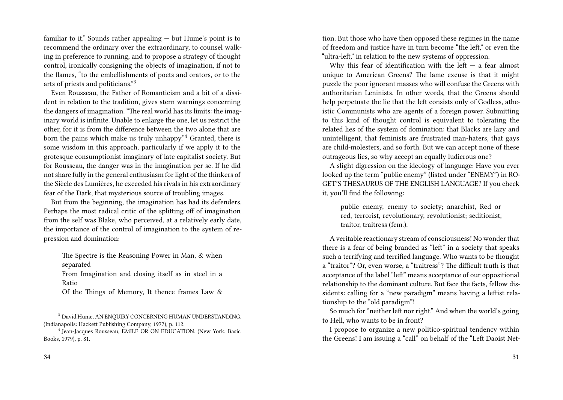familiar to it." Sounds rather appealing — but Hume's point is to recommend the ordinary over the extraordinary, to counsel walking in preference to running, and to propose a strategy of thought control, ironically consigning the objects of imagination, if not to the flames, "to the embellishments of poets and orators, or to the arts of priests and politicians."<sup>3</sup>

Even Rousseau, the Father of Romanticism and a bit of a dissident in relation to the tradition, gives stern warnings concerning the dangers of imagination. "The real world has its limits: the imaginary world is infinite. Unable to enlarge the one, let us restrict the other, for it is from the difference between the two alone that are born the pains which make us truly unhappy."<sup>4</sup> Granted, there is some wisdom in this approach, particularly if we apply it to the grotesque consumptionist imaginary of late capitalist society. But for Rousseau, the danger was in the imagination per se. If he did not share fully in the general enthusiasm for light of the thinkers of the Siècle des Lumières, he exceeded his rivals in his extraordinary fear of the Dark, that mysterious source of troubling images.

But from the beginning, the imagination has had its defenders. Perhaps the most radical critic of the splitting off of imagination from the self was Blake, who perceived, at a relatively early date, the importance of the control of imagination to the system of repression and domination:

The Spectre is the Reasoning Power in Man, & when separated

From Imagination and closing itself as in steel in a Ratio

Of the Things of Memory, It thence frames Law &

tion. But those who have then opposed these regimes in the name of freedom and justice have in turn become "the left," or even the "ultra-left," in relation to the new systems of oppression.

Why this fear of identification with the left  $-$  a fear almost unique to American Greens? The lame excuse is that it might puzzle the poor ignorant masses who will confuse the Greens with authoritarian Leninists. In other words, that the Greens should help perpetuate the lie that the left consists only of Godless, atheistic Communists who are agents of a foreign power. Submitting to this kind of thought control is equivalent to tolerating the related lies of the system of domination: that Blacks are lazy and unintelligent, that feminists are frustrated man-haters, that gays are child-molesters, and so forth. But we can accept none of these outrageous lies, so why accept an equally ludicrous one?

A slight digression on the ideology of language: Have you ever looked up the term "public enemy" (listed under "ENEMY") in RO-GET'S THESAURUS OF THE ENGLISH LANGUAGE? If you check it, you'll find the following:

public enemy, enemy to society; anarchist, Red or red, terrorist, revolutionary, revolutionist; seditionist, traitor, traitress (fem.).

A veritable reactionary stream of consciousness! No wonder that there is a fear of being branded as "left" in a society that speaks such a terrifying and terrified language. Who wants to be thought a "traitor"? Or, even worse, a "traitress"? The difficult truth is that acceptance of the label "left" means acceptance of our oppositional relationship to the dominant culture. But face the facts, fellow dissidents: calling for a "new paradigm" means having a leftist relationship to the "old paradigm"!

So much for "neither left nor right." And when the world's going to Hell, who wants to be in front?

I propose to organize a new politico-spiritual tendency within the Greens! I am issuing a "call" on behalf of the "Left Daoist Net-

<sup>&</sup>lt;sup>3</sup> David Hume, AN ENOUIRY CONCERNING HUMAN UNDERSTANDING. (Indianapolis: Hackett Publishing Company, 1977), p. 112.

<sup>4</sup> Jean-Jacques Rousseau, EMILE OR ON EDUCATION. (New York: Basic Books, 1979), p. 81.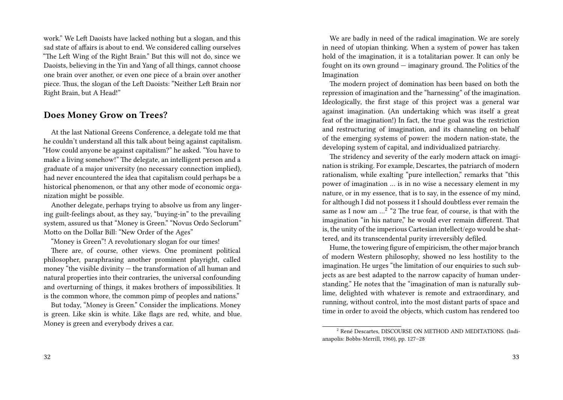work." We Left Daoists have lacked nothing but a slogan, and this sad state of affairs is about to end. We considered calling ourselves "The Left Wing of the Right Brain." But this will not do, since we Daoists, believing in the Yin and Yang of all things, cannot choose one brain over another, or even one piece of a brain over another piece. Thus, the slogan of the Left Daoists: "Neither Left Brain nor Right Brain, but A Head!"

### **Does Money Grow on Trees?**

At the last National Greens Conference, a delegate told me that he couldn't understand all this talk about being against capitalism. "How could anyone be against capitalism?" he asked. "You have to make a living somehow!" The delegate, an intelligent person and a graduate of a major university (no necessary connection implied), had never encountered the idea that capitalism could perhaps be a historical phenomenon, or that any other mode of economic organization might be possible.

Another delegate, perhaps trying to absolve us from any lingering guilt-feelings about, as they say, "buying-in" to the prevailing system, assured us that "Money is Green." "Novus Ordo Seclorum" Motto on the Dollar Bill: "New Order of the Ages"

"Money is Green"! A revolutionary slogan for our times!

There are, of course, other views. One prominent political philosopher, paraphrasing another prominent playright, called money "the visible divinity — the transformation of all human and natural properties into their contraries, the universal confounding and overturning of things, it makes brothers of impossibilities. It is the common whore, the common pimp of peoples and nations."

But today, "Money is Green." Consider the implications. Money is green. Like skin is white. Like flags are red, white, and blue. Money is green and everybody drives a car.

We are badly in need of the radical imagination. We are sorely in need of utopian thinking. When a system of power has taken hold of the imagination, it is a totalitarian power. It can only be fought on its own ground — imaginary ground. The Politics of the Imagination

The modern project of domination has been based on both the repression of imagination and the "harnessing" of the imagination. Ideologically, the first stage of this project was a general war against imagination. (An undertaking which was itself a great feat of the imagination!) In fact, the true goal was the restriction and restructuring of imagination, and its channeling on behalf of the emerging systems of power: the modern nation-state, the developing system of capital, and individualized patriarchy.

The stridency and severity of the early modern attack on imagination is striking. For example, Descartes, the patriarch of modern rationalism, while exalting "pure intellection," remarks that "this power of imagination … is in no wise a necessary element in my nature, or in my essence, that is to say, in the essence of my mind, for although I did not possess it I should doubtless ever remain the same as I now am ...<sup>2</sup> "2 The true fear, of course, is that with the imagination "in his nature," he would ever remain different. That is, the unity of the imperious Cartesian intellect/ego would be shattered, and its transcendental purity irreversibly defiled.

Hume, the towering figure of empiricism, the other major branch of modern Western philosophy, showed no less hostility to the imagination. He urges "the limitation of our enquiries to such subjects as are best adapted to the narrow capacity of human understanding." He notes that the "imagination of man is naturally sublime, delighted with whatever is remote and extraordinary, and running, without control, into the most distant parts of space and time in order to avoid the objects, which custom has rendered too

<sup>2</sup> René Descartes, DISCOURSE ON METHOD AND MEDITATIONS. (Indianapolis: Bobbs-Merrill, 1960), pp. 127–28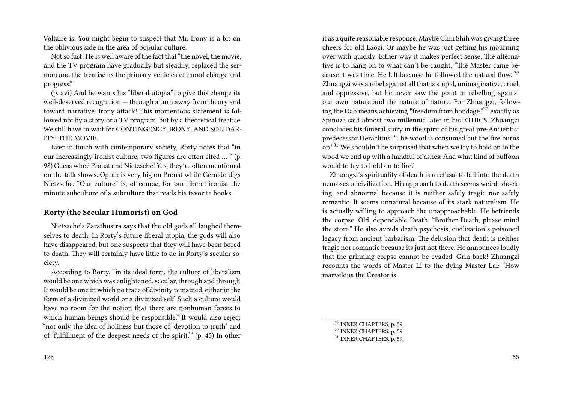Voltaire is. You might begin to suspect that Mr. Irony is a bit on the oblivious side in the area of popular culture.

Not so fast! He is well aware of the fact that "the novel, the movie, and the TV program have gradually but steadily, replaced the sermon and the treatise as the primary vehicles of moral change and progress."

(p. xvi) And he wants his "liberal utopia" to give this change its well-deserved recognition — through a turn away from theory and toward narrative. Irony attack! This momentous statement is followed not by a story or a TV program, but by a theoretical treatise. We still have to wait for CONTINGENCY, IRONY, AND SOLIDAR-ITY: THE MOVIE.

Ever in touch with contemporary society, Rorty notes that "in our increasingly ironist culture, two figures are often cited … " (p. 98) Guess who? Proust and Nietzsche! Yes, they're often mentioned on the talk shows. Oprah is very big on Proust while Geraldo digs Nietzsche. "Our culture" is, of course, for our liberal ironist the minute subculture of a subculture that reads his favorite books.

#### **Rorty (the Secular Humorist) on God**

Nietzsche's Zarathustra says that the old gods all laughed themselves to death. In Rorty's future liberal utopia, the gods will also have disappeared, but one suspects that they will have been bored to death. They will certainly have little to do in Rorty's secular society.

According to Rorty, "in its ideal form, the culture of liberalism would be one which was enlightened, secular, through and through. It would be one in which no trace of divinity remained, either in the form of a divinized world or a divinized self. Such a culture would have no room for the notion that there are nonhuman forces to which human beings should be responsible." It would also reject "not only the idea of holiness but those of 'devotion to truth' and of 'fulfillment of the deepest needs of the spirit.'" (p. 45) In other it as a quite reasonable response. Maybe Chin Shih was giving three cheers for old Laozi. Or maybe he was just getting his mourning over with quickly. Either way it makes perfect sense. The alternative is to hang on to what can't be caught. "The Master came because it was time. He left because he followed the natural flow."<sup>29</sup> Zhuangzi was a rebel against all that is stupid, unimaginative, cruel, and oppressive, but he never saw the point in rebelling against our own nature and the nature of nature. For Zhuangzi, following the Dao means achieving "freedom from bondage,"<sup>30</sup> exactly as Spinoza said almost two millennia later in his ETHICS. Zhuangzi concludes his funeral story in the spirit of his great pre-Ancientist predecessor Heraclitus: "The wood is consumed but the fire burns on."<sup>31</sup> We shouldn't be surprised that when we try to hold on to the wood we end up with a handful of ashes. And what kind of buffoon would to try to hold on to fire?

Zhuangzi's spirituality of death is a refusal to fall into the death neuroses of civilization. His approach to death seems weird, shocking, and abnormal because it is neither safely tragic nor safely romantic. It seems unnatural because of its stark naturalism. He is actually willing to approach the unapproachable. He befriends the corpse. Old, dependable Death. "Brother Death, please mind the store." He also avoids death psychosis, civilization's poisoned legacy from ancient barbarism. The delusion that death is neither tragic nor romantic because its just not there. He announces loudly that the grinning corpse cannot be evaded. Grin back! Zhuangzi recounts the words of Master Li to the dying Master Lai: "How marvelous the Creator is!

<sup>29</sup> INNER CHAPTERS, p. 59.

<sup>&</sup>lt;sup>30</sup> INNER CHAPTERS, p. 59.

<sup>&</sup>lt;sup>31</sup> INNER CHAPTERS, p. 59.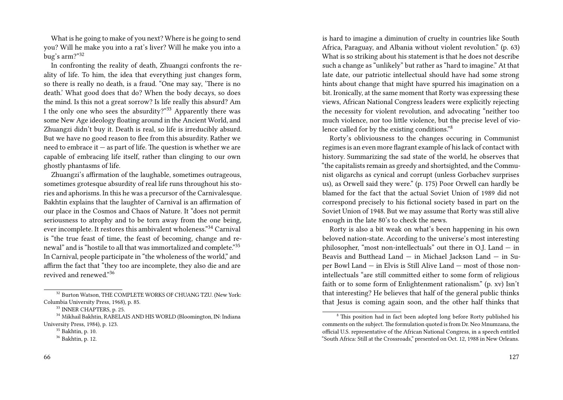What is he going to make of you next? Where is he going to send you? Will he make you into a rat's liver? Will he make you into a bug's arm?"<sup>32</sup>

In confronting the reality of death, Zhuangzi confronts the reality of life. To him, the idea that everything just changes form, so there is really no death, is a fraud. "One may say, 'There is no death.' What good does that do? When the body decays, so does the mind. Is this not a great sorrow? Is life really this absurd? Am I the only one who sees the absurdity?"<sup>33</sup> Apparently there was some New Age ideology floating around in the Ancient World, and Zhuangzi didn't buy it. Death is real, so life is irreducibly absurd. But we have no good reason to flee from this absurdity. Rather we need to embrace it  $-$  as part of life. The question is whether we are capable of embracing life itself, rather than clinging to our own ghostly phantasms of life.

Zhuangzi's affirmation of the laughable, sometimes outrageous, sometimes grotesque absurdity of real life runs throughout his stories and aphorisms. In this he was a precursor of the Carnivalesque. Bakhtin explains that the laughter of Carnival is an affirmation of our place in the Cosmos and Chaos of Nature. It "does not permit seriousness to atrophy and to be torn away from the one being, ever incomplete. It restores this ambivalent wholeness."<sup>34</sup> Carnival is "the true feast of time, the feast of becoming, change and renewal" and is "hostile to all that was immortalized and complete."35 In Carnival, people participate in "the wholeness of the world," and affirm the fact that "they too are incomplete, they also die and are revived and renewed."<sup>36</sup>

<sup>34</sup> Mikhail Bakhtin, RABELAIS AND HIS WORLD (Bloomington, IN: Indiana University Press, 1984), p. 123.

is hard to imagine a diminution of cruelty in countries like South Africa, Paraguay, and Albania without violent revolution." (p. 63) What is so striking about his statement is that he does not describe such a change as "unlikely" but rather as "hard to imagine." At that late date, our patriotic intellectual should have had some strong hints about change that might have spurred his imagination on a bit. Ironically, at the same moment that Rorty was expressing these views, African National Congress leaders were explicitly rejecting the necessity for violent revolution, and advocating "neither too much violence, nor too little violence, but the precise level of violence called for by the existing conditions."<sup>8</sup>

Rorty's obliviousness to the changes occuring in Communist regimes is an even more flagrant example of his lack of contact with history. Summarizing the sad state of the world, he observes that "the capitalists remain as greedy and shortsighted, and the Communist oligarchs as cynical and corrupt (unless Gorbachev surprises us), as Orwell said they were." (p. 175) Poor Orwell can hardly be blamed for the fact that the actual Soviet Union of 1989 did not correspond precisely to his fictional society based in part on the Soviet Union of 1948. But we may assume that Rorty was still alive enough in the late 80's to check the news.

Rorty is also a bit weak on what's been happening in his own beloved nation-state. According to the universe's most interesting philosopher, "most non-intellectuals" out there in O.J. Land — in Beavis and Butthead Land — in Michael Jackson Land — in Super Bowl Land — in Elvis is Still Alive Land — most of those nonintellectuals "are still committed either to some form of religious faith or to some form of Enlightenment rationalism." (p. xv) Isn't that interesting? He believes that half of the general public thinks that Jesus is coming again soon, and the other half thinks that

<sup>&</sup>lt;sup>32</sup> Burton Watson, THE COMPLETE WORKS OF CHUANG TZU. (New York: Columbia University Press, 1968), p. 85.

<sup>33</sup> INNER CHAPTERS, p. 25.

<sup>35</sup> Bakhtin, p. 10.

<sup>36</sup> Bakhtin, p. 12.

<sup>&</sup>lt;sup>8</sup> This position had in fact been adopted long before Rorty published his comments on the subject. The formulation quoted is from Dr. Neo Mnumzana, the official U.S. representative of the African National Congress, in a speech entitled "South Africa: Still at the Crossroads," presented on Oct. 12, 1988 in New Orleans.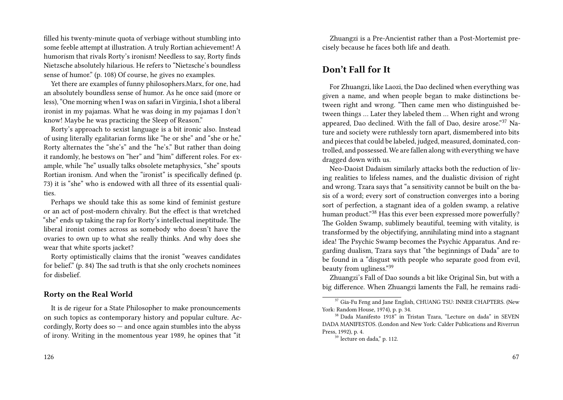filled his twenty-minute quota of verbiage without stumbling into some feeble attempt at illustration. A truly Rortian achievement! A humorism that rivals Rorty's ironism! Needless to say, Rorty finds Nietzsche absolutely hilarious. He refers to "Nietzsche's boundless sense of humor." (p. 108) Of course, he gives no examples.

Yet there are examples of funny philosophers.Marx, for one, had an absolutely boundless sense of humor. As he once said (more or less), "One morning when I was on safari in Virginia, I shot a liberal ironist in my pajamas. What he was doing in my pajamas I don't know! Maybe he was practicing the Sleep of Reason."

Rorty's approach to sexist language is a bit ironic also. Instead of using literally egalitarian forms like "he or she" and "she or he," Rorty alternates the "she's" and the "he's." But rather than doing it randomly, he bestows on "her" and "him" different roles. For example, while "he" usually talks obsolete metaphysics, "she" spouts Rortian ironism. And when the "ironist" is specifically defined (p. 73) it is "she" who is endowed with all three of its essential qualities.

Perhaps we should take this as some kind of feminist gesture or an act of post-modern chivalry. But the effect is that wretched "she" ends up taking the rap for Rorty's intellectual ineptitude. The liberal ironist comes across as somebody who doesn't have the ovaries to own up to what she really thinks. And why does she wear that white sports jacket?

Rorty optimistically claims that the ironist "weaves candidates for belief." (p. 84) The sad truth is that she only crochets nominees for disbelief.

#### **Rorty on the Real World**

It is de rigeur for a State Philosopher to make pronouncements on such topics as contemporary history and popular culture. Accordingly, Rorty does so  $-$  and once again stumbles into the abyss of irony. Writing in the momentous year 1989, he opines that "it

Zhuangzi is a Pre-Ancientist rather than a Post-Mortemist precisely because he faces both life and death.

### **Don't Fall for It**

For Zhuangzi, like Laozi, the Dao declined when everything was given a name, and when people began to make distinctions between right and wrong. "Then came men who distinguished between things … Later they labeled them … When right and wrong appeared, Dao declined. With the fall of Dao, desire arose."<sup>37</sup> Nature and society were ruthlessly torn apart, dismembered into bits and pieces that could be labeled, judged, measured, dominated, controlled, and possessed. We are fallen along with everything we have dragged down with us.

Neo-Daoist Dadaism similarly attacks both the reduction of living realities to lifeless names, and the dualistic division of right and wrong. Tzara says that "a sensitivity cannot be built on the basis of a word; every sort of construction converges into a boring sort of perfection, a stagnant idea of a golden swamp, a relative human product."<sup>38</sup> Has this ever been expressed more powerfully? The Golden Swamp, sublimely beautiful, teeming with vitality, is transformed by the objectifying, annihilating mind into a stagnant idea! The Psychic Swamp becomes the Psychic Apparatus. And regarding dualism, Tzara says that "the beginnings of Dada" are to be found in a "disgust with people who separate good from evil, beauty from ugliness."<sup>39</sup>

Zhuangzi's Fall of Dao sounds a bit like Original Sin, but with a big difference. When Zhuangzi laments the Fall, he remains radi-

<sup>&</sup>lt;sup>37</sup> Gia-Fu Feng and Jane English, CHUANG TSU: INNER CHAPTERS. (New York: Random House, 1974), p. p. 34.

<sup>38</sup> Dada Manifesto 1918" in Tristan Tzara, "Lecture on dada" in SEVEN DADA MANIFESTOS. (London and New York: Calder Publications and Riverrun Press, 1992), p. 4.

<sup>&</sup>lt;sup>39</sup> lecture on dada," p. 112.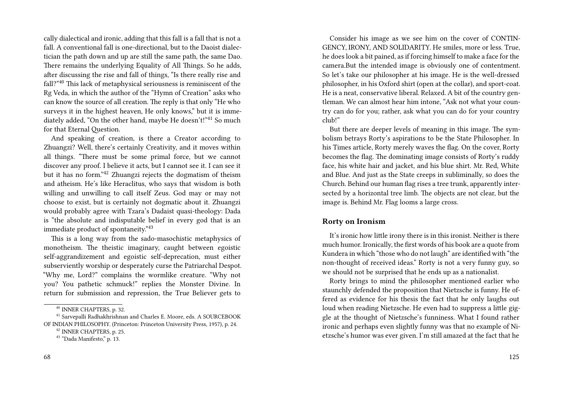cally dialectical and ironic, adding that this fall is a fall that is not a fall. A conventional fall is one-directional, but to the Daoist dialectician the path down and up are still the same path, the same Dao. There remains the underlying Equality of All Things. So he adds, after discussing the rise and fall of things, "Is there really rise and fall?"<sup>40</sup> This lack of metaphysical seriousness is reminiscent of the Rg Veda, in which the author of the "Hymn of Creation" asks who can know the source of all creation. The reply is that only "He who surveys it in the highest heaven, He only knows," but it is immediately added, "On the other hand, maybe He doesn't!"<sup>41</sup> So much for that Eternal Question.

And speaking of creation, is there a Creator according to Zhuangzi? Well, there's certainly Creativity, and it moves within all things. "There must be some primal force, but we cannot discover any proof. I believe it acts, but I cannot see it. I can see it but it has no form."<sup>42</sup> Zhuangzi rejects the dogmatism of theism and atheism. He's like Heraclitus, who says that wisdom is both willing and unwilling to call itself Zeus. God may or may not choose to exist, but is certainly not dogmatic about it. Zhuangzi would probably agree with Tzara's Dadaist quasi-theology: Dada is "the absolute and indisputable belief in every god that is an immediate product of spontaneity.<sup>"43</sup>

This is a long way from the sado-masochistic metaphysics of monotheism. The theistic imaginary, caught between egoistic self-aggrandizement and egoistic self-deprecation, must either subserviently worship or desperately curse the Patriarchal Despot. "Why me, Lord?" complains the wormlike creature. "Why not you? You pathetic schmuck!" replies the Monster Divine. In return for submission and repression, the True Believer gets to

Consider his image as we see him on the cover of CONTIN-GENCY, IRONY, AND SOLIDARITY. He smiles, more or less. True, he does look a bit pained, as if forcing himself to make a face for the camera.But the intended image is obviously one of contentment. So let's take our philosopher at his image. He is the well-dressed philosopher, in his Oxford shirt (open at the collar), and sport-coat. He is a neat, conservative liberal. Relaxed. A bit of the country gentleman. We can almost hear him intone, "Ask not what your country can do for you; rather, ask what you can do for your country club!"

But there are deeper levels of meaning in this image. The symbolism betrays Rorty's aspirations to be the State Philosopher. In his Times article, Rorty merely waves the flag. On the cover, Rorty becomes the flag. The dominating image consists of Rorty's ruddy face, his white hair and jacket, and his blue shirt. Mr. Red, White and Blue. And just as the State creeps in subliminally, so does the Church. Behind our human flag rises a tree trunk, apparently intersected by a horizontal tree limb. The objects are not clear, but the image is. Behind Mr. Flag looms a large cross.

#### **Rorty on Ironism**

It's ironic how little irony there is in this ironist. Neither is there much humor. Ironically, the first words of his book are a quote from Kundera in which "those who do not laugh" are identified with "the non-thought of received ideas." Rorty is not a very funny guy, so we should not be surprised that he ends up as a nationalist.

Rorty brings to mind the philosopher mentioned earlier who staunchly defended the proposition that Nietzsche is funny. He offered as evidence for his thesis the fact that he only laughs out loud when reading Nietzsche. He even had to suppress a little giggle at the thought of Nietzsche's funniness. What I found rather ironic and perhaps even slightly funny was that no example of Nietzsche's humor was ever given. I'm still amazed at the fact that he

<sup>40</sup> INNER CHAPTERS, p. 32.

<sup>41</sup> Sarvepalli Radhakhrishnan and Charles E. Moore, eds. A SOURCEBOOK OF INDIAN PHILOSOPHY. (Princeton: Princeton University Press, 1957), p. 24.

<sup>42</sup> INNER CHAPTERS, p. 25.

<sup>43</sup> "Dada Manifesto," p. 13.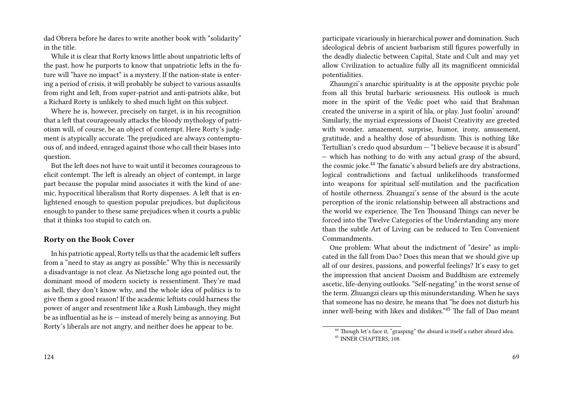dad Obrera before he dares to write another book with "solidarity" in the title.

While it is clear that Rorty knows little about unpatriotic lefts of the past, how he purports to know that unpatriotic lefts in the future will "have no impact" is a mystery. If the nation-state is entering a period of crisis, it will probably be subject to various assaults from right and left, from super-patriot and anti-patriots alike, but a Richard Rorty is unlikely to shed much light on this subject.

Where he is, however, precisely on target, is in his recognition that a left that courageously attacks the bloody mythology of patriotism will, of course, be an object of contempt. Here Rorty's judgment is atypically accurate. The prejudiced are always contemptuous of, and indeed, enraged against those who call their biases into question.

But the left does not have to wait until it becomes courageous to elicit contempt. The left is already an object of contempt, in large part because the popular mind associates it with the kind of anemic, hypocritical liberalism that Rorty dispenses. A left that is enlightened enough to question popular prejudices, but duplicitous enough to pander to these same prejudices when it courts a public that it thinks too stupid to catch on.

### **Rorty on the Book Cover**

In his patriotic appeal, Rorty tells us that the academic left suffers from a "need to stay as angry as possible." Why this is necessarily a disadvantage is not clear. As Nietzsche long ago pointed out, the dominant mood of modern society is ressentiment. They're mad as hell, they don't know why, and the whole idea of politics is to give them a good reason! If the academic leftists could harness the power of anger and resentment like a Rush Limbaugh, they might be as influential as he is — instead of merely being as annoying. But Rorty's liberals are not angry, and neither does he appear to be.

participate vicariously in hierarchical power and domination. Such ideological debris of ancient barbarism still figures powerfully in the deadly dialectic between Capital, State and Cult and may yet allow Civilization to actualize fully all its magnificent omnicidal potentialities.

Zhaungzi's anarchic spirituality is at the opposite psychic pole from all this brutal barbaric seriousness. His outlook is much more in the spirit of the Vedic poet who said that Brahman created the universe in a spirit of lila, or play. Just foolin' around! Similarly, the myriad expressions of Daoist Creativity are greeted with wonder, amazement, surprise, humor, irony, amusement, gratitude, and a healthy dose of absurdism. This is nothing like Tertullian's credo quod absurdum — "I believe because it is absurd" — which has nothing to do with any actual grasp of the absurd, the cosmic joke.<sup>44</sup> The fanatic's absurd beliefs are dry abstractions, logical contradictions and factual unlikelihoods transformed into weapons for spiritual self-mutilation and the pacification of hostile otherness. Zhuangzi's sense of the absurd is the acute perception of the ironic relationship between all abstractions and the world we experience. The Ten Thousand Things can never be forced into the Twelve Categories of the Understanding any more than the subtle Art of Living can be reduced to Ten Convenient Commandments.

One problem: What about the indictment of "desire" as implicated in the fall from Dao? Does this mean that we should give up all of our desires, passions, and powerful feelings? It's easy to get the impression that ancient Daoism and Buddhism are extremely ascetic, life-denying outlooks. "Self-negating" in the worst sense of the term. Zhuangzi clears up this misunderstanding. When he says that someone has no desire, he means that "he does not disturb his inner well-being with likes and dislikes."<sup>45</sup> The fall of Dao meant

<sup>&</sup>lt;sup>44</sup> Though let's face it, "grasping" the absurd is itself a rather absurd idea. <sup>45</sup> INNER CHAPTERS, 108.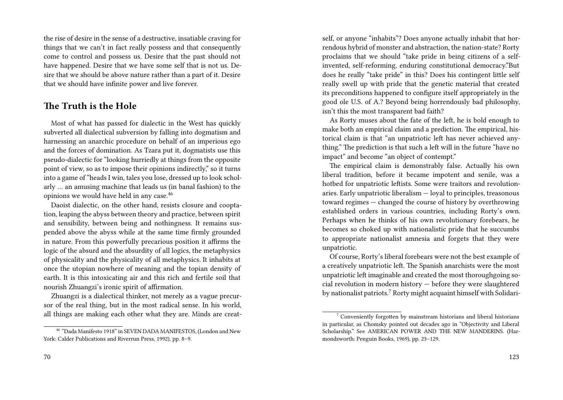the rise of desire in the sense of a destructive, insatiable craving for things that we can't in fact really possess and that consequently come to control and possess us. Desire that the past should not have happened. Desire that we have some self that is not us. Desire that we should be above nature rather than a part of it. Desire that we should have infinite power and live forever.

## **The Truth is the Hole**

Most of what has passed for dialectic in the West has quickly subverted all dialectical subversion by falling into dogmatism and harnessing an anarchic procedure on behalf of an imperious ego and the forces of domination. As Tzara put it, dogmatists use this pseudo-dialectic for "looking hurriedly at things from the opposite point of view, so as to impose their opinions indirectly," so it turns into a game of "heads I win, tales you lose, dressed up to look scholarly … an amusing machine that leads us (in banal fashion) to the opinions we would have held in any case.<sup>46</sup>

Daoist dialectic, on the other hand, resists closure and cooptation, leaping the abyss between theory and practice, between spirit and sensibility, between being and nothingness. It remains suspended above the abyss while at the same time firmly grounded in nature. From this powerfully precarious position it affirms the logic of the absurd and the absurdity of all logics, the metaphysics of physicality and the physicality of all metaphysics. It inhabits at once the utopian nowhere of meaning and the topian density of earth. It is this intoxicating air and this rich and fertile soil that nourish Zhuangzi's ironic spirit of affirmation.

Zhuangzi is a dialectical thinker, not merely as a vague precursor of the real thing, but in the most radical sense. In his world, all things are making each other what they are. Minds are creatself, or anyone "inhabits"? Does anyone actually inhabit that horrendous hybrid of monster and abstraction, the nation-state? Rorty proclaims that we should "take pride in being citizens of a selfinvented, self-reforming, enduring constitutional democracy."But does he really "take pride" in this? Does his contingent little self really swell up with pride that the genetic material that created its preconditions happened to configure itself appropriately in the good ole U.S. of A.? Beyond being horrendously bad philosophy, isn't this the most transparent bad faith?

As Rorty muses about the fate of the left, he is bold enough to make both an empirical claim and a prediction. The empirical, historical claim is that "an unpatriotic left has never achieved anything." The prediction is that such a left will in the future "have no impact" and become "an object of contempt."

The empirical claim is demonstrably false. Actually his own liberal tradition, before it became impotent and senile, was a hotbed for unpatriotic leftists. Some were traitors and revolutionaries. Early unpatriotic liberalism — loyal to principles, treasonous toward regimes — changed the course of history by overthrowing established orders in various countries, including Rorty's own. Perhaps when he thinks of his own revolutionary forebears, he becomes so choked up with nationalistic pride that he succumbs to appropriate nationalist amnesia and forgets that they were unpatriotic.

Of course, Rorty's liberal forebears were not the best example of a creatively unpatriotic left. The Spanish anarchists were the most unpatriotic left imaginable and created the most thoroughgoing social revolution in modern history — before they were slaughtered by nationalist patriots.<sup>7</sup> Rorty might acquaint himself with Solidari-

<sup>46</sup> "Dada Manifesto 1918" in SEVEN DADA MANIFESTOS, (London and New York: Calder Publications and Riverrun Press, 1992), pp. 8–9.

 $\frac{7}{1}$  Conveniently forgotten by mainstream historians and liberal historians in particular, as Chomsky pointed out decades ago in "Objectivity and Liberal Scholarship." See AMERICAN POWER AND THE NEW MANDERINS. (Harmondsworth: Penguin Books, 1969), pp. 23–129.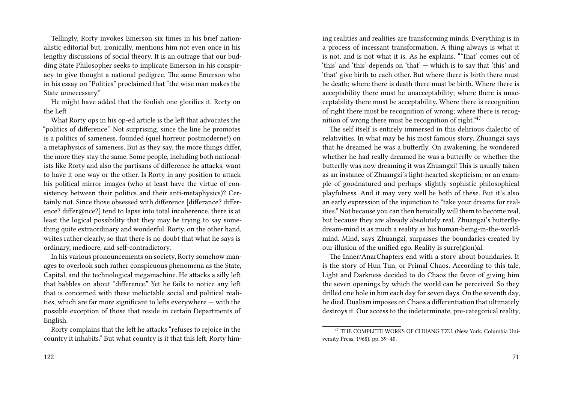Tellingly, Rorty invokes Emerson six times in his brief nationalistic editorial but, ironically, mentions him not even once in his lengthy discussions of social theory. It is an outrage that our budding State Philosopher seeks to implicate Emerson in his conspiracy to give thought a national pedigree. The same Emerson who in his essay on "Politics" proclaimed that "the wise man makes the State unnecessary."

He might have added that the foolish one glorifies it. Rorty on the Left

What Rorty ops in his op-ed article is the left that advocates the "politics of difference." Not surprising, since the line he promotes is a politics of sameness, founded (quel horreur postmoderne!) on a metaphysics of sameness. But as they say, the more things differ, the more they stay the same. Some people, including both nationalists like Rorty and also the partisans of difference he attacks, want to have it one way or the other. Is Rorty in any position to attack his political mirror images (who at least have the virtue of consistency between their politics and their anti-metaphysics)? Certainly not. Since those obsessed with difference [differance? difference? differ@nce?] tend to lapse into total incoherence, there is at least the logical possibility that they may be trying to say something quite extraordinary and wonderful. Rorty, on the other hand, writes rather clearly, so that there is no doubt that what he says is ordinary, mediocre, and self-contradictory.

In his various pronouncements on society, Rorty somehow manages to overlook such rather conspicuous phenomena as the State, Capital, and the technological megamachine. He attacks a silly left that babbles on about "difference." Yet he fails to notice any left that is concerned with these ineluctable social and political realities, which are far more significant to lefts everywhere — with the possible exception of those that reside in certain Departments of English.

Rorty complains that the left he attacks "refuses to rejoice in the country it inhabits." But what country is it that this left, Rorty him-

ing realities and realities are transforming minds. Everything is in a process of incessant transformation. A thing always is what it is not, and is not what it is. As he explains, "'That' comes out of 'this' and 'this' depends on 'that' — which is to say that 'this' and 'that' give birth to each other. But where there is birth there must be death; where there is death there must be birth. Where there is acceptability there must be unacceptability; where there is unacceptability there must be acceptability. Where there is recognition of right there must be recognition of wrong; where there is recognition of wrong there must be recognition of right."<sup>47</sup>

The self itself is entirely immersed in this delirious dialectic of relativities. In what may be his most famous story, Zhuangzi says that he dreamed he was a butterfly. On awakening, he wondered whether he had really dreamed he was a butterfly or whether the butterfly was now dreaming it was Zhuangzi! This is usually taken as an instance of Zhuangzi's light-hearted skepticism, or an example of goodnatured and perhaps slightly sophistic philosophical playfulness. And it may very well be both of these. But it's also an early expression of the injunction to "take your dreams for realities." Not because you can then heroically will them to become real, but because they are already absolutely real. Zhuangzi's butterflydream-mind is as much a reality as his human-being-in-the-worldmind. Mind, says Zhuangzi, surpasses the boundaries created by our illusion of the unified ego. Reality is surre(gion)al.

The Inner/AnarChapters end with a story about boundaries. It is the story of Hun Tun, or Primal Chaos. According to this tale, Light and Darkness decided to do Chaos the favor of giving him the seven openings by which the world can be perceived. So they drilled one hole in him each day for seven days. On the seventh day, he died. Dualism imposes on Chaos a differentiation that ultimately destroys it. Our access to the indeterminate, pre-categorical reality,

<sup>47</sup> THE COMPLETE WORKS OF CHUANG TZU. (New York: Columbia University Press, 1968), pp. 39–40.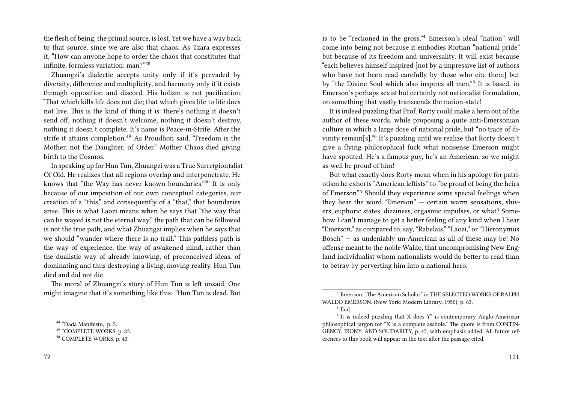the flesh of being, the primal source, is lost. Yet we have a way back to that source, since we are also that chaos. As Tzara expresses it, "How can anyone hope to order the chaos that constitutes that infinite, formless variation: man?"<sup>48</sup>

Zhuangzi's dialectic accepts unity only if it's pervaded by diversity, difference and multiplicity, and harmony only if it exists through opposition and discord. His holism is not pacification. "That which kills life does not die; that which gives life to life does not live. This is the kind of thing it is: there's nothing it doesn't send off, nothing it doesn't welcome, nothing it doesn't destroy, nothing it doesn't complete. It's name is Peace-in-Strife. After the strife it attains completion.<sup>49</sup> As Proudhon said, "Freedom is the Mother, not the Daughter, of Order." Mother Chaos died giving birth to the Cosmos.

In speaking up for Hun Tun, Zhuangzi was a True Surre(gion)alist Of Old. He realizes that all regions overlap and interpenetrate. He knows that "the Way has never known boundaries."<sup>50</sup> It is only because of our imposition of our own conceptual categories, our creation of a "this," and consequently of a "that," that boundaries arise. This is what Laozi means when he says that "the way that can be wayed is not the eternal way," the path that can be followed is not the true path, and what Zhuangzi implies when he says that we should "wander where there is no trail." This pathless path is the way of experience, the way of awakened mind, rather than the dualistic way of already knowing, of preconceived ideas, of dominating and thus destroying a living, moving reality. Hun Tun died and did not die.

The moral of Zhuangzi's story of Hun Tun is left unsaid. One might imagine that it's something like this: "Hun Tun is dead. But is to be "reckoned in the gross."<sup>4</sup> Emerson's ideal "nation" will come into being not because it embodies Rortian "national pride" but because of its freedom and universality. It will exist because "each believes himself inspired [not by a impressive list of authors who have not been read carefully by those who cite them] but by "the Divine Soul which also inspires all men."<sup>5</sup> It is based, in Emerson's perhaps sexist but certainly not nationalist formulation, on something that vastly transcends the nation-state!

It is indeed puzzling that Prof. Rorty could make a hero out of the author of these words, while proposing a quite anti-Emersonian culture in which a large dose of national pride, but "no trace of divinity remain[s]."<sup>6</sup> It's puzzling until we realize that Rorty doesn't give a flying philosophical fuck what nonsense Emerson might have spouted. He's a famous guy, he's an American, so we might as well be proud of him!

But what exactly does Rorty mean when in his apology for patriotism he exhorts "American leftists" to "be proud of being the heirs of Emerson"? Should they experience some special feelings when they hear the word "Emerson" — certain warm sensations, shivers, euphoric states, dizziness, orgasmic impulses, or what? Somehow I can't manage to get a better feeling of any kind when I hear "Emerson," as compared to, say, "Rabelais," "Laozi," or "Hieronymus Bosch" — as undeniably un-American as all of these may be! No offense meant to the noble Waldo, that uncompromising New England individualist whom nationalists would do better to read than to betray by perverting him into a national hero.

 $^{48}$  "Dada Manifesto," p. 5.

<sup>49</sup> "COMPLETE WORKS, p. 83.

<sup>50</sup> COMPLETE WORKS, p. 43.

<sup>4</sup> Emerson, "The American Scholar" in THE SELECTED WORKS OF RALPH WALDO EMERSON. (New York: Modern Library, 1950), p. 63.

<sup>5</sup> Ibid.

 $6$  It is indeed puzzling that X does Y" is contemporary Anglo-American philosophical jargon for "X is a complete asshole." The quote is from CONTIN-GENCY, IRONY, AND SOLIDARITY, p. 45, with emphasis added. All future references to this book will appear in the text after the passage cited.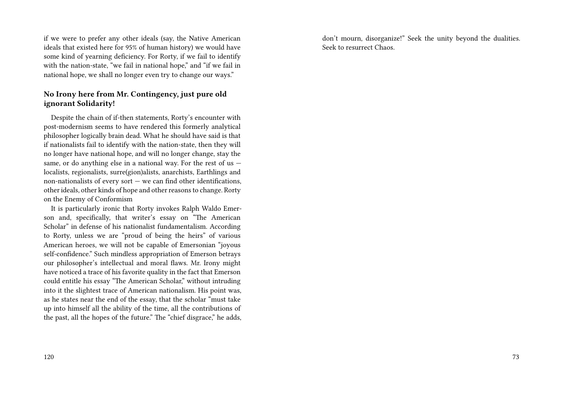if we were to prefer any other ideals (say, the Native American ideals that existed here for 95% of human history) we would have some kind of yearning deficiency. For Rorty, if we fail to identify with the nation-state, "we fail in national hope," and "if we fail in national hope, we shall no longer even try to change our ways."

## **No Irony here from Mr. Contingency, just pure old ignorant Solidarity!**

Despite the chain of if-then statements, Rorty's encounter with post-modernism seems to have rendered this formerly analytical philosopher logically brain dead. What he should have said is that if nationalists fail to identify with the nation-state, then they will no longer have national hope, and will no longer change, stay the same, or do anything else in a national way. For the rest of us localists, regionalists, surre(gion)alists, anarchists, Earthlings and non-nationalists of every sort  $-$  we can find other identifications, other ideals, other kinds of hope and other reasons to change. Rorty on the Enemy of Conformism

It is particularly ironic that Rorty invokes Ralph Waldo Emerson and, specifically, that writer's essay on "The American Scholar" in defense of his nationalist fundamentalism. According to Rorty, unless we are "proud of being the heirs" of various American heroes, we will not be capable of Emersonian "joyous self-confidence." Such mindless appropriation of Emerson betrays our philosopher's intellectual and moral flaws. Mr. Irony might have noticed a trace of his favorite quality in the fact that Emerson could entitle his essay "The American Scholar," without intruding into it the slightest trace of American nationalism. His point was, as he states near the end of the essay, that the scholar "must take up into himself all the ability of the time, all the contributions of the past, all the hopes of the future." The "chief disgrace," he adds, don't mourn, disorganize!" Seek the unity beyond the dualities. Seek to resurrect Chaos.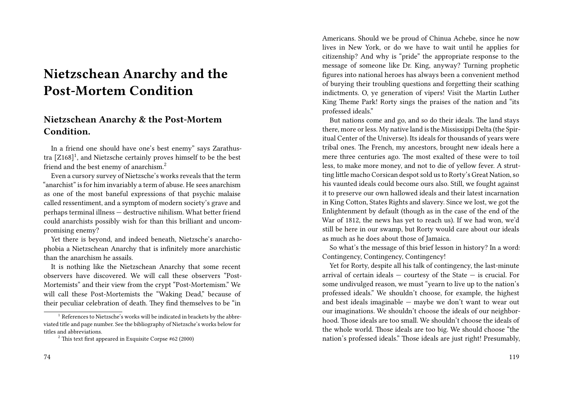# **Nietzschean Anarchy and the Post-Mortem Condition**

# **Nietzschean Anarchy & the Post-Mortem Condition.**

In a friend one should have one's best enemy" says Zarathustra [Z168]<sup>1</sup>, and Nietzsche certainly proves himself to be the best friend and the best enemy of anarchism.<sup>2</sup>

Even a cursory survey of Nietzsche's works reveals that the term "anarchist" is for him invariably a term of abuse. He sees anarchism as one of the most baneful expressions of that psychic malaise called ressentiment, and a symptom of modern society's grave and perhaps terminal illness — destructive nihilism. What better friend could anarchists possibly wish for than this brilliant and uncompromising enemy?

Yet there is beyond, and indeed beneath, Nietzsche's anarchophobia a Nietzschean Anarchy that is infinitely more anarchistic than the anarchism he assails.

It is nothing like the Nietzschean Anarchy that some recent observers have discovered. We will call these observers "Post-Mortemists" and their view from the crypt "Post-Mortemism." We will call these Post-Mortemists the "Waking Dead," because of their peculiar celebration of death. They find themselves to be "in

Americans. Should we be proud of Chinua Achebe, since he now lives in New York, or do we have to wait until he applies for citizenship? And why is "pride" the appropriate response to the message of someone like Dr. King, anyway? Turning prophetic figures into national heroes has always been a convenient method of burying their troubling questions and forgetting their scathing indictments. O, ye generation of vipers! Visit the Martin Luther King Theme Park! Rorty sings the praises of the nation and "its professed ideals."

But nations come and go, and so do their ideals. The land stays there, more or less. My native land is the Mississippi Delta (the Spiritual Center of the Universe). Its ideals for thousands of years were tribal ones. The French, my ancestors, brought new ideals here a mere three centuries ago. The most exalted of these were to toil less, to make more money, and not to die of yellow fever. A strutting little macho Corsican despot sold us to Rorty's Great Nation, so his vaunted ideals could become ours also. Still, we fought against it to preserve our own hallowed ideals and their latest incarnation in King Cotton, States Rights and slavery. Since we lost, we got the Enlightenment by default (though as in the case of the end of the War of 1812, the news has yet to reach us). If we had won, we'd still be here in our swamp, but Rorty would care about our ideals as much as he does about those of Jamaica.

So what's the message of this brief lesson in history? In a word: Contingency, Contingency, Contingency!

Yet for Rorty, despite all his talk of contingency, the last-minute arrival of certain ideals  $-$  courtesy of the State  $-$  is crucial. For some undivulged reason, we must "yearn to live up to the nation's professed ideals." We shouldn't choose, for example, the highest and best ideals imaginable — maybe we don't want to wear out our imaginations. We shouldn't choose the ideals of our neighborhood. Those ideals are too small. We shouldn't choose the ideals of the whole world. Those ideals are too big. We should choose "the nation's professed ideals." Those ideals are just right! Presumably,

 $1$  References to Nietzsche's works will be indicated in brackets by the abbreviated title and page number. See the bibliography of Nietzsche's works below for titles and abbreviations.

 $2$  This text first appeared in Exquisite Corpse #62 (2000)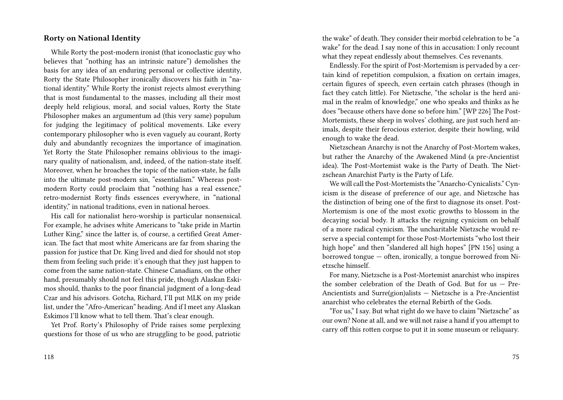### **Rorty on National Identity**

While Rorty the post-modern ironist (that iconoclastic guy who believes that "nothing has an intrinsic nature") demolishes the basis for any idea of an enduring personal or collective identity, Rorty the State Philosopher ironically discovers his faith in "national identity." While Rorty the ironist rejects almost everything that is most fundamental to the masses, including all their most deeply held religious, moral, and social values, Rorty the State Philosopher makes an argumentum ad (this very same) populum for judging the legitimacy of political movements. Like every contemporary philosopher who is even vaguely au courant, Rorty duly and abundantly recognizes the importance of imagination. Yet Rorty the State Philosopher remains oblivious to the imaginary quality of nationalism, and, indeed, of the nation-state itself. Moreover, when he broaches the topic of the nation-state, he falls into the ultimate post-modern sin, "essentialism." Whereas postmodern Rorty could proclaim that "nothing has a real essence," retro-modernist Rorty finds essences everywhere, in "national identity," in national traditions, even in national heroes.

His call for nationalist hero-worship is particular nonsensical. For example, he advises white Americans to "take pride in Martin Luther King," since the latter is, of course, a certified Great American. The fact that most white Americans are far from sharing the passion for justice that Dr. King lived and died for should not stop them from feeling such pride: it's enough that they just happen to come from the same nation-state. Chinese Canadians, on the other hand, presumably should not feel this pride, though Alaskan Eskimos should, thanks to the poor financial judgment of a long-dead Czar and his advisors. Gotcha, Richard, I'll put MLK on my pride list, under the "Afro-American" heading. And if I meet any Alaskan Eskimos I'll know what to tell them. That's clear enough.

Yet Prof. Rorty's Philosophy of Pride raises some perplexing questions for those of us who are struggling to be good, patriotic

the wake" of death. They consider their morbid celebration to be "a wake" for the dead. I say none of this in accusation: I only recount what they repeat endlessly about themselves. Ces revenants.

Endlessly. For the spirit of Post-Mortemism is pervaded by a certain kind of repetition compulsion, a fixation on certain images, certain figures of speech, even certain catch phrases (though in fact they catch little). For Nietzsche, "the scholar is the herd animal in the realm of knowledge," one who speaks and thinks as he does "because others have done so before him." [WP 226] The Post-Mortemists, these sheep in wolves' clothing, are just such herd animals, despite their ferocious exterior, despite their howling, wild enough to wake the dead.

Nietzschean Anarchy is not the Anarchy of Post-Mortem wakes, but rather the Anarchy of the Awakened Mind (a pre-Ancientist idea). The Post-Mortemist wake is the Party of Death. The Nietzschean Anarchist Party is the Party of Life.

We will call the Post-Mortemists the "Anarcho-Cynicalists." Cynicism is the disease of preference of our age, and Nietzsche has the distinction of being one of the first to diagnose its onset. Post-Mortemism is one of the most exotic growths to blossom in the decaying social body. It attacks the reigning cynicism on behalf of a more radical cynicism. The uncharitable Nietzsche would reserve a special contempt for those Post-Mortemists "who lost their high hope" and then "slandered all high hopes" [PN 156] using a borrowed tongue — often, ironically, a tongue borrowed from Nietzsche himself.

For many, Nietzsche is a Post-Mortemist anarchist who inspires the somber celebration of the Death of God. But for us — Pre-Ancientists and Surre(gion)alists — Nietzsche is a Pre-Ancientist anarchist who celebrates the eternal Rebirth of the Gods.

"For us," I say. But what right do we have to claim "Nietzsche" as our own? None at all, and we will not raise a hand if you attempt to carry off this rotten corpse to put it in some museum or reliquary.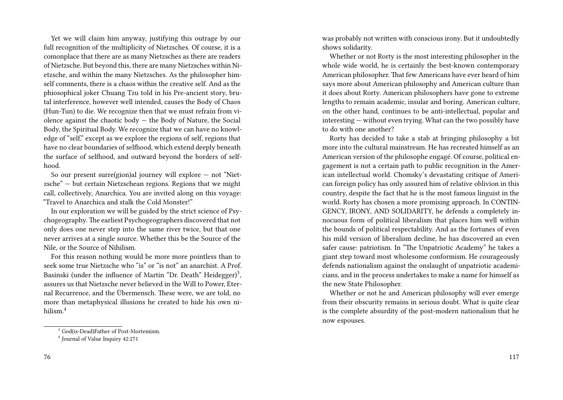Yet we will claim him anyway, justifying this outrage by our full recognition of the multiplicity of Nietzsches. Of course, it is a comonplace that there are as many Nietzsches as there are readers of Nietzsche. But beyond this, there are many Nietzsches within Nietzsche, and within the many Nietzsches. As the philosopher himself comments, there is a chaos within the creative self. And as the phiosophical joker Chuang Tzu told in his Pre-ancient story, brutal interference, however well intended, causes the Body of Chaos (Hun-Tun) to die. We recognize then that we must refrain from violence against the chaotic body — the Body of Nature, the Social Body, the Spiritual Body. We recognize that we can have no knowledge of "self," except as we explore the regions of self, regions that have no clear boundaries of selfhood, which extend deeply beneath the surface of selfhood, and outward beyond the borders of selfhood.

So our present surre(gion)al journey will explore — not "Nietzsche" — but certain Nietzschean regions. Regions that we might call, collectively, Anarchica. You are invited along on this voyage: "Travel to Anarchica and stalk the Cold Monster!"

In our exploration we will be guided by the strict science of Psychogeography. The earliest Psychogeographers discovered that not only does one never step into the same river twice, but that one never arrives at a single source. Whether this be the Source of the Nile, or the Source of Nihilism.

For this reason nothing would be more more pointless than to seek some true Nietzsche who "is" or "is not" an anarchist. A Prof. Basinski (under the influence of Martin "Dr. Death" Heidegger)<sup>3</sup>, assures us that Nietzsche never believed in the Will to Power, Eternal Recurrence, and the Übermensch. These were, we are told, no more than metaphysical illusions he created to hide his own nihilism.<sup>4</sup>

was probably not written with conscious irony. But it undoubtedly shows solidarity.

Whether or not Rorty is the most interesting philosopher in the whole wide world, he is certainly the best-known contemporary American philosopher. That few Americans have ever heard of him says more about American philosophy and American culture than it does about Rorty. American philosophers have gone to extreme lengths to remain academic, insular and boring. American culture, on the other hand, continues to be anti-intellectual, popular and interesting — without even trying. What can the two possibly have to do with one another?

Rorty has decided to take a stab at bringing philosophy a bit more into the cultural mainstream. He has recreated himself as an American version of the philosophe engagé. Of course, political engagement is not a certain path to public recognition in the American intellectual world. Chomsky's devastating critique of American foreign policy has only assured him of relative oblivion in this country, despite the fact that he is the most famous linguist in the world. Rorty has chosen a more promising approach. In CONTIN-GENCY, IRONY, AND SOLIDARITY, he defends a completely innocuous form of political liberalism that places him well within the bounds of political respectability. And as the fortunes of even his mild version of liberalism decline, he has discovered an even safer cause: patriotism. In "The Unpatriotic Academy" he takes a giant step toward most wholesome conformism. He courageously defends nationalism against the onslaught of unpatriotic academicians, and in the process undertakes to make a name for himself as the new State Philosopher.

Whether or not he and American philosophy will ever emerge from their obscurity remains in serious doubt. What is quite clear is the complete absurdity of the post-modern nationalism that he now espouses.

<sup>3</sup> God(is-Dead)Father of Post-Mortemism.

<sup>4</sup> Journal of Value Inquiry 42:271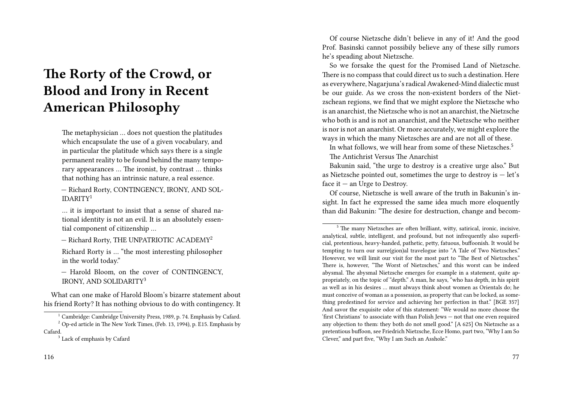# **The Rorty of the Crowd, or Blood and Irony in Recent American Philosophy**

The metaphysician … does not question the platitudes which encapsulate the use of a given vocabulary, and in particular the platitude which says there is a single permanent reality to be found behind the many temporary appearances … The ironist, by contrast … thinks that nothing has an intrinsic nature, a real essence.

— Richard Rorty, CONTINGENCY, IRONY, AND SOL-IDARITY<sup>1</sup>

… it is important to insist that a sense of shared national identity is not an evil. It is an absolutely essential component of citizenship …

— Richard Rorty, THE UNPATRIOTIC ACADEMY<sup>2</sup>

Richard Rorty is … "the most interesting philosopher in the world today."

— Harold Bloom, on the cover of CONTINGENCY, IRONY, AND SOLIDARITY<sup>3</sup>

What can one make of Harold Bloom's bizarre statement about his friend Rorty? It has nothing obvious to do with contingency. It

Of course Nietzsche didn't believe in any of it! And the good Prof. Basinski cannot possibily believe any of these silly rumors he's speading about Nietzsche.

So we forsake the quest for the Promised Land of Nietzsche. There is no compass that could direct us to such a destination. Here as everywhere, Nagarjuna's radical Awakened-Mind dialectic must be our guide. As we cross the non-existent borders of the Nietzschean regions, we find that we might explore the Nietzsche who is an anarchist, the Nietzsche who is not an anarchist, the Nietzsche who both is and is not an anarchist, and the Nietzsche who neither is nor is not an anarchist. Or more accurately, we might explore the ways in which the many Nietzsches are and are not all of these.

In what follows, we will hear from some of these Nietzsches.<sup>5</sup> The Antichrist Versus The Anarchist

Bakunin said, "the urge to destroy is a creative urge also." But as Nietzsche pointed out, sometimes the urge to destroy is  $-$  let's face it  $-$  an Urge to Destroy.

Of course, Nietzsche is well aware of the truth in Bakunin's insight. In fact he expressed the same idea much more eloquently than did Bakunin: "The desire for destruction, change and becom-

 $1$  Cambridge: Cambridge University Press, 1989, p. 74. Emphasis by Cafard.  $2$  Op-ed article in The New York Times, (Feb. 13, 1994), p. E15. Emphasis by

Cafard.

<sup>&</sup>lt;sup>3</sup> Lack of emphasis by Cafard

<sup>&</sup>lt;sup>5</sup> The many Nietzsches are often brilliant, witty, satirical, ironic, incisive, analytical, subtle, intelligent, and profound, but not infrequently also superficial, pretentious, heavy-handed, pathetic, petty, fatuous, buffoonish. It would be tempting to turn our surre(gion)al travelogue into "A Tale of Two Nietzsches." However, we will limit our visit for the most part to "The Best of Nietzsches." There is, however, "The Worst of Nietzsches," and this worst can be indeed abysmal. The abysmal Nietzsche emerges for example in a statement, quite appropriately, on the topic of "depth." A man, he says, "who has depth, in his spirit as well as in his desires … must always think about women as Orientals do; he must conceive of woman as a possession, as property that can be locked, as something predestined for service and achieving her perfection in that." [BGE 357] And savor the exquisite odor of this statement: "We would no more choose the 'first Christians' to associate with than Polish Jews — not that one even required any objection to them: they both do not smell good." [A 625] On Nietzsche as a pretentious buffoon, see Friedrich Nietzsche, Ecce Homo, part two, "Why I am So Clever," and part five, "Why I am Such an Asshole."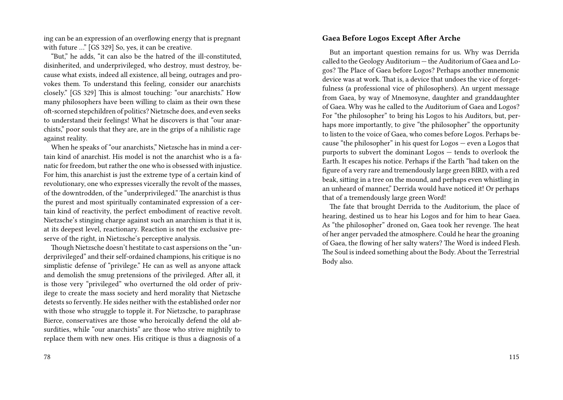ing can be an expression of an overflowing energy that is pregnant with future …" [GS 329] So, yes, it can be creative.

"But," he adds, "it can also be the hatred of the ill-constituted, disinherited, and underprivileged, who destroy, must destroy, because what exists, indeed all existence, all being, outrages and provokes them. To understand this feeling, consider our anarchists closely." [GS 329] This is almost touching: "our anarchists." How many philosophers have been willing to claim as their own these oft-scorned stepchildren of politics? Nietzsche does, and even seeks to understand their feelings! What he discovers is that "our anarchists," poor souls that they are, are in the grips of a nihilistic rage against reality.

When he speaks of "our anarchists," Nietzsche has in mind a certain kind of anarchist. His model is not the anarchist who is a fanatic for freedom, but rather the one who is obsessed with injustice. For him, this anarchist is just the extreme type of a certain kind of revolutionary, one who expresses vicerally the revolt of the masses, of the downtrodden, of the "underprivileged." The anarchist is thus the purest and most spiritually contaminated expression of a certain kind of reactivity, the perfect embodiment of reactive revolt. Nietzsche's stinging charge against such an anarchism is that it is, at its deepest level, reactionary. Reaction is not the exclusive preserve of the right, in Nietzsche's perceptive analysis.

Though Nietzsche doesn't hestitate to cast aspersions on the "underprivileged" and their self-ordained champions, his critique is no simplistic defense of "privilege." He can as well as anyone attack and demolish the smug pretensions of the privileged. After all, it is those very "privileged" who overturned the old order of privilege to create the mass society and herd morality that Nietzsche detests so fervently. He sides neither with the established order nor with those who struggle to topple it. For Nietzsche, to paraphrase Bierce, conservatives are those who heroically defend the old absurdities, while "our anarchists" are those who strive mightily to replace them with new ones. His critique is thus a diagnosis of a

### **Gaea Before Logos Except After Arche**

But an important question remains for us. Why was Derrida called to the Geology Auditorium — the Auditorium of Gaea and Logos? The Place of Gaea before Logos? Perhaps another mnemonic device was at work. That is, a device that undoes the vice of forgetfulness (a professional vice of philosophers). An urgent message from Gaea, by way of Mnemosyne, daughter and granddaughter of Gaea. Why was he called to the Auditorium of Gaea and Logos? For "the philosopher" to bring his Logos to his Auditors, but, perhaps more importantly, to give "the philosopher" the opportunity to listen to the voice of Gaea, who comes before Logos. Perhaps because "the philosopher" in his quest for Logos — even a Logos that purports to subvert the dominant Logos — tends to overlook the Earth. It escapes his notice. Perhaps if the Earth "had taken on the figure of a very rare and tremendously large green BIRD, with a red beak, sitting in a tree on the mound, and perhaps even whistling in an unheard of manner," Derrida would have noticed it! Or perhaps that of a tremendously large green Word!

The fate that brought Derrida to the Auditorium, the place of hearing, destined us to hear his Logos and for him to hear Gaea. As "the philosopher" droned on, Gaea took her revenge. The heat of her anger pervaded the atmosphere. Could he hear the groaning of Gaea, the flowing of her salty waters? The Word is indeed Flesh. The Soul is indeed something about the Body. About the Terrestrial Body also.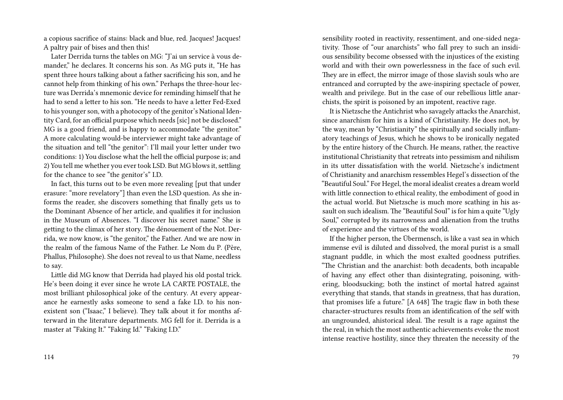a copious sacrifice of stains: black and blue, red. Jacques! Jacques! A paltry pair of bises and then this!

Later Derrida turns the tables on MG: "J'ai un service à vous demander," he declares. It concerns his son. As MG puts it, "He has spent three hours talking about a father sacrificing his son, and he cannot help from thinking of his own." Perhaps the three-hour lecture was Derrida's mnemonic device for reminding himself that he had to send a letter to his son. "He needs to have a letter Fed-Exed to his younger son, with a photocopy of the genitor's National Identity Card, for an official purpose which needs [sic] not be disclosed." MG is a good friend, and is happy to accommodate "the genitor." A more calculating would-be interviewer might take advantage of the situation and tell "the genitor": I'll mail your letter under two conditions: 1) You disclose what the hell the official purpose is; and 2) You tell me whether you ever took LSD. But MG blows it, settling for the chance to see "the genitor's" I.D.

In fact, this turns out to be even more revealing [put that under erasure: "more revelatory"] than even the LSD question. As she informs the reader, she discovers something that finally gets us to the Dominant Absence of her article, and qualifies it for inclusion in the Museum of Absences. "I discover his secret name." She is getting to the climax of her story. The dénouement of the Not. Derrida, we now know, is "the genitor," the Father. And we are now in the realm of the famous Name of the Father. Le Nom du P. (Père, Phallus, Philosophe). She does not reveal to us that Name, needless to say.

Little did MG know that Derrida had played his old postal trick. He's been doing it ever since he wrote LA CARTE POSTALE, the most brilliant philosophical joke of the century. At every appearance he earnestly asks someone to send a fake I.D. to his nonexistent son ("Isaac," I believe). They talk about it for months afterward in the literature departments. MG fell for it. Derrida is a master at "Faking It." "Faking Id." "Faking I.D."

sensibility rooted in reactivity, ressentiment, and one-sided negativity. Those of "our anarchists" who fall prey to such an insidious sensibility become obsessed with the injustices of the existing world and with their own powerlessness in the face of such evil. They are in effect, the mirror image of those slavish souls who are entranced and corrupted by the awe-inspiring spectacle of power, wealth and privilege. But in the case of our rebellious little anarchists, the spirit is poisoned by an impotent, reactive rage.

It is Nietzsche the Antichrist who savagely attacks the Anarchist, since anarchism for him is a kind of Christianity. He does not, by the way, mean by "Christianity" the spiritually and socially inflamatory teachings of Jesus, which he shows to be ironically negated by the entire history of the Church. He means, rather, the reactive institutional Christianity that retreats into pessimism and nihilism in its utter dissatisfation with the world. Nietzsche's indictment of Christianity and anarchism ressembles Hegel's dissection of the "Beautiful Soul." For Hegel, the moral idealist creates a dream world with little connection to ethical reality, the embodiment of good in the actual world. But Nietzsche is much more scathing in his assault on such idealism. The "Beautiful Soul" is for him a quite "Ugly Soul," corrupted by its narrowness and alienation from the truths of experience and the virtues of the world.

If the higher person, the Übermensch, is like a vast sea in which immense evil is diluted and dissolved, the moral purist is a small stagnant puddle, in which the most exalted goodness putrifies. "The Christian and the anarchist: both decadents, both incapable of having any effect other than disintegrating, poisoning, withering, bloodsucking; both the instinct of mortal hatred against everything that stands, that stands in greatness, that has duration, that promises life a future." [A 648] The tragic flaw in both these character-structures results from an identification of the self with an ungrounded, ahistorical ideal. The result is a rage against the the real, in which the most authentic achievements evoke the most intense reactive hostility, since they threaten the necessity of the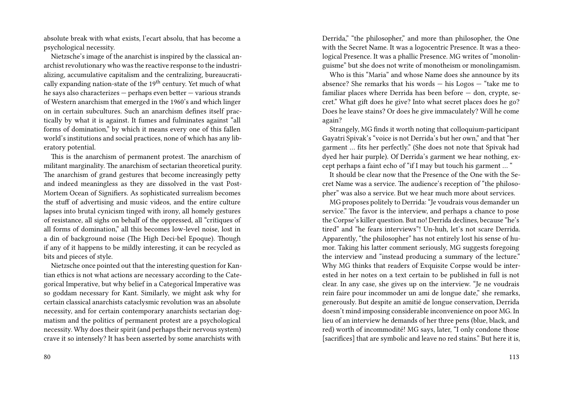absolute break with what exists, l'ecart absolu, that has become a psychological necessity.

Nietzsche's image of the anarchist is inspired by the classical anarchist revolutionary who was the reactive response to the industrializing, accumulative capitalism and the centralizing, bureaucratically expanding nation-state of the 19<sup>th</sup> century. Yet much of what he says also characterizes — perhaps even better — various strands of Western anarchism that emerged in the 1960's and which linger on in certain subcultures. Such an anarchism defines itself practically by what it is against. It fumes and fulminates against "all forms of domination," by which it means every one of this fallen world's institutions and social practices, none of which has any liberatory potential.

This is the anarchism of permanent protest. The anarchism of militant marginality. The anarchism of sectarian theoretical purity. The anarchism of grand gestures that become increasingly petty and indeed meaningless as they are dissolved in the vast Post-Mortem Ocean of Signifiers. As sophisticated surrealism becomes the stuff of advertising and music videos, and the entire culture lapses into brutal cynicism tinged with irony, all homely gestures of resistance, all sighs on behalf of the oppressed, all "critiques of all forms of domination," all this becomes low-level noise, lost in a din of background noise (The High Deci-bel Epoque). Though if any of it happens to be mildly interesting, it can be recycled as bits and pieces of style.

Nietzsche once pointed out that the interesting question for Kantian ethics is not what actions are necessary according to the Categorical Imperative, but why belief in a Categorical Imperative was so goddam necessary for Kant. Similarly, we might ask why for certain classical anarchists cataclysmic revolution was an absolute necessity, and for certain contemporary anarchists sectarian dogmatism and the politics of permanent protest are a psychological necessity. Why does their spirit (and perhaps their nervous system) crave it so intensely? It has been asserted by some anarchists with Derrida," "the philosopher," and more than philosopher, the One with the Secret Name. It was a logocentric Presence. It was a theological Presence. It was a phallic Presence. MG writes of "monolinguisme" but she does not write of monotheism or monolingamism.

Who is this "Maria" and whose Name does she announce by its absence? She remarks that his words  $-$  his Logos  $-$  "take me to familiar places where Derrida has been before — don, crypte, secret." What gift does he give? Into what secret places does he go? Does he leave stains? Or does he give immaculately? Will he come again?

Strangely, MG finds it worth noting that colloquium-participant Gayatri Spivak's "voice is not Derrida's but her own," and that "her garment … fits her perfectly." (She does not note that Spivak had dyed her hair purple). Of Derrida's garment we hear nothing, except perhaps a faint echo of "if I may but touch his garment … "

It should be clear now that the Presence of the One with the Secret Name was a service. The audience's reception of "the philosopher" was also a service. But we hear much more about services.

MG proposes politely to Derrida: "Je voudrais vous demander un service." The favor is the interview, and perhaps a chance to pose the Corpse's killer question. But no! Derrida declines, because "he's tired" and "he fears interviews"! Un-huh, let's not scare Derrida. Apparently, "the philosopher" has not entirely lost his sense of humor. Taking his latter comment seriously, MG suggests foregoing the interview and "instead producing a summary of the lecture." Why MG thinks that readers of Exquisite Corpse would be interested in her notes on a text certain to be published in full is not clear. In any case, she gives up on the interview. "Je ne voudrais rein faire pour incommoder un ami de longue date," she remarks, generously. But despite an amitié de longue conservation, Derrida doesn't mind imposing considerable inconvenience on poor MG. In lieu of an interview he demands of her three pens (blue, black, and red) worth of incommodité! MG says, later, "I only condone those [sacrifices] that are symbolic and leave no red stains." But here it is,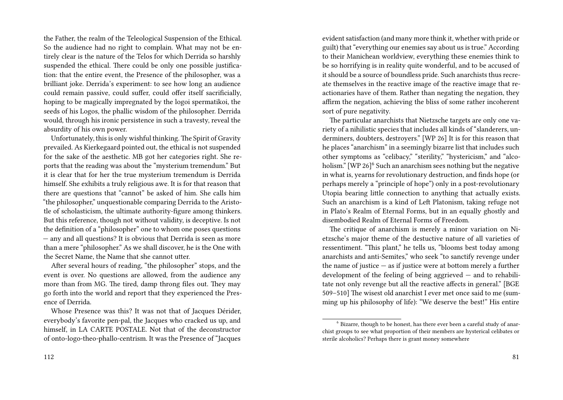the Father, the realm of the Teleological Suspension of the Ethical. So the audience had no right to complain. What may not be entirely clear is the nature of the Telos for which Derrida so harshly suspended the ethical. There could be only one possible justification: that the entire event, the Presence of the philosopher, was a brilliant joke. Derrida's experiment: to see how long an audience could remain passive, could suffer, could offer itself sacrificially, hoping to be magically impregnated by the logoi spermatikoi, the seeds of his Logos, the phallic wisdom of the philosopher. Derrida would, through his ironic persistence in such a travesty, reveal the absurdity of his own power.

Unfortunately, this is only wishful thinking.The Spirit of Gravity prevailed. As Kierkegaard pointed out, the ethical is not suspended for the sake of the aesthetic. MB got her categories right. She reports that the reading was about the "mysterium tremendum." But it is clear that for her the true mysterium tremendum is Derrida himself. She exhibits a truly religious awe. It is for that reason that there are questions that "cannot" be asked of him. She calls him "the philosopher," unquestionable comparing Derrida to the Aristotle of scholasticism, the ultimate authority-figure among thinkers. But this reference, though not without validity, is deceptive. Is not the definition of a "philosopher" one to whom one poses questions — any and all questions? It is obvious that Derrida is seen as more than a mere "philosopher." As we shall discover, he is the One with the Secret Name, the Name that she cannot utter.

After several hours of reading, "the philosopher" stops, and the event is over. No questions are allowed, from the audience any more than from MG. The tired, damp throng files out. They may go forth into the world and report that they experienced the Presence of Derrida.

Whose Presence was this? It was not that of Jacques Dérider, everybody's favorite pen-pal, the Jacques who cracked us up, and himself, in LA CARTE POSTALE. Not that of the deconstructor of onto-logo-theo-phallo-centrism. It was the Presence of "Jacques

evident satisfaction (and many more think it, whether with pride or guilt) that "everything our enemies say about us is true." According to their Manichean worldview, everything these enemies think to be so horrifying is in reality quite wonderful, and to be accused of it should be a source of boundless pride. Such anarchists thus recreate themselves in the reactive image of the reactive image that reactionaries have of them. Rather than negating the negation, they affirm the negation, achieving the bliss of some rather incoherent sort of pure negativity.

The particular anarchists that Nietzsche targets are only one variety of a nihilistic species that includes all kinds of "slanderers, underminers, doubters, destroyers." [WP 26] It is for this reason that he places "anarchism" in a seemingly bizarre list that includes such other symptoms as "celibacy," "sterility," "hystericism," and "alcoholism." [WP  $26$ ]<sup>6</sup> Such an anarchism sees nothing but the negative in what is, yearns for revolutionary destruction, and finds hope (or perhaps merely a "principle of hope") only in a post-revolutionary Utopia bearing little connection to anything that actually exists. Such an anarchism is a kind of Left Platonism, taking refuge not in Plato's Realm of Eternal Forms, but in an equally ghostly and disembodied Realm of Eternal Forms of Freedom.

The critique of anarchism is merely a minor variation on Nietzsche's major theme of the destuctive nature of all varieties of ressentiment. "This plant," he tells us, "blooms best today among anarchists and anti-Semites," who seek "to sanctify revenge under the name of justice  $-$  as if justice were at bottom merely a further development of the feeling of being aggrieved — and to rehabilitate not only revenge but all the reactive affects in general." [BGE 509–510] The wisest old anarchist I ever met once said to me (summing up his philosophy of life): "We deserve the best!" His entire

<sup>6</sup> Bizarre, though to be honest, has there ever been a careful study of anarchist groups to see what proportion of their members are hysterical celibates or sterile alcoholics? Perhaps there is grant money somewhere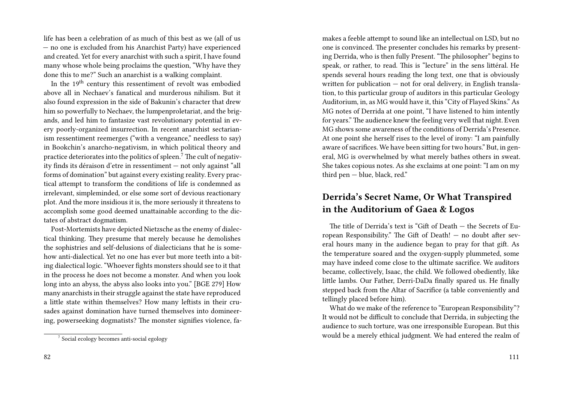life has been a celebration of as much of this best as we (all of us — no one is excluded from his Anarchist Party) have experienced and created. Yet for every anarchist with such a spirit, I have found many whose whole being proclaims the question, "Why have they done this to me?" Such an anarchist is a walking complaint.

In the 19<sup>th</sup> century this ressentiment of revolt was embodied above all in Nechaev's fanatical and murderous nihilism. But it also found expression in the side of Bakunin's character that drew him so powerfully to Nechaev, the lumpenproletariat, and the brigands, and led him to fantasize vast revolutionary potential in every poorly-organized insurrection. In recent anarchist sectarianism ressentiment reemerges ("with a vengeance," needless to say) in Bookchin's anarcho-negativism, in which political theory and practice deteriorates into the politics of spleen.<sup>7</sup> The cult of negativity finds its déraison d'etre in ressentiment — not only against "all forms of domination" but against every existing reality. Every practical attempt to transform the conditions of life is condemned as irrelevant, simpleminded, or else some sort of devious reactionary plot. And the more insidious it is, the more seriously it threatens to accomplish some good deemed unattainable according to the dictates of abstract dogmatism.

Post-Mortemists have depicted Nietzsche as the enemy of dialectical thinking. They presume that merely because he demolishes the sophistries and self-delusions of dialecticians that he is somehow anti-dialectical. Yet no one has ever but more teeth into a biting dialectical logic. "Whoever fights monsters should see to it that in the process he does not become a monster. And when you look long into an abyss, the abyss also looks into you." [BGE 279] How many anarchists in their struggle against the state have reproduced a little state within themselves? How many leftists in their crusades against domination have turned themselves into domineering, powerseeking dogmatists? The monster signifies violence, famakes a feeble attempt to sound like an intellectual on LSD, but no one is convinced. The presenter concludes his remarks by presenting Derrida, who is then fully Present. "The philosopher" begins to speak, or rather, to read. This is "lecture" in the sens littéral. He spends several hours reading the long text, one that is obviously written for publication — not for oral delivery, in English translation, to this particular group of auditors in this particular Geology Auditorium, in, as MG would have it, this "City of Flayed Skins." As MG notes of Derrida at one point, "I have listened to him intently for years." The audience knew the feeling very well that night. Even MG shows some awareness of the conditions of Derrida's Presence. At one point she herself rises to the level of irony: "I am painfully aware of sacrifices. We have been sitting for two hours." But, in general, MG is overwhelmed by what merely bathes others in sweat. She takes copious notes. As she exclaims at one point: "I am on my third pen — blue, black, red."

## **Derrida's Secret Name, Or What Transpired in the Auditorium of Gaea & Logos**

The title of Derrida's text is "Gift of Death — the Secrets of European Responsibility." The Gift of Death! — no doubt after several hours many in the audience began to pray for that gift. As the temperature soared and the oxygen-supply plummeted, some may have indeed come close to the ultimate sacrifice. We auditors became, collectively, Isaac, the child. We followed obediently, like little lambs. Our Father, Derri-DaDa finally spared us. He finally stepped back from the Altar of Sacrifice (a table conveniently and tellingly placed before him).

What do we make of the reference to "European Responsibility"? It would not be difficult to conclude that Derrida, in subjecting the audience to such torture, was one irresponsible European. But this would be a merely ethical judgment. We had entered the realm of

<sup>&</sup>lt;sup>7</sup> Social ecology becomes anti-social egology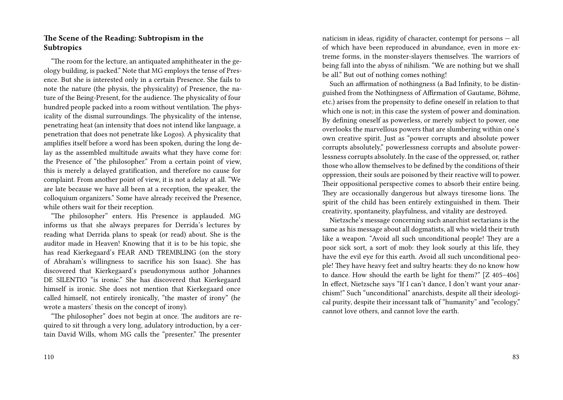### **The Scene of the Reading: Subtropism in the Subtropics**

"The room for the lecture, an antiquated amphitheater in the geology building, is packed." Note that MG employs the tense of Presence. But she is interested only in a certain Presence. She fails to note the nature (the physis, the physicality) of Presence, the nature of the Being-Present, for the audience. The physicality of four hundred people packed into a room without ventilation. The physicality of the dismal surroundings. The physicality of the intense, penetrating heat (an intensity that does not intend like language, a penetration that does not penetrate like Logos). A physicality that amplifies itself before a word has been spoken, during the long delay as the assembled multitude awaits what they have come for: the Presence of "the philosopher." From a certain point of view, this is merely a delayed gratification, and therefore no cause for complaint. From another point of view, it is not a delay at all. "We are late because we have all been at a reception, the speaker, the colloquium organizers." Some have already received the Presence, while others wait for their reception.

"The philosopher" enters. His Presence is applauded. MG informs us that she always prepares for Derrida's lectures by reading what Derrida plans to speak (or read) about. She is the auditor made in Heaven! Knowing that it is to be his topic, she has read Kierkegaard's FEAR AND TREMBLING (on the story of Abraham's willingness to sacrifice his son Isaac). She has discovered that Kierkegaard's pseudonymous author Johannes DE SILENTIO "is ironic." She has discovered that Kierkegaard himself is ironic. She does not mention that Kierkegaard once called himself, not entirely ironically, "the master of irony" (he wrote a masters' thesis on the concept of irony).

"The philosopher" does not begin at once. The auditors are required to sit through a very long, adulatory introduction, by a certain David Wills, whom MG calls the "presenter." The presenter naticism in ideas, rigidity of character, contempt for persons — all of which have been reproduced in abundance, even in more extreme forms, in the monster-slayers themselves. The warriors of being fall into the abyss of nihilism. "We are nothing but we shall be all." But out of nothing comes nothing!

Such an affirmation of nothingness (a Bad Infinity, to be distinguished from the Nothingness of Affirmation of Gautame, Böhme, etc.) arises from the propensity to define oneself in relation to that which one is not; in this case the system of power and domination. By defining oneself as powerless, or merely subject to power, one overlooks the marvellous powers that are slumbering within one's own creative spirit. Just as "power corrupts and absolute power corrupts absolutely," powerlessness corrupts and absolute powerlessness corrupts absolutely. In the case of the oppressed, or, rather those who allow themselves to be defined by the conditions of their oppression, their souls are poisoned by their reactive will to power. Their oppositional perspective comes to absorb their entire being. They are occasionally dangerous but always tiresome lions. The spirit of the child has been entirely extinguished in them. Their creativity, spontaneity, playfulness, and vitality are destroyed.

Nietzsche's message concerning such anarchist sectarians is the same as his message about all dogmatists, all who wield their truth like a weapon. "Avoid all such unconditional people! They are a poor sick sort, a sort of mob: they look sourly at this life, they have the evil eye for this earth. Avoid all such unconditional people! They have heavy feet and sultry hearts: they do no know how to dance. How should the earth be light for them?" [Z 405–406] In effect, Nietzsche says "If I can't dance, I don't want your anarchism!" Such "unconditional" anarchists, despite all their ideological purity, despite their incessant talk of "humanity" and "ecology," cannot love others, and cannot love the earth.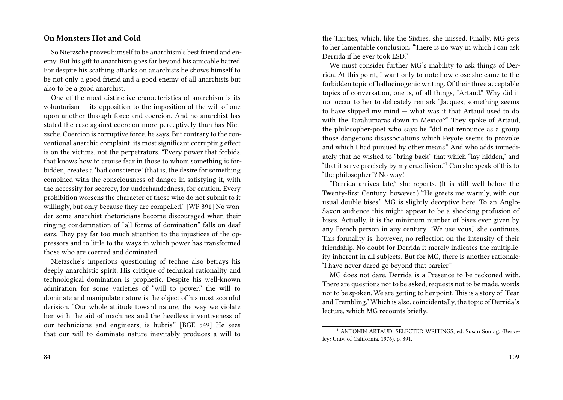#### **On Monsters Hot and Cold**

So Nietzsche proves himself to be anarchism's best friend and enemy. But his gift to anarchism goes far beyond his amicable hatred. For despite his scathing attacks on anarchists he shows himself to be not only a good friend and a good enemy of all anarchists but also to be a good anarchist.

One of the most distinctive characteristics of anarchism is its voluntarism — its opposition to the imposition of the will of one upon another through force and coercion. And no anarchist has stated the case against coercion more perceptively than has Nietzsche. Coercion is corruptive force, he says. But contrary to the conventional anarchic complaint, its most significant corrupting effect is on the victims, not the perpetrators. "Every power that forbids, that knows how to arouse fear in those to whom something is forbidden, creates a 'bad conscience' (that is, the desire for something combined with the consciousness of danger in satisfying it, with the necessity for secrecy, for underhandedness, for caution. Every prohibition worsens the character of those who do not submit to it willingly, but only because they are compelled." [WP 391] No wonder some anarchist rhetoricians become discouraged when their ringing condemnation of "all forms of domination" falls on deaf ears. They pay far too much attention to the injustices of the oppressors and to little to the ways in which power has transformed those who are coerced and dominated.

Nietzsche's imperious questioning of techne also betrays his deeply anarchistic spirit. His critique of technical rationality and technological domination is prophetic. Despite his well-known admiration for some varieties of "will to power," the will to dominate and manipulate nature is the object of his most scornful derision. "Our whole attitude toward nature, the way we violate her with the aid of machines and the heedless inventiveness of our technicians and engineers, is hubris." [BGE 549] He sees that our will to dominate nature inevitably produces a will to

84

the Thirties, which, like the Sixties, she missed. Finally, MG gets to her lamentable conclusion: "There is no way in which I can ask Derrida if he ever took LSD."

We must consider further MG's inability to ask things of Derrida. At this point, I want only to note how close she came to the forbidden topic of hallucinogenic writing. Of their three acceptable topics of conversation, one is, of all things, "Artaud." Why did it not occur to her to delicately remark "Jacques, something seems to have slipped my mind — what was it that Artaud used to do with the Tarahumaras down in Mexico?" They spoke of Artaud, the philosopher-poet who says he "did not renounce as a group those dangerous disassociations which Peyote seems to provoke and which I had pursued by other means." And who adds immediately that he wished to "bring back" that which "lay hidden," and "that it serve precisely by my crucifixion."<sup>1</sup> Can she speak of this to "the philosopher"? No way!

"Derrida arrives late," she reports. (It is still well before the Twenty-first Century, however.) "He greets me warmly, with our usual double bises." MG is slightly deceptive here. To an Anglo-Saxon audience this might appear to be a shocking profusion of bises. Actually, it is the minimum number of bises ever given by any French person in any century. "We use vous," she continues. This formality is, however, no reflection on the intensity of their friendship. No doubt for Derrida it merely indicates the multiplicity inherent in all subjects. But for MG, there is another rationale: "I have never dared go beyond that barrier."

MG does not dare. Derrida is a Presence to be reckoned with. There are questions not to be asked, requests not to be made, words not to be spoken. We are getting to her point. This is a story of "Fear and Trembling." Which is also, coincidentally, the topic of Derrida's lecture, which MG recounts briefly.

<sup>1</sup> ANTONIN ARTAUD: SELECTED WRITINGS, ed. Susan Sontag. (Berkeley: Univ. of California, 1976), p. 391.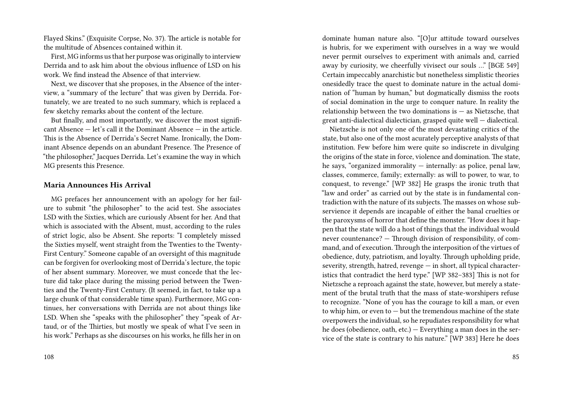Flayed Skins." (Exquisite Corpse, No. 37). The article is notable for the multitude of Absences contained within it.

First, MG informs us that her purpose was originally to interview Derrida and to ask him about the obvious influence of LSD on his work. We find instead the Absence of that interview.

Next, we discover that she proposes, in the Absence of the interview, a "summary of the lecture" that was given by Derrida. Fortunately, we are treated to no such summary, which is replaced a few sketchy remarks about the content of the lecture.

But finally, and most importantly, we discover the most significant Absence — let's call it the Dominant Absence — in the article. This is the Absence of Derrida's Secret Name. Ironically, the Dominant Absence depends on an abundant Presence. The Presence of "the philosopher," Jacques Derrida. Let's examine the way in which MG presents this Presence.

### **Maria Announces His Arrival**

MG prefaces her announcement with an apology for her failure to submit "the philosopher" to the acid test. She associates LSD with the Sixties, which are curiously Absent for her. And that which is associated with the Absent, must, according to the rules of strict logic, also be Absent. She reports: "I completely missed the Sixties myself, went straight from the Twenties to the Twenty-First Century." Someone capable of an oversight of this magnitude can be forgiven for overlooking most of Derrida's lecture, the topic of her absent summary. Moreover, we must concede that the lecture did take place during the missing period between the Twenties and the Twenty-First Century. (It seemed, in fact, to take up a large chunk of that considerable time span). Furthermore, MG continues, her conversations with Derrida are not about things like LSD. When she "speaks with the philosopher" they "speak of Artaud, or of the Thirties, but mostly we speak of what I've seen in his work." Perhaps as she discourses on his works, he fills her in on dominate human nature also. "[O]ur attitude toward ourselves is hubris, for we experiment with ourselves in a way we would never permit ourselves to experiment with animals and, carried away by curiosity, we cheerfully vivisect our souls …" [BGE 549] Certain impeccably anarchistic but nonetheless simplistic theories onesidedly trace the quest to dominate nature in the actual domination of "human by human," but dogmatically dismiss the roots of social domination in the urge to conquer nature. In reality the relationship between the two dominations is — as Nietzsche, that great anti-dialectical dialectician, grasped quite well — dialectical.

Nietzsche is not only one of the most devastating critics of the state, but also one of the most acurately perceptive analysts of that institution. Few before him were quite so indiscrete in divulging the origins of the state in force, violence and domination. The state, he says, "organized immorality — internally: as police, penal law, classes, commerce, family; externally: as will to power, to war, to conquest, to revenge." [WP 382] He grasps the ironic truth that "law and order" as carried out by the state is in fundamental contradiction with the nature of its subjects. The masses on whose subservience it depends are incapable of either the banal cruelties or the paroxysms of horror that define the monster. "How does it happen that the state will do a host of things that the individual would never countenance? — Through division of responsibility, of command, and of execution. Through the interposition of the virtues of obedience, duty, patriotism, and loyalty. Through upholding pride, severity, strength, hatred, revenge — in short, all typical characteristics that contradict the herd type." [WP 382–383] This is not for Nietzsche a reproach against the state, however, but merely a statement of the brutal truth that the mass of state-worshipers refuse to recognize. "None of you has the courage to kill a man, or even to whip him, or even to — but the tremendous machine of the state overpowers the individual, so he repudiates responsibility for what he does (obedience, oath, etc.) — Everything a man does in the service of the state is contrary to his nature." [WP 383] Here he does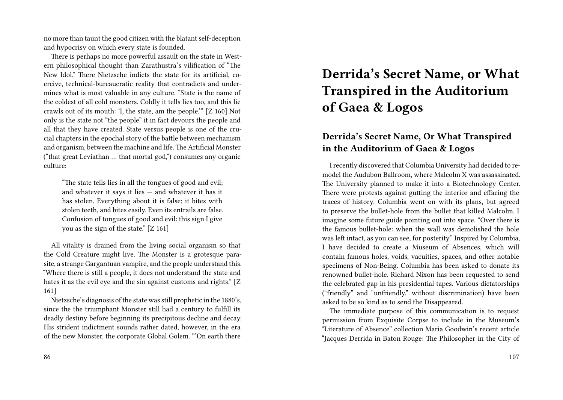no more than taunt the good citizen with the blatant self-deception and hypocrisy on which every state is founded.

There is perhaps no more powerful assault on the state in Western philosophical thought than Zarathustra's vilification of "The New Idol." There Nietzsche indicts the state for its artificial, coercive, technical-bureaucratic reality that contradicts and undermines what is most valuable in any culture. "State is the name of the coldest of all cold monsters. Coldly it tells lies too, and this lie crawls out of its mouth: 'I, the state, am the people.'" [Z 160] Not only is the state not "the people" it in fact devours the people and all that they have created. State versus people is one of the crucial chapters in the epochal story of the battle between mechanism and organism, between the machine and life. The Artificial Monster ("that great Leviathan … that mortal god,") consumes any organic culture:

"The state tells lies in all the tongues of good and evil; and whatever it says it lies — and whatever it has it has stolen. Everything about it is false; it bites with stolen teeth, and bites easily. Even its entrails are false. Confusion of tongues of good and evil: this sign I give you as the sign of the state." [Z 161]

All vitality is drained from the living social organism so that the Cold Creature might live. The Monster is a grotesque parasite, a strange Gargantuan vampire, and the people understand this. "Where there is still a people, it does not understand the state and hates it as the evil eye and the sin against customs and rights." [Z 161]

Nietzsche's diagnosis of the state was still prophetic in the 1880's, since the the triumphant Monster still had a century to fulfill its deadly destiny before beginning its precipitous decline and decay. His strident indictment sounds rather dated, however, in the era of the new Monster, the corporate Global Golem. "'On earth there

# **Derrida's Secret Name, or What Transpired in the Auditorium of Gaea & Logos**

# **Derrida's Secret Name, Or What Transpired in the Auditorium of Gaea & Logos**

I recently discovered that Columbia University had decided to remodel the Audubon Ballroom, where Malcolm X was assassinated. The University planned to make it into a Biotechnology Center. There were protests against gutting the interior and effacing the traces of history. Columbia went on with its plans, but agreed to preserve the bullet-hole from the bullet that killed Malcolm. I imagine some future guide pointing out into space. "Over there is the famous bullet-hole: when the wall was demolished the hole was left intact, as you can see, for posterity." Inspired by Columbia, I have decided to create a Museum of Absences, which will contain famous holes, voids, vacuities, spaces, and other notable specimens of Non-Being. Columbia has been asked to donate its renowned bullet-hole. Richard Nixon has been requested to send the celebrated gap in his presidential tapes. Various dictatorships ("friendly" and "unfriendly," without discrimination) have been asked to be so kind as to send the Disappeared.

The immediate purpose of this communication is to request permission from Exquisite Corpse to include in the Museum's "Literature of Absence" collection Maria Goodwin's recent article "Jacques Derrida in Baton Rouge: The Philosopher in the City of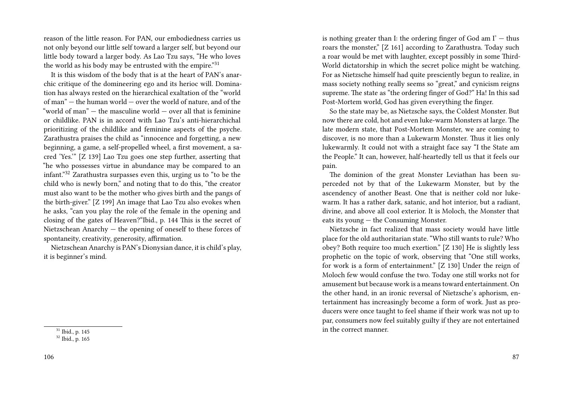reason of the little reason. For PAN, our embodiedness carries us not only beyond our little self toward a larger self, but beyond our little body toward a larger body. As Lao Tzu says, "He who loves the world as his body may be entrusted with the empire."<sup>31</sup>

It is this wisdom of the body that is at the heart of PAN's anarchic critique of the domineering ego and its herioc will. Domination has always rested on the hierarchical exaltation of the "world of man" — the human world — over the world of nature, and of the "world of man" — the masculine world — over all that is feminine or childlike. PAN is in accord with Lao Tzu's anti-hierarchichal prioritizing of the childlike and feminine aspects of the psyche. Zarathustra praises the child as "innocence and forgetting, a new beginning, a game, a self-propelled wheel, a first movement, a sacred 'Yes.'" [Z 139] Lao Tzu goes one step further, asserting that "he who possesses virtue in abundance may be compared to an infant."<sup>32</sup> Zarathustra surpasses even this, urging us to "to be the child who is newly born," and noting that to do this, "the creator must also want to be the mother who gives birth and the pangs of the birth-giver." [Z 199] An image that Lao Tzu also evokes when he asks, "can you play the role of the female in the opening and closing of the gates of Heaven?"Ibid., p. 144 This is the secret of Nietzschean Anarchy — the opening of oneself to these forces of spontaneity, creativity, generosity, affirmation.

Nietzschean Anarchy is PAN's Dionysian dance, it is child's play, it is beginner's mind.

<sup>31</sup> Ibid., p. 145

is nothing greater than I: the ordering finger of God am  $I'$  – thus roars the monster," [Z 161] according to Zarathustra. Today such a roar would be met with laughter, except possibly in some Third-World dictatorship in which the secret police might be watching. For as Nietzsche himself had quite presciently begun to realize, in mass society nothing really seems so "great," and cynicism reigns supreme. The state as "the ordering finger of God?" Ha! In this sad Post-Mortem world, God has given everything the finger.

So the state may be, as Nietzsche says, the Coldest Monster. But now there are cold, hot and even luke-warm Monsters at large. The late modern state, that Post-Mortem Monster, we are coming to discover, is no more than a Lukewarm Monster. Thus it lies only lukewarmly. It could not with a straight face say "I the State am the People." It can, however, half-heartedly tell us that it feels our pain.

The dominion of the great Monster Leviathan has been superceded not by that of the Lukewarm Monster, but by the ascendency of another Beast. One that is neither cold nor lukewarm. It has a rather dark, satanic, and hot interior, but a radiant, divine, and above all cool exterior. It is Moloch, the Monster that eats its young — the Consuming Monster.

Nietzsche in fact realized that mass society would have little place for the old authoritarian state. "Who still wants to rule? Who obey? Both require too much exertion." [Z 130] He is slightly less prophetic on the topic of work, observing that "One still works, for work is a form of entertainment." [Z 130] Under the reign of Moloch few would confuse the two. Today one still works not for amusement but because work is a means toward entertainment. On the other hand, in an ironic reversal of Nietzsche's aphorism, entertainment has increasingly become a form of work. Just as producers were once taught to feel shame if their work was not up to par, consumers now feel suitably guilty if they are not entertained in the correct manner.

<sup>32</sup> Ibid., p. 165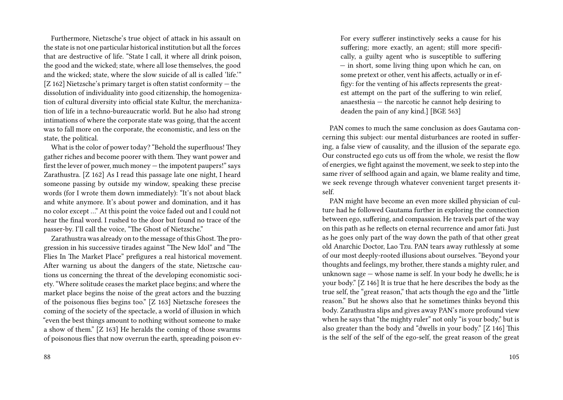Furthermore, Nietzsche's true object of attack in his assault on the state is not one particular historical institution but all the forces that are destructive of life. "State I call, it where all drink poison, the good and the wicked; state, where all lose themselves, the good and the wicked; state, where the slow suicide of all is called 'life.'" [Z 162] Nietzsche's primary target is often statist conformity — the dissolution of individuality into good citizenship, the homogenization of cultural diversity into official state Kultur, the merchanization of life in a techno-bureaucratic world. But he also had strong intimations of where the corporate state was going, that the accent was to fall more on the corporate, the economistic, and less on the state, the political.

What is the color of power today? "Behold the superfluous! They gather riches and become poorer with them. They want power and first the lever of power, much money — the impotent paupers!" says Zarathustra. [Z 162] As I read this passage late one night, I heard someone passing by outside my window, speaking these precise words (for I wrote them down immediately): "It's not about black and white anymore. It's about power and domination, and it has no color except …" At this point the voice faded out and I could not hear the final word. I rushed to the door but found no trace of the passer-by. I'll call the voice, "The Ghost of Nietzsche."

Zarathustra was already on to the message of this Ghost. The progression in his successive tirades against "The New Idol" and "The Flies In The Market Place" prefigures a real historical movement. After warning us about the dangers of the state, Nietzsche cautions us concerning the threat of the developing economistic society. "Where solitude ceases the market place begins; and where the market place begins the noise of the great actors and the buzzing of the poisonous flies begins too." [Z 163] Nietzsche foresees the coming of the society of the spectacle, a world of illusion in which "even the best things amount to nothing without someone to make a show of them." [Z 163] He heralds the coming of those swarms of poisonous flies that now overrun the earth, spreading poison evFor every sufferer instinctively seeks a cause for his suffering; more exactly, an agent; still more specifically, a guilty agent who is susceptible to suffering — in short, some living thing upon which he can, on some pretext or other, vent his affects, actually or in effigy: for the venting of his affects represents the greatest attempt on the part of the suffering to win relief, anaesthesia — the narcotic he cannot help desiring to deaden the pain of any kind.] [BGE 563]

PAN comes to much the same conclusion as does Gautama concerning this subject: our mental disturbances are rooted in suffering, a false view of causality, and the illusion of the separate ego. Our constructed ego cuts us off from the whole, we resist the flow of energies, we fight against the movement, we seek to step into the same river of selfhood again and again, we blame reality and time, we seek revenge through whatever convenient target presents itself.

PAN might have become an even more skilled physician of culture had he followed Gautama further in exploring the connection between ego, suffering, and compassion. He travels part of the way on this path as he reflects on eternal recurrence and amor fati. Just as he goes only part of the way down the path of that other great old Anarchic Doctor, Lao Tzu. PAN tears away ruthlessly at some of our most deeply-rooted illusions about ourselves. "Beyond your thoughts and feelings, my brother, there stands a mighty ruler, and unknown sage — whose name is self. In your body he dwells; he is your body." [Z 146] It is true that he here describes the body as the true self, the "great reason," that acts though the ego and the "little reason." But he shows also that he sometimes thinks beyond this body. Zarathustra slips and gives away PAN's more profound view when he says that "the mighty ruler" not only "is your body," but is also greater than the body and "dwells in your body." [Z 146] This is the self of the self of the ego-self, the great reason of the great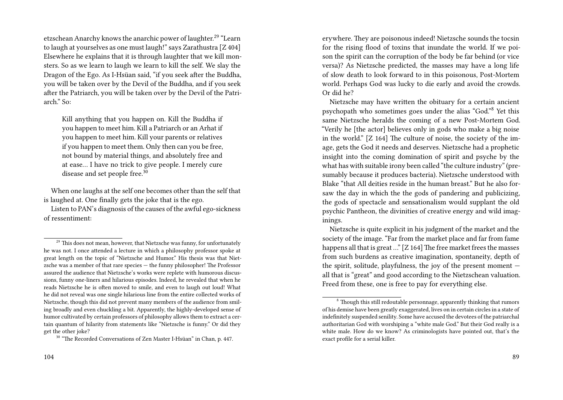etzschean Anarchy knows the anarchic power of laughter.<sup>29</sup> "Learn to laugh at yourselves as one must laugh!" says Zarathustra [Z 404] Elsewhere he explains that it is through laughter that we kill monsters. So as we learn to laugh we learn to kill the self. We slay the Dragon of the Ego. As I-Hsüan said, "if you seek after the Buddha, you will be taken over by the Devil of the Buddha, and if you seek after the Patriarch, you will be taken over by the Devil of the Patriarch." So:

Kill anything that you happen on. Kill the Buddha if you happen to meet him. Kill a Patriarch or an Arhat if you happen to meet him. Kill your parents or relatives if you happen to meet them. Only then can you be free, not bound by material things, and absolutely free and at ease… I have no trick to give people. I merely cure disease and set people free.<sup>30</sup>

When one laughs at the self one becomes other than the self that is laughed at. One finally gets the joke that is the ego.

Listen to PAN's diagnosis of the causes of the awful ego-sickness of ressentiment:

erywhere. They are poisonous indeed! Nietzsche sounds the tocsin for the rising flood of toxins that inundate the world. If we poison the spirit can the corruption of the body be far behind (or vice versa)? As Nietzsche predicted, the masses may have a long life of slow death to look forward to in this poisonous, Post-Mortem world. Perhaps God was lucky to die early and avoid the crowds. Or did he?

Nietzsche may have written the obituary for a certain ancient psychopath who sometimes goes under the alias "God."<sup>8</sup> Yet this same Nietzsche heralds the coming of a new Post-Mortem God. "Verily he [the actor] believes only in gods who make a big noise in the world." [Z 164] The culture of noise, the society of the image, gets the God it needs and deserves. Nietzsche had a prophetic insight into the coming domination of spirit and psyche by the what has with suitable irony been called "the culture industry" (presumably because it produces bacteria). Nietzsche understood with Blake "that All deities reside in the human breast." But he also forsaw the day in which the the gods of pandering and publicizing, the gods of spectacle and sensationalism would supplant the old psychic Pantheon, the divinities of creative energy and wild imaginings.

Nietzsche is quite explicit in his judgment of the market and the society of the image. "Far from the market place and far from fame happens all that is great …" [Z 164] The free market frees the masses from such burdens as creative imagination, spontaneity, depth of the spirit, solitude, playfulness, the joy of the present moment  $$ all that is "great" and good according to the Nietzschean valuation. Freed from these, one is free to pay for everything else.

 $^{29}$  This does not mean, however, that Nietzsche was funny, for unfortunately he was not. I once attended a lecture in which a philosophy professor spoke at great length on the topic of "Nietzsche and Humor." His thesis was that Nietzsche was a member of that rare species — the funny philosopher! The Professor assured the audience that Nietzsche's works were replete with humorous discussions, funny one-liners and hilarious episodes. Indeed, he revealed that when he reads Nietzsche he is often moved to smile, and even to laugh out loud! What he did not reveal was one single hilarious line from the entire collected works of Nietzsche, though this did not prevent many members of the audience from smiling broadly and even chuckling a bit. Apparently, the highly-developed sense of humor cultivated by certain professors of philosophy allows them to extract a certain quantum of hilarity from statements like "Nietzsche is funny." Or did they get the other joke?

<sup>&</sup>lt;sup>30</sup> "The Recorded Conversations of Zen Master I-Hsüan" in Chan, p. 447.

<sup>&</sup>lt;sup>8</sup> Though this still redoutable personnage, apparently thinking that rumors of his demise have been greatly exaggerated, lives on in certain circles in a state of indefinitely suspended senility. Some have accused the devotees of the patriarchal authoritarian God with worshiping a "white male God." But their God really is a white male. How do we know? As criminologists have pointed out, that's the exact profile for a serial killer.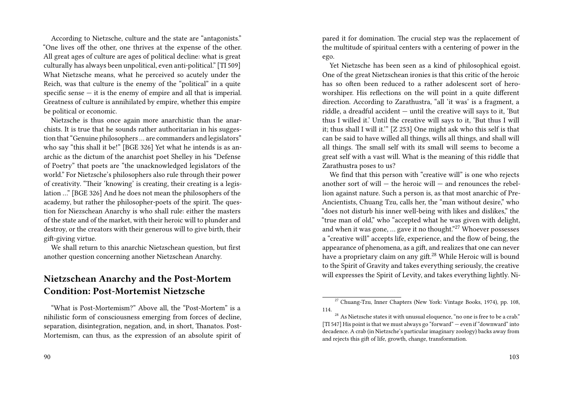According to Nietzsche, culture and the state are "antagonists." "One lives off the other, one thrives at the expense of the other. All great ages of culture are ages of political decline: what is great culturally has always been unpolitical, even anti-political." [TI 509] What Nietzsche means, what he perceived so acutely under the Reich, was that culture is the enemy of the "political" in a quite specific sense  $-$  it is the enemy of empire and all that is imperial. Greatness of culture is annihilated by empire, whether this empire be political or economic.

Nietzsche is thus once again more anarchistic than the anarchists. It is true that he sounds rather authoritarian in his suggestion that "Genuine philosophers … are commanders and legislators" who say "this shall it be!" [BGE 326] Yet what he intends is as anarchic as the dictum of the anarchist poet Shelley in his "Defense of Poetry" that poets are "the unacknowledged legislators of the world." For Nietzsche's philosophers also rule through their power of creativity. "Their 'knowing' is creating, their creating is a legislation …" [BGE 326] And he does not mean the philosophers of the academy, but rather the philosopher-poets of the spirit. The question for Niezschean Anarchy is who shall rule: either the masters of the state and of the market, with their heroic will to plunder and destroy, or the creators with their generous will to give birth, their gift-giving virtue.

We shall return to this anarchic Nietzschean question, but first another question concerning another Nietzschean Anarchy.

# **Nietzschean Anarchy and the Post-Mortem Condition: Post-Mortemist Nietzsche**

"What is Post-Mortemism?" Above all, the "Post-Mortem" is a nihilistic form of consciousness emerging from forces of decline, separation, disintegration, negation, and, in short, Thanatos. Post-Mortemism, can thus, as the expression of an absolute spirit of pared it for domination. The crucial step was the replacement of the multitude of spiritual centers with a centering of power in the ego.

Yet Nietzsche has been seen as a kind of philosophical egoist. One of the great Nietzschean ironies is that this critic of the heroic has so often been reduced to a rather adolescent sort of heroworshiper. His reflections on the will point in a quite different direction. According to Zarathustra, "all 'it was' is a fragment, a riddle, a dreadful accident — until the creative will says to it, 'But thus I willed it.' Until the creative will says to it, 'But thus I will it; thus shall I will it.'" [Z 253] One might ask who this self is that can be said to have willed all things, wills all things, and shall will all things. The small self with its small will seems to become a great self with a vast will. What is the meaning of this riddle that Zarathustra poses to us?

We find that this person with "creative will" is one who rejects another sort of will  $-$  the heroic will  $-$  and renounces the rebellion against nature. Such a person is, as that most anarchic of Pre-Ancientists, Chuang Tzu, calls her, the "man without desire," who "does not disturb his inner well-being with likes and dislikes," the "true man of old," who "accepted what he was given with delight, and when it was gone, … gave it no thought."<sup>27</sup> Whoever possesses a "creative will" accepts life, experience, and the flow of being, the appearance of phenomena, as a gift, and realizes that one can never have a proprietary claim on any gift.<sup>28</sup> While Heroic will is bound to the Spirit of Gravity and takes everything seriously, the creative will expresses the Spirit of Levity, and takes everything lightly. Ni-

<sup>27</sup> Chuang-Tzu, Inner Chapters (New York: Vintage Books, 1974), pp. 108, 114.

 $28$  As Nietzsche states it with unusual eloquence, "no one is free to be a crab." [TI 547] His point is that we must always go "forward" — even if "downward" into decadence. A crab (in Nietzsche's particular imaginary zoology) backs away from and rejects this gift of life, growth, change, transformation.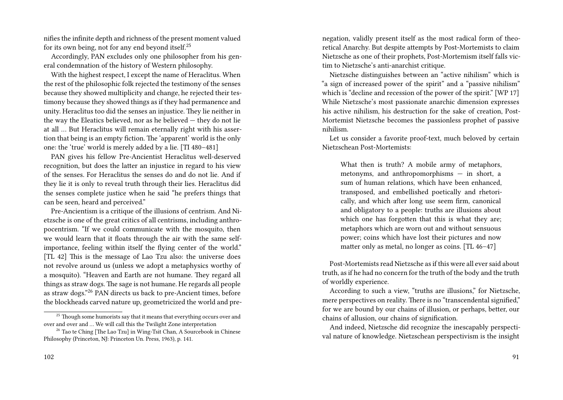nifies the infinite depth and richness of the present moment valued for its own being, not for any end beyond itself.<sup>25</sup>

Accordingly, PAN excludes only one philosopher from his general condemnation of the history of Western philosophy.

With the highest respect, I except the name of Heraclitus. When the rest of the philosophic folk rejected the testimony of the senses because they showed multiplicity and change, he rejected their testimony because they showed things as if they had permanence and unity. Heraclitus too did the senses an injustice. They lie neither in the way the Eleatics believed, nor as he believed — they do not lie at all … But Heraclitus will remain eternally right with his assertion that being is an empty fiction. The 'apparent' world is the only one: the 'true' world is merely added by a lie. [TI 480–481]

PAN gives his fellow Pre-Ancientist Heraclitus well-deserved recognition, but does the latter an injustice in regard to his view of the senses. For Heraclitus the senses do and do not lie. And if they lie it is only to reveal truth through their lies. Heraclitus did the senses complete justice when he said "he prefers things that can be seen, heard and perceived."

Pre-Ancientism is a critique of the illusions of centrism. And Nietzsche is one of the great critics of all centrisms, including anthropocentrism. "If we could communicate with the mosquito, then we would learn that it floats through the air with the same selfimportance, feeling within itself the flying center of the world." [TL 42] This is the message of Lao Tzu also: the universe does not revolve around us (unless we adopt a metaphysics worthy of a mosquito). "Heaven and Earth are not humane. They regard all things as straw dogs. The sage is not humane. He regards all people as straw dogs."<sup>26</sup> PAN directs us back to pre-Ancient times, before the blockheads carved nature up, geometricized the world and pre-

102

negation, validly present itself as the most radical form of theoretical Anarchy. But despite attempts by Post-Mortemists to claim Nietzsche as one of their prophets, Post-Mortemism itself falls victim to Nietzsche's anti-anarchist critique.

Nietzsche distinguishes between an "active nihilism" which is "a sign of increased power of the spirit" and a "passive nihilism" which is "decline and recession of the power of the spirit." [WP 17] While Nietzsche's most passionate anarchic dimension expresses his active nihilism, his destruction for the sake of creation, Post-Mortemist Nietzsche becomes the passionless prophet of passive nihilism.

Let us consider a favorite proof-text, much beloved by certain Nietzschean Post-Mortemists:

What then is truth? A mobile army of metaphors, metonyms, and anthropomorphisms — in short, a sum of human relations, which have been enhanced, transposed, and embellished poetically and rhetorically, and which after long use seem firm, canonical and obligatory to a people: truths are illusions about which one has forgotten that this is what they are; metaphors which are worn out and without sensuous power; coins which have lost their pictures and now matter only as metal, no longer as coins. [TL 46–47]

Post-Mortemists read Nietzsche as if this were all ever said about truth, as if he had no concern for the truth of the body and the truth of worldly experience.

And indeed, Nietzsche did recognize the inescapably perspectival nature of knowledge. Nietzschean perspectivism is the insight

 $25$  Though some humorists say that it means that everything occurs over and over and over and … We will call this the Twilight Zone interpretation

<sup>&</sup>lt;sup>26</sup> Tao te Ching [The Lao Tzu] in Wing-Tsit Chan, A Sourcebook in Chinese Philosophy (Princeton, NJ: Princeton Un. Press, 1963), p. 141.

According to such a view, "truths are illusions," for Nietzsche, mere perspectives on reality. There is no "transcendental signified," for we are bound by our chains of illusion, or perhaps, better, our chains of allusion, our chains of signification.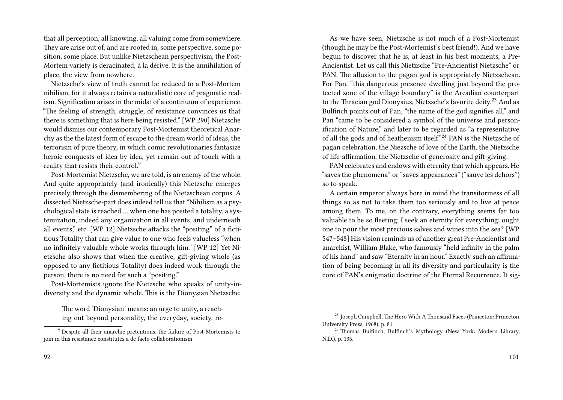that all perception, all knowing, all valuing come from somewhere. They are arise out of, and are rooted in, some perspective, some position, some place. But unlike Nietzschean perspectivism, the Post-Mortem variety is deracinated, à la dérive. It is the annihilation of place, the view from nowhere.

Nietzsche's view of truth cannot be reduced to a Post-Mortem nihilism, for it always retains a naturalistic core of pragmatic realism. Signification arises in the midst of a continuum of experience. "The feeling of strength, struggle, of resistance convinces us that there is something that is here being resisted." [WP 290] Nietzsche would dismiss our contemporary Post-Mortemist theoretical Anarchy as the the latest form of escape to the dream world of ideas, the terrorism of pure theory, in which comic revolutionaries fantasize heroic conquests of idea by idea, yet remain out of touch with a reality that resists their control.<sup>9</sup>

Post-Mortemist Nietzsche, we are told, is an enemy of the whole. And quite appropriately (and ironically) this Nietzsche emerges precisely through the dismembering of the Nietzschean corpus. A dissected Nietzsche-part does indeed tell us that "Nihilism as a psychological state is reached … when one has posited a totality, a systemization, indeed any organization in all events, and underneath all events," etc. [WP 12] Nietzsche attacks the "positing" of a fictitious Totality that can give value to one who feels valueless "when no infinitely valuable whole works through him." [WP 12] Yet Nietzsche also shows that when the creative, gift-giving whole (as opposed to any fictitious Totality) does indeed work through the person, there is no need for such a "positing."

Post-Mortemists ignore the Nietzsche who speaks of unity-indiversity and the dynamic whole. This is the Dionysian Nietzsche:

The word 'Dionysian' means: an urge to unity, a reaching out beyond personality, the everyday, society, reso to speak.

(though he may be the Post-Mortemist's best friend!). And we have begun to discover that he is, at least in his best moments, a Pre-Ancientist. Let us call this Nietzsche "Pre-Ancientist Nietzsche" or PAN. The allusion to the pagan god is appropriately Nietzschean. For Pan, "this dangerous presence dwelling just beyond the protected zone of the village boundary" is the Arcadian counterpart to the Thracian god Dionysius, Nietzsche's favorite deity.<sup>23</sup> And as Bulfinch points out of Pan, "the name of the god signifies all," and Pan "came to be considered a symbol of the universe and personification of Nature," and later to be regarded as "a representative of all the gods and of heathenism itself."<sup>24</sup> PAN is the Nietzsche of pagan celebration, the Niezsche of love of the Earth, the Nietzsche of life-affirmation, the Nietzsche of generosity and gift-giving.

As we have seen, Nietzsche is not much of a Post-Mortemist

PAN celebrates and endows with eternity that which appears. He "saves the phenomena" or "saves appearances" ("sauve les dehors")

A certain emperor always bore in mind the transitoriness of all things so as not to take them too seriously and to live at peace among them. To me, on the contrary, everything seems far too valuable to be so fleeting: I seek an eternity for everything: ought one to pour the most precious salves and wines into the sea? [WP 547–548] His vision reminds us of another great Pre-Ancientist and anarchist, William Blake, who famously "held infinity in the palm of his hand" and saw "Eternity in an hour." Exactly such an affirmation of being becoming in all its diversity and particularity is the core of PAN's enigmatic doctrine of the Eternal Recurrence. It sig-

<sup>9</sup> Despite all their anarchic pretentions, the failure of Post-Mortemists to join in this resistance constitutes a de facto collaborationism

<sup>&</sup>lt;sup>23</sup> Joseph Campbell, The Hero With A Thousand Faces (Princeton: Princeton University Press, 1968), p. 81.

<sup>&</sup>lt;sup>24</sup> Thomas Bulfinch, Bulfinch's Mythology (New York: Modern Library, N.D.), p. 136.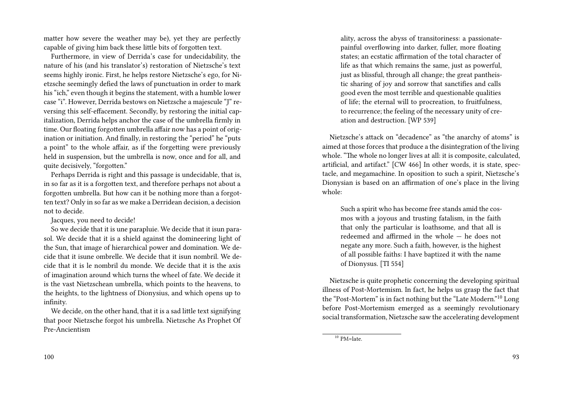matter how severe the weather may be), yet they are perfectly capable of giving him back these little bits of forgotten text.

Furthermore, in view of Derrida's case for undecidability, the nature of his (and his translator's) restoration of Nietzsche's text seems highly ironic. First, he helps restore Nietzsche's ego, for Nietzsche seemingly defied the laws of punctuation in order to mark his "ich," even though it begins the statement, with a humble lower case "i". However, Derrida bestows on Nietzsche a majescule "J" reversing this self-effacement. Secondly, by restoring the initial capitalization, Derrida helps anchor the case of the umbrella firmly in time. Our floating forgotten umbrella affair now has a point of origination or initiation. And finally, in restoring the "period" he "puts a point" to the whole affair, as if the forgetting were previously held in suspension, but the umbrella is now, once and for all, and quite decisively, "forgotten."

Perhaps Derrida is right and this passage is undecidable, that is, in so far as it is a forgotten text, and therefore perhaps not about a forgotten umbrella. But how can it be nothing more than a forgotten text? Only in so far as we make a Derridean decision, a decision not to decide.

Jacques, you need to decide!

So we decide that it is une parapluie. We decide that it isun parasol. We decide that it is a shield against the domineering light of the Sun, that image of hierarchical power and domination. We decide that it isune ombrelle. We decide that it isun nombril. We decide that it is le nombril du monde. We decide that it is the axis of imagination around which turns the wheel of fate. We decide it is the vast Nietzschean umbrella, which points to the heavens, to the heights, to the lightness of Dionysius, and which opens up to infinity.

We decide, on the other hand, that it is a sad little text signifying that poor Nietzsche forgot his umbrella. Nietzsche As Prophet Of Pre-Ancientism

ality, across the abyss of transitoriness: a passionatepainful overflowing into darker, fuller, more floating states; an ecstatic affirmation of the total character of life as that which remains the same, just as powerful, just as blissful, through all change; the great pantheistic sharing of joy and sorrow that sanctifies and calls good even the most terrible and questionable qualities of life; the eternal will to procreation, to fruitfulness, to recurrence; the feeling of the necessary unity of creation and destruction. [WP 539]

Nietzsche's attack on "decadence" as "the anarchy of atoms" is aimed at those forces that produce a the disintegration of the living whole. "The whole no longer lives at all: it is composite, calculated, artificial, and artifact." [CW 466] In other words, it is state, spectacle, and megamachine. In oposition to such a spirit, Nietzsche's Dionysian is based on an affirmation of one's place in the living whole:

Such a spirit who has become free stands amid the cosmos with a joyous and trusting fatalism, in the faith that only the particular is loathsome, and that all is redeemed and affirmed in the whole — he does not negate any more. Such a faith, however, is the highest of all possible faiths: I have baptized it with the name of Dionysus. [TI 554]

Nietzsche is quite prophetic concerning the developing spiritual illness of Post-Mortemism. In fact, he helps us grasp the fact that the "Post-Mortem" is in fact nothing but the "Late Modern."<sup>10</sup> Long before Post-Mortemism emerged as a seemingly revolutionary social transformation, Nietzsche saw the accelerating development

 $10$  PM=late.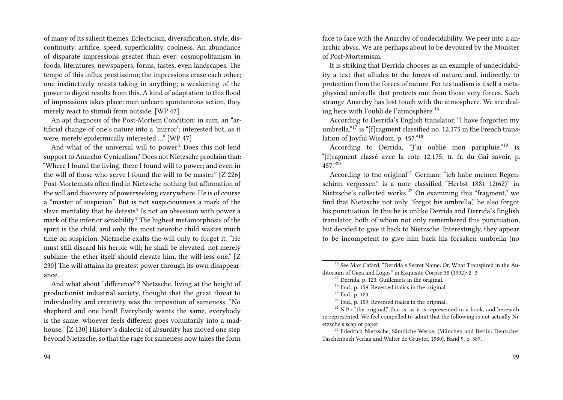of many of its salient themes. Eclecticism, diversification, style, discontinuity, artifice, speed, superficiality, coolness. An abundance of disparate impressions greater than ever: cosmopolitanism in foods, literatures, newspapers, forms, tastes, even landscapes. The tempo of this influx prestissimo; the impressions erase each other; one instinctively resists taking in anything; a weakening of the power to digest results from this. A kind of adaptation to this flood of impressions takes place: men unlearn spontaneous action, they merely react to stimuli from outside. [WP 47]

An apt diagnosis of the Post-Mortem Condition: in sum, an "artificial change of one's nature into a 'mirror'; interested but, as it were, merely epidermically interested …" [WP 47]

And what of the universal will to power? Does this not lend support to Anarcho-Cynicalism? Does not Nietzsche proclaim that: "Where I found the living, there I found will to power; and even in the will of those who serve I found the will to be master." [Z 226] Post-Mortemists often find in Nietzsche nothing but affirmation of the will and discovery of powerseeking everywhere. He is of course a "master of suspicion." But is not suspiciousness a mark of the slave mentality that he detests? Is not an obsession with power a mark of the inferior sensibility? The highest metamorphosis of the spirit is the child, and only the most neurotic child wastes much time on suspicion. Nietzsche exalts the will only to forget it. "He must still discard his heroic will; he shall be elevated, not merely sublime: the ether itself should elevate him, the will-less one." [Z 230] The will attains its greatest power through its own disappearance.

face to face with the Anarchy of undecidability. We peer into a anarchic abyss. We are perhaps about to be devoured by the Monster of Post-Mortemism.

It is striking that Derrida chooses as an example of undecidability a text that alludes to the forces of nature, and, indirectly, to protection from the forces of nature. For textualism is itself a metaphysical umbrella that protects one from those very forces. Such strange Anarchy has lost touch with the atmosphere. We are dealing here with l'oubli de l'atmosphère.<sup>16</sup>

According to Derrida's English translator, "I have forgotten my umbrella."<sup>17</sup> is "[f]ragment classified no. 12,175 in the French translation of Joyful Wisdom, p. 457."<sup>18</sup>

According to Derrida, "J'ai oublié mon parapluie."<sup>19</sup> is "[f]ragment classé avec la cote 12,175, tr. fr. du Gai savoir, p.  $457 \cdot 20$ 

According to the original<sup>21</sup> German: "ich habe meinen Regenschirm vergessen" is a note classified "Herbst 1881 12(62)" in Nietzsche's collected works.<sup>22</sup> On examining this "fragment," we find that Nietzsche not only "forgot his umbrella," he also forgot his punctuation. In this he is unlike Derrida and Derrida's English translator, both of whom not only remembered this punctuation, but decided to give it back to Nietzsche. Interestingly, they appear to be incompetent to give him back his forsaken umbrella (no

And what about "difference"? Nietzsche, living at the height of productionist industrial society, thought that the great threat to individuality and creativity was the imposition of sameness. "No shepherd and one herd! Everybody wants the same, everybody is the same: whoever feels different goes voluntarily into a madhouse." [Z 130] History's dialectic of absurdity has moved one step beyond Nietzsche, so that the rage for sameness now takes the form

<sup>16</sup> See Max Cafard, "Derrida's Secret Name: Or, What Transpired in the Auditorium of Gaea and Logos" in Exquisite Corpse 38 (1992): 2–3

<sup>&</sup>lt;sup>17</sup> Derrida, p. 123. Guillemets in the original.

 $18$  Ibid., p. 159. Reversed italics in the original

<sup>19</sup> Ibid., p. 123.

 $20$  Ibid., p. 159. Reversed italics in the original.

 $21$  N.B.: "the original," that is, as it is represented in a book, and herewith re-represented. We feel compelled to admit that the following is not actually Nietzsche's scap of paper

<sup>&</sup>lt;sup>22</sup> Friedrich Nietzsche, Sämtliche Werke, (München and Berlin: Deutscher Taschenbuch Verlag and Walter de Gruyter, 1980), Band 9, p. 587.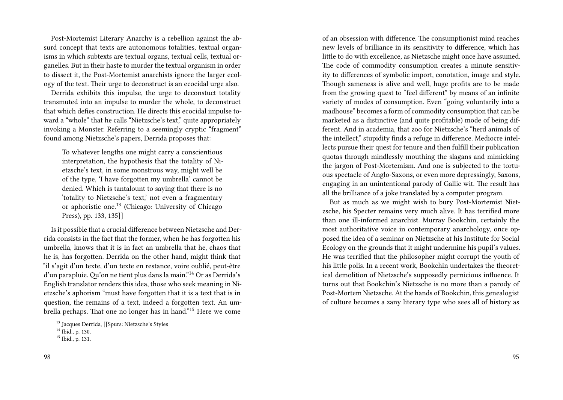Post-Mortemist Literary Anarchy is a rebellion against the absurd concept that texts are autonomous totalities, textual organisms in which subtexts are textual organs, textual cells, textual organelles. But in their haste to murder the textual organism in order to dissect it, the Post-Mortemist anarchists ignore the larger ecology of the text. Their urge to deconstruct is an ecocidal urge also.

Derrida exhibits this impulse, the urge to deconstuct totality transmuted into an impulse to murder the whole, to deconstruct that which defies construction. He directs this ecocidal impulse toward a "whole" that he calls "Nietzsche's text," quite appropriately invoking a Monster. Referring to a seemingly cryptic "fragment" found among Nietzsche's papers, Derrida proposes that:

To whatever lengths one might carry a conscientious interpretation, the hypothesis that the totality of Nietzsche's text, in some monstrous way, might well be of the type, 'I have forgotten my umbrella' cannot be denied. Which is tantalount to saying that there is no 'totality to Nietzsche's text,' not even a fragmentary or aphoristic one.<sup>13</sup> (Chicago: University of Chicago Press), pp. 133, 135]]

Is it possible that a crucial difference between Nietzsche and Derrida consists in the fact that the former, when he has forgotten his umbrella, knows that it is in fact an umbrella that he, chaos that he is, has forgotten. Derrida on the other hand, might think that "il s'agit d'un texte, d'un texte en restance, voire oublié, peut-être d'un parapluie. Qu'on ne tient plus dans la main."<sup>14</sup> Or as Derrida's English translator renders this idea, those who seek meaning in Nietzsche's aphorism "must have forgotten that it is a text that is in question, the remains of a text, indeed a forgotten text. An umbrella perhaps. That one no longer has in hand."<sup>15</sup> Here we come of an obsession with difference. The consumptionist mind reaches new levels of brilliance in its sensitivity to difference, which has little to do with excellence, as Nietzsche might once have assumed. The code of commodity consumption creates a minute sensitivity to differences of symbolic import, conotation, image and style. Though sameness is alive and well, huge profits are to be made from the growing quest to "feel different" by means of an infinite variety of modes of consumption. Even "going voluntarily into a madhouse" becomes a form of commodity consumption that can be marketed as a distinctive (and quite profitable) mode of being different. And in academia, that zoo for Nietzsche's "herd animals of the intellect," stupidity finds a refuge in difference. Mediocre intellects pursue their quest for tenure and then fulfill their publication quotas through mindlessly mouthing the slagans and mimicking the jargon of Post-Mortemism. And one is subjected to the tortuous spectacle of Anglo-Saxons, or even more depressingly, Saxons, engaging in an unintentional parody of Gallic wit. The result has all the brilliance of a joke translated by a computer program.

But as much as we might wish to bury Post-Mortemist Nietzsche, his Specter remains very much alive. It has terrified more than one ill-informed anarchist. Murray Bookchin, certainly the most authoritative voice in contemporary anarchology, once opposed the idea of a seminar on Nietzsche at his Institute for Social Ecology on the grounds that it might undermine his pupil's values. He was terrified that the philosopher might corrupt the youth of his little polis. In a recent work, Bookchin undertakes the theoretical demolition of Nietzsche's supposedly pernicious influence. It turns out that Bookchin's Nietzsche is no more than a parody of Post-Mortem Nietzsche. At the hands of Bookchin, this genealogist of culture becomes a zany literary type who sees all of history as

<sup>13</sup> Jacques Derrida, [[Spurs: Nietzsche's Styles

<sup>14</sup> Ibid., p. 130.

 $15$  Ibid., p. 131.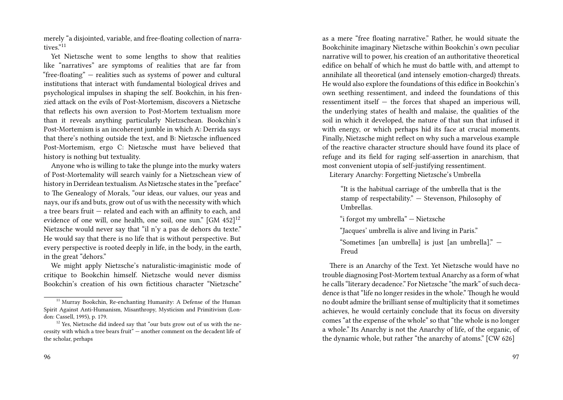merely "a disjointed, variable, and free-floating collection of narratives<sup>"11</sup>

Yet Nietzsche went to some lengths to show that realities like "narratives" are symptoms of realities that are far from "free-floating" — realities such as systems of power and cultural institutions that interact with fundamental biological drives and psychological impulses in shaping the self. Bookchin, in his frenzied attack on the evils of Post-Mortemism, discovers a Nietzsche that reflects his own aversion to Post-Mortem textualism more than it reveals anything particularly Nietzschean. Bookchin's Post-Mortemism is an incoherent jumble in which A: Derrida says that there's nothing outside the text, and B: Nietzsche influenced Post-Mortemism, ergo C: Nietzsche must have believed that history is nothing but textuality.

Anyone who is willing to take the plunge into the murky waters of Post-Mortemality will search vainly for a Nietzschean view of history in Derridean textualism. As Nietzsche states in the "preface" to The Genealogy of Morals, "our ideas, our values, our yeas and nays, our ifs and buts, grow out of us with the necessity with which a tree bears fruit — related and each with an affinity to each, and evidence of one will, one health, one soil, one sun."  $\lceil GM 452 \rceil^{12}$ Nietzsche would never say that "il n'y a pas de dehors du texte." He would say that there is no life that is without perspective. But every perspective is rooted deeply in life, in the body, in the earth, in the great "dehors."

We might apply Nietzsche's naturalistic-imaginistic mode of critique to Bookchin himself. Nietzsche would never dismiss Bookchin's creation of his own fictitious character "Nietzsche" as a mere "free floating narrative." Rather, he would situate the Bookchinite imaginary Nietzsche within Bookchin's own peculiar narrative will to power, his creation of an authoritative theoretical edifice on behalf of which he must do battle with, and attempt to annihilate all theoretical (and intensely emotion-charged) threats. He would also explore the foundations of this edifice in Bookchin's own seething ressentiment, and indeed the foundations of this ressentiment itself — the forces that shaped an imperious will, the underlying states of health and malaise, the qualities of the soil in which it developed, the nature of that sun that infused it with energy, or which perhaps hid its face at crucial moments. Finally, Nietzsche might reflect on why such a marvelous example of the reactive character structure should have found its place of refuge and its field for raging self-assertion in anarchism, that most convenient utopia of self-justifying ressentiment.

Literary Anarchy: Forgetting Nietzsche's Umbrella

"It is the habitual carriage of the umbrella that is the stamp of respectability." — Stevenson, Philosophy of Umbrellas.

"i forgot my umbrella" — Nietzsche

"Jacques' umbrella is alive and living in Paris."

There is an Anarchy of the Text. Yet Nietzsche would have no trouble diagnosing Post-Mortem textual Anarchy as a form of what he calls "literary decadence." For Nietzsche "the mark" of such decadence is that "life no longer resides in the whole." Though he would no doubt admire the brilliant sense of multiplicity that it sometimes achieves, he would certainly conclude that its focus on diversity comes "at the expense of the whole" so that "the whole is no longer a whole." Its Anarchy is not the Anarchy of life, of the organic, of the dynamic whole, but rather "the anarchy of atoms." [CW 626]

<sup>&</sup>lt;sup>11</sup> Murray Bookchin, Re-enchanting Humanity: A Defense of the Human Spirit Against Anti-Humanism, Misanthropy, Mysticism and Primitivism (London: Cassell, 1995), p. 179.

 $12$  Yes, Nietzsche did indeed say that "our buts grow out of us with the necessity with which a tree bears fruit" — another comment on the decadent life of the scholar, perhaps

<sup>&</sup>quot;Sometimes [an umbrella] is just [an umbrella]." — Freud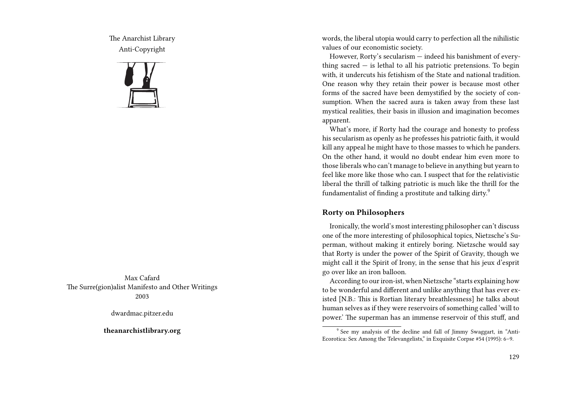The Anarchist Library Anti-Copyright



Max Cafard The Surre(gion)alist Manifesto and Other Writings 2003

dwardmac.pitzer.edu

**theanarchistlibrary.org**

words, the liberal utopia would carry to perfection all the nihilistic values of our economistic society.

However, Rorty's secularism — indeed his banishment of everything sacred  $-$  is lethal to all his patriotic pretensions. To begin with, it undercuts his fetishism of the State and national tradition. One reason why they retain their power is because most other forms of the sacred have been demystified by the society of consumption. When the sacred aura is taken away from these last mystical realities, their basis in illusion and imagination becomes apparent.

What's more, if Rorty had the courage and honesty to profess his secularism as openly as he professes his patriotic faith, it would kill any appeal he might have to those masses to which he panders. On the other hand, it would no doubt endear him even more to those liberals who can't manage to believe in anything but yearn to feel like more like those who can. I suspect that for the relativistic liberal the thrill of talking patriotic is much like the thrill for the fundamentalist of finding a prostitute and talking dirty.<sup>9</sup>

### **Rorty on Philosophers**

Ironically, the world's most interesting philosopher can't discuss one of the more interesting of philosophical topics, Nietzsche's Superman, without making it entirely boring. Nietzsche would say that Rorty is under the power of the Spirit of Gravity, though we might call it the Spirit of Irony, in the sense that his jeux d'esprit go over like an iron balloon.

According to our iron-ist, when Nietzsche "starts explaining how to be wonderful and different and unlike anything that has ever existed [N.B.: This is Rortian literary breathlessness] he talks about human selves as if they were reservoirs of something called 'will to power.' The superman has an immense reservoir of this stuff, and

<sup>&</sup>lt;sup>9</sup> See my analysis of the decline and fall of Jimmy Swaggart, in "Anti-Ecorotica: Sex Among the Televangelists," in Exquisite Corpse #54 (1995): 6–9.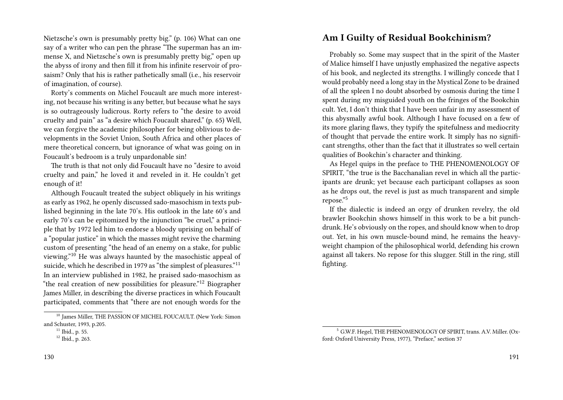Nietzsche's own is presumably pretty big." (p. 106) What can one say of a writer who can pen the phrase "The superman has an immense X, and Nietzsche's own is presumably pretty big," open up the abyss of irony and then fill it from his infinite reservoir of prosaism? Only that his is rather pathetically small (i.e., his reservoir of imagination, of course).

Rorty's comments on Michel Foucault are much more interesting, not because his writing is any better, but because what he says is so outrageously ludicrous. Rorty refers to "the desire to avoid cruelty and pain" as "a desire which Foucault shared." (p. 65) Well, we can forgive the academic philosopher for being oblivious to developments in the Soviet Union, South Africa and other places of mere theoretical concern, but ignorance of what was going on in Foucault's bedroom is a truly unpardonable sin!

The truth is that not only did Foucault have no "desire to avoid cruelty and pain," he loved it and reveled in it. He couldn't get enough of it!

Although Foucault treated the subject obliquely in his writings as early as 1962, he openly discussed sado-masochism in texts published beginning in the late 70's. His outlook in the late 60's and early 70's can be epitomized by the injunction "be cruel," a principle that by 1972 led him to endorse a bloody uprising on behalf of a "popular justice" in which the masses might revive the charming custom of presenting "the head of an enemy on a stake, for public viewing."<sup>10</sup> He was always haunted by the masochistic appeal of suicide, which he described in 1979 as "the simplest of pleasures."<sup>11</sup> In an interview published in 1982, he praised sado-masochism as "the real creation of new possibilities for pleasure."<sup>12</sup> Biographer James Miller, in describing the diverse practices in which Foucault participated, comments that "there are not enough words for the

## **Am I Guilty of Residual Bookchinism?**

Probably so. Some may suspect that in the spirit of the Master of Malice himself I have unjustly emphasized the negative aspects of his book, and neglected its strengths. I willingly concede that I would probably need a long stay in the Mystical Zone to be drained of all the spleen I no doubt absorbed by osmosis during the time I spent during my misguided youth on the fringes of the Bookchin cult. Yet, I don't think that I have been unfair in my assessment of this abysmally awful book. Although I have focused on a few of its more glaring flaws, they typify the spitefulness and mediocrity of thought that pervade the entire work. It simply has no significant strengths, other than the fact that it illustrates so well certain qualities of Bookchin's character and thinking.

As Hegel quips in the preface to THE PHENOMENOLOGY OF SPIRIT, "the true is the Bacchanalian revel in which all the participants are drunk; yet because each participant collapses as soon as he drops out, the revel is just as much transparent and simple repose."<sup>5</sup>

If the dialectic is indeed an orgy of drunken revelry, the old brawler Bookchin shows himself in this work to be a bit punchdrunk. He's obviously on the ropes, and should know when to drop out. Yet, in his own muscle-bound mind, he remains the heavyweight champion of the philosophical world, defending his crown against all takers. No repose for this slugger. Still in the ring, still fighting.

<sup>&</sup>lt;sup>10</sup> James Miller, THE PASSION OF MICHEL FOUCAULT. (New York: Simon and Schuster, 1993, p.205.

<sup>&</sup>lt;sup>11</sup> Ibid., p. 55.

 $12$  Ibid., p. 263.

<sup>5</sup> G.W.F. Hegel, THE PHENOMENOLOGY OF SPIRIT, trans. A.V. Miller. (Oxford: Oxford University Press, 1977), "Preface," section 37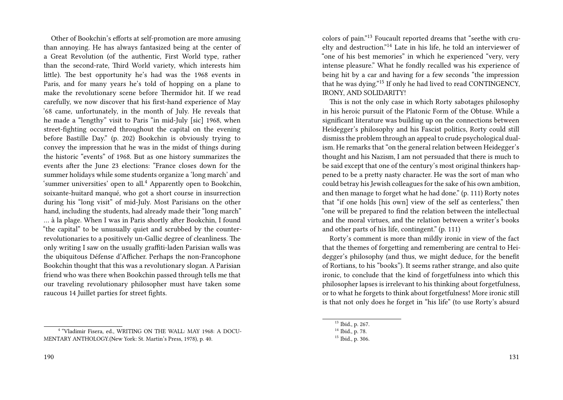Other of Bookchin's efforts at self-promotion are more amusing than annoying. He has always fantasized being at the center of a Great Revolution (of the authentic, First World type, rather than the second-rate, Third World variety, which interests him little). The best opportunity he's had was the 1968 events in Paris, and for many years he's told of hopping on a plane to make the revolutionary scene before Thermidor hit. If we read carefully, we now discover that his first-hand experience of May '68 came, unfortunately, in the month of July. He reveals that he made a "lengthy" visit to Paris "in mid-July [sic] 1968, when street-fighting occurred throughout the capital on the evening before Bastille Day." (p. 202) Bookchin is obviously trying to convey the impression that he was in the midst of things during the historic "events" of 1968. But as one history summarizes the events after the June 23 elections: "France closes down for the summer holidays while some students organize a 'long march' and 'summer universities' open to all. $4$  Apparently open to Bookchin, soixante-huitard manqué, who got a short course in insurrection during his "long visit" of mid-July. Most Parisians on the other hand, including the students, had already made their "long march" … à la plage. When I was in Paris shortly after Bookchin, I found "the capital" to be unusually quiet and scrubbed by the counterrevolutionaries to a positively un-Gallic degree of cleanliness. The only writing I saw on the usually graffiti-laden Parisian walls was the ubiquitous Défense d'Afficher. Perhaps the non-Francophone Bookchin thought that this was a revolutionary slogan. A Parisian friend who was there when Bookchin passed through tells me that our traveling revolutionary philosopher must have taken some raucous 14 Juillet parties for street fights.

4 "Vladimir Fisera, ed., WRITING ON THE WALL: MAY 1968: A DOCU-MENTARY ANTHOLOGY.(New York: St. Martin's Press, 1978), p. 40.

colors of pain."<sup>13</sup> Foucault reported dreams that "seethe with cruelty and destruction."<sup>14</sup> Late in his life, he told an interviewer of "one of his best memories" in which he experienced "very, very intense pleasure." What he fondly recalled was his experience of being hit by a car and having for a few seconds "the impression that he was dying."<sup>15</sup> If only he had lived to read CONTINGENCY, IRONY, AND SOLIDARITY!

This is not the only case in which Rorty sabotages philosophy in his heroic pursuit of the Platonic Form of the Obtuse. While a significant literature was building up on the connections between Heidegger's philosophy and his Fascist politics, Rorty could still dismiss the problem through an appeal to crude psychological dualism. He remarks that "on the general relation between Heidegger's thought and his Nazism, I am not persuaded that there is much to be said except that one of the century's most original thinkers happened to be a pretty nasty character. He was the sort of man who could betray his Jewish colleagues for the sake of his own ambition, and then manage to forget what he had done." (p. 111) Rorty notes that "if one holds [his own] view of the self as centerless," then "one will be prepared to find the relation between the intellectual and the moral virtues, and the relation between a writer's books and other parts of his life, contingent." (p. 111)

Rorty's comment is more than mildly ironic in view of the fact that the themes of forgetting and remembering are central to Heidegger's philosophy (and thus, we might deduce, for the benefit of Rortians, to his "books"). It seems rather strange, and also quite ironic, to conclude that the kind of forgetfulness into which this philosopher lapses is irrelevant to his thinking about forgetfulness, or to what he forgets to think about forgetfulness! More ironic still is that not only does he forget in "his life" (to use Rorty's absurd

 $\frac{13}{13}$  Ibid., p. 267.

<sup>14</sup> Ibid., p. 78.

 $15$  Ibid., p. 306.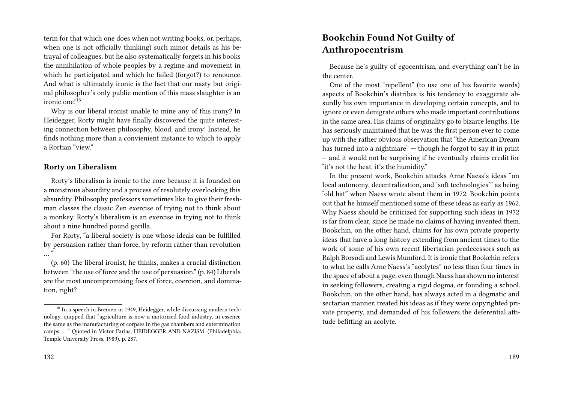term for that which one does when not writing books, or, perhaps, when one is not officially thinking) such minor details as his betrayal of colleagues, but he also systematically forgets in his books the annihilation of whole peoples by a regime and movement in which he participated and which he failed (forgot?) to renounce. And what is ultimately ironic is the fact that our nasty but original philosopher's only public mention of this mass slaughter is an ironic one!<sup>16</sup>

Why is our liberal ironist unable to mine any of this irony? In Heidegger, Rorty might have finally discovered the quite interesting connection between philosophy, blood, and irony! Instead, he finds nothing more than a convienient instance to which to apply a Rortian "view."

### **Rorty on Liberalism**

Rorty's liberalism is ironic to the core because it is founded on a monstrous absurdity and a process of resolutely overlooking this absurdity. Philosophy professors sometimes like to give their freshman classes the classic Zen exercise of trying not to think about a monkey. Rorty's liberalism is an exercise in trying not to think about a nine hundred pound gorilla.

For Rorty, "a liberal society is one whose ideals can be fulfilled by persuasion rather than force, by reform rather than revolution  $\ldots$ <sup>"</sup>

(p. 60) The liberal ironist, he thinks, makes a crucial distinction between "the use of force and the use of persuasion." (p. 84) Liberals are the most uncompromising foes of force, coercion, and domination, right?

#### 132

# **Bookchin Found Not Guilty of Anthropocentrism**

Because he's guilty of egocentrism, and everything can't be in the center.

One of the most "repellent" (to use one of his favorite words) aspects of Bookchin's diatribes is his tendency to exaggerate absurdly his own importance in developing certain concepts, and to ignore or even denigrate others who made important contributions in the same area. His claims of originality go to bizarre lengths. He has seriously maintained that he was the first person ever to come up with the rather obvious observation that "the American Dream has turned into a nightmare" — though he forgot to say it in print — and it would not be surprising if he eventually claims credit for "it's not the heat, it's the humidity."

In the present work, Bookchin attacks Arne Naess's ideas "on local autonomy, decentralization, and 'soft technologies'" as being "old hat" when Naess wrote about them in 1972. Bookchin points out that he himself mentioned some of these ideas as early as 1962. Why Naess should be criticized for supporting such ideas in 1972 is far from clear, since he made no claims of having invented them. Bookchin, on the other hand, claims for his own private property ideas that have a long history extending from ancient times to the work of some of his own recent libertarian predecessors such as Ralph Borsodi and Lewis Mumford. It is ironic that Bookchin refers to what he calls Arne Naess's "acolytes" no less than four times in the space of about a page, even though Naess has shown no interest in seeking followers, creating a rigid dogma, or founding a school. Bookchin, on the other hand, has always acted in a dogmatic and sectarian manner, treated his ideas as if they were copyrighted private property, and demanded of his followers the deferential attitude befitting an acolyte.

<sup>&</sup>lt;sup>16</sup> In a speech in Bremen in 1949, Heidegger, while discussing modern technology, quipped that "agriculture is now a motorized food industry, in essence the same as the manufacturing of corpses in the gas chambers and extermination camps … " Quoted in Victor Farias, HEIDEGGER AND NAZISM. (Philadelphia: Temple University Press, 1989), p. 287.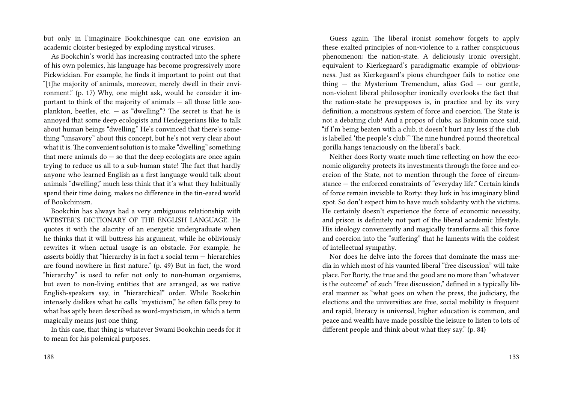but only in l'imaginaire Bookchinesque can one envision an academic cloister besieged by exploding mystical viruses.

As Bookchin's world has increasing contracted into the sphere of his own polemics, his language has become progressively more Pickwickian. For example, he finds it important to point out that "[t]he majority of animals, moreover, merely dwell in their environment." (p. 17) Why, one might ask, would he consider it important to think of the majority of animals — all those little zooplankton, beetles, etc.  $-$  as "dwelling"? The secret is that he is annoyed that some deep ecologists and Heideggerians like to talk about human beings "dwelling." He's convinced that there's something "unsavory" about this concept, but he's not very clear about what it is. The convenient solution is to make "dwelling" something that mere animals  $do - so$  that the deep ecologists are once again trying to reduce us all to a sub-human state! The fact that hardly anyone who learned English as a first language would talk about animals "dwelling," much less think that it's what they habitually spend their time doing, makes no difference in the tin-eared world of Bookchinism.

Bookchin has always had a very ambiguous relationship with WEBSTER'S DICTIONARY OF THE ENGLISH LANGUAGE. He quotes it with the alacrity of an energetic undergraduate when he thinks that it will buttress his argument, while he obliviously rewrites it when actual usage is an obstacle. For example, he asserts boldly that "hierarchy is in fact a social term — hierarchies are found nowhere in first nature." (p. 49) But in fact, the word "hierarchy" is used to refer not only to non-human organisms, but even to non-living entities that are arranged, as we native English-speakers say, in "hierarchical" order. While Bookchin intensely dislikes what he calls "mysticism," he often falls prey to what has aptly been described as word-mysticism, in which a term magically means just one thing.

In this case, that thing is whatever Swami Bookchin needs for it to mean for his polemical purposes.

Guess again. The liberal ironist somehow forgets to apply these exalted principles of non-violence to a rather conspicuous phenomenon: the nation-state. A deliciously ironic oversight, equivalent to Kierkegaard's paradigmatic example of obliviousness. Just as Kierkegaard's pious churchgoer fails to notice one thing  $-$  the Mysterium Tremendum, alias God  $-$  our gentle, non-violent liberal philosopher ironically overlooks the fact that the nation-state he presupposes is, in practice and by its very definition, a monstrous system of force and coercion. The State is not a debating club! And a propos of clubs, as Bakunin once said, "if I'm being beaten with a club, it doesn't hurt any less if the club is labelled 'the people's club.'" The nine hundred pound theoretical gorilla hangs tenaciously on the liberal's back.

Neither does Rorty waste much time reflecting on how the economic oligarchy protects its investments through the force and coercion of the State, not to mention through the force of circumstance — the enforced constraints of "everyday life." Certain kinds of force remain invisible to Rorty: they lurk in his imaginary blind spot. So don't expect him to have much solidarity with the victims. He certainly doesn't experience the force of economic necessity, and prison is definitely not part of the liberal academic lifestyle. His ideology conveniently and magically transforms all this force and coercion into the "suffering" that he laments with the coldest of intellectual sympathy.

Nor does he delve into the forces that dominate the mass media in which most of his vaunted liberal "free discussion" will take place. For Rorty, the true and the good are no more than "whatever is the outcome" of such "free discussion," defined in a typically liberal manner as "what goes on when the press, the judiciary, the elections and the universities are free, social mobility is frequent and rapid, literacy is universal, higher education is common, and peace and wealth have made possible the leisure to listen to lots of different people and think about what they say." (p. 84)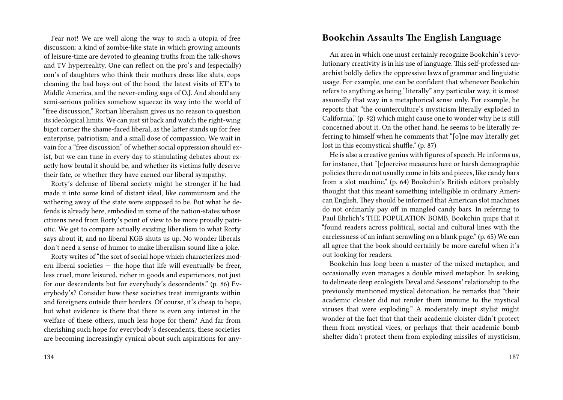Fear not! We are well along the way to such a utopia of free discussion: a kind of zombie-like state in which growing amounts of leisure-time are devoted to gleaning truths from the talk-shows and TV hyperreality. One can reflect on the pro's and (especially) con's of daughters who think their mothers dress like sluts, cops cleaning the bad boys out of the hood, the latest visits of ET's to Middle America, and the never-ending saga of O.J. And should any semi-serious politics somehow squeeze its way into the world of "free discussion," Rortian liberalism gives us no reason to question its ideological limits. We can just sit back and watch the right-wing bigot corner the shame-faced liberal, as the latter stands up for free enterprise, patriotism, and a small dose of compassion. We wait in vain for a "free discussion" of whether social oppression should exist, but we can tune in every day to stimulating debates about exactly how brutal it should be, and whether its victims fully deserve their fate, or whether they have earned our liberal sympathy.

Rorty's defense of liberal society might be stronger if he had made it into some kind of distant ideal, like communism and the withering away of the state were supposed to be. But what he defends is already here, embodied in some of the nation-states whose citizens need from Rorty's point of view to be more proudly patriotic. We get to compare actually existing liberalism to what Rorty says about it, and no liberal KGB shuts us up. No wonder liberals don't need a sense of humor to make liberalism sound like a joke.

Rorty writes of "the sort of social hope which characterizes modern liberal societies — the hope that life will eventually be freer, less cruel, more leisured, richer in goods and experiences, not just for our descendents but for everybody's descendents." (p. 86) Everybody's? Consider how these societies treat immigrants within and foreigners outside their borders. Of course, it's cheap to hope, but what evidence is there that there is even any interest in the welfare of these others, much less hope for them? And far from cherishing such hope for everybody's descendents, these societies are becoming increasingly cynical about such aspirations for any-

## **Bookchin Assaults The English Language**

An area in which one must certainly recognize Bookchin's revolutionary creativity is in his use of language. This self-professed anarchist boldly defies the oppressive laws of grammar and linguistic usage. For example, one can be confident that whenever Bookchin refers to anything as being "literally" any particular way, it is most assuredly that way in a metaphorical sense only. For example, he reports that "the counterculture's mysticism literally exploded in California," (p. 92) which might cause one to wonder why he is still concerned about it. On the other hand, he seems to be literally referring to himself when he comments that "[o]ne may literally get lost in this ecomystical shuffle." (p. 87)

He is also a creative genius with figures of speech. He informs us, for instance, that "[c]oercive measures here or harsh demographic policies there do not usually come in bits and pieces, like candy bars from a slot machine." (p. 64) Bookchin's British editors probably thought that this meant something intelligible in ordinary American English. They should be informed that American slot machines do not ordinarily pay off in mangled candy bars. In referring to Paul Ehrlich's THE POPULATION BOMB, Bookchin quips that it "found readers across political, social and cultural lines with the carelessness of an infant scrawling on a blank page." (p. 65) We can all agree that the book should certainly be more careful when it's out looking for readers.

Bookchin has long been a master of the mixed metaphor, and occasionally even manages a double mixed metaphor. In seeking to delineate deep ecologists Deval and Sessions' relationship to the previously mentioned mystical detonation, he remarks that "their academic cloister did not render them immune to the mystical viruses that were exploding." A moderately inept stylist might wonder at the fact that that their academic cloister didn't protect them from mystical vices, or perhaps that their academic bomb shelter didn't protect them from exploding missiles of mysticism,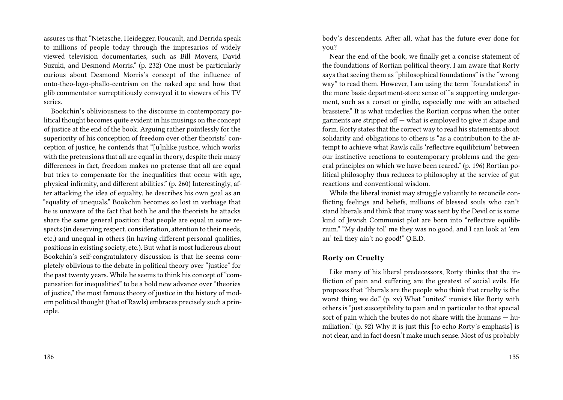assures us that "Nietzsche, Heidegger, Foucault, and Derrida speak to millions of people today through the impresarios of widely viewed television documentaries, such as Bill Moyers, David Suzuki, and Desmond Morris." (p. 232) One must be particularly curious about Desmond Morris's concept of the influence of onto-theo-logo-phallo-centrism on the naked ape and how that glib commentator surreptitiously conveyed it to viewers of his TV series.

Bookchin's obliviousness to the discourse in contemporary political thought becomes quite evident in his musings on the concept of justice at the end of the book. Arguing rather pointlessly for the superiority of his conception of freedom over other theorists' conception of justice, he contends that "[u]nlike justice, which works with the pretensions that all are equal in theory, despite their many differences in fact, freedom makes no pretense that all are equal but tries to compensate for the inequalities that occur with age, physical infirmity, and different abilities." (p. 260) Interestingly, after attacking the idea of equality, he describes his own goal as an "equality of unequals." Bookchin becomes so lost in verbiage that he is unaware of the fact that both he and the theorists he attacks share the same general position: that people are equal in some respects (in deserving respect, consideration, attention to their needs, etc.) and unequal in others (in having different personal qualities, positions in existing society, etc.). But what is most ludicrous about Bookchin's self-congratulatory discussion is that he seems completely oblivious to the debate in political theory over "justice" for the past twenty years. While he seems to think his concept of "compensation for inequalities" to be a bold new advance over "theories of justice," the most famous theory of justice in the history of modern political thought (that of Rawls) embraces precisely such a principle.

body's descendents. After all, what has the future ever done for you?

Near the end of the book, we finally get a concise statement of the foundations of Rortian political theory. I am aware that Rorty says that seeing them as "philosophical foundations" is the "wrong way" to read them. However, I am using the term "foundations" in the more basic department-store sense of "a supporting undergarment, such as a corset or girdle, especially one with an attached brassiere." It is what underlies the Rortian corpus when the outer garments are stripped off — what is employed to give it shape and form. Rorty states that the correct way to read his statements about solidarity and obligations to others is "as a contribution to the attempt to achieve what Rawls calls 'reflective equilibrium' between our instinctive reactions to contemporary problems and the general principles on which we have been reared." (p. 196) Rortian political philosophy thus reduces to philosophy at the service of gut reactions and conventional wisdom.

While the liberal ironist may struggle valiantly to reconcile conflicting feelings and beliefs, millions of blessed souls who can't stand liberals and think that irony was sent by the Devil or is some kind of Jewish Communist plot are born into "reflective equilibrium." "My daddy tol' me they was no good, and I can look at 'em an' tell they ain't no good!" Q.E.D.

### **Rorty on Cruelty**

Like many of his liberal predecessors, Rorty thinks that the infliction of pain and suffering are the greatest of social evils. He proposes that "liberals are the people who think that cruelty is the worst thing we do." (p. xv) What "unites" ironists like Rorty with others is "just susceptibility to pain and in particular to that special sort of pain which the brutes do not share with the humans — humiliation." (p. 92) Why it is just this [to echo Rorty's emphasis] is not clear, and in fact doesn't make much sense. Most of us probably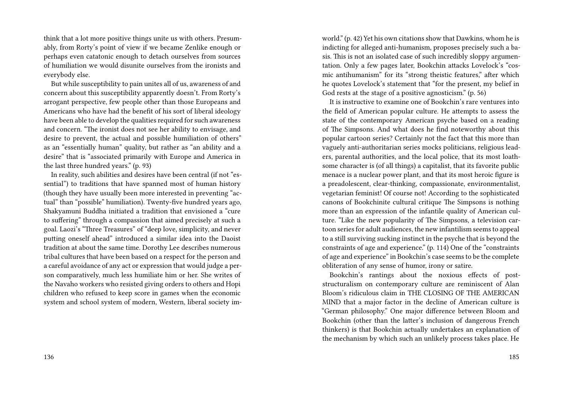think that a lot more positive things unite us with others. Presumably, from Rorty's point of view if we became Zenlike enough or perhaps even catatonic enough to detach ourselves from sources of humiliation we would disunite ourselves from the ironists and everybody else.

But while susceptibility to pain unites all of us, awareness of and concern about this susceptibility apparently doesn't. From Rorty's arrogant perspective, few people other than those Europeans and Americans who have had the benefit of his sort of liberal ideology have been able to develop the qualities required for such awareness and concern. "The ironist does not see her ability to envisage, and desire to prevent, the actual and possible humiliation of others" as an "essentially human" quality, but rather as "an ability and a desire" that is "associated primarily with Europe and America in the last three hundred years." (p. 93)

In reality, such abilities and desires have been central (if not "essential") to traditions that have spanned most of human history (though they have usually been more interested in preventing "actual" than "possible" humiliation). Twenty-five hundred years ago, Shakyamuni Buddha initiated a tradition that envisioned a "cure to suffering" through a compassion that aimed precisely at such a goal. Laozi's "Three Treasures" of "deep love, simplicity, and never putting oneself ahead" introduced a similar idea into the Daoist tradition at about the same time. Dorothy Lee describes numerous tribal cultures that have been based on a respect for the person and a careful avoidance of any act or expression that would judge a person comparatively, much less humiliate him or her. She writes of the Navaho workers who resisted giving orders to others and Hopi children who refused to keep score in games when the economic system and school system of modern, Western, liberal society imworld." (p. 42) Yet his own citations show that Dawkins, whom he is indicting for alleged anti-humanism, proposes precisely such a basis. This is not an isolated case of such incredibly sloppy argumentation. Only a few pages later, Bookchin attacks Lovelock's "cosmic antihumanism" for its "strong theistic features," after which he quotes Lovelock's statement that "for the present, my belief in God rests at the stage of a positive agnosticism." (p. 56)

It is instructive to examine one of Bookchin's rare ventures into the field of American popular culture. He attempts to assess the state of the contemporary American psyche based on a reading of The Simpsons. And what does he find noteworthy about this popular cartoon series? Certainly not the fact that this more than vaguely anti-authoritarian series mocks politicians, religious leaders, parental authorities, and the local police, that its most loathsome character is (of all things) a capitalist, that its favorite public menace is a nuclear power plant, and that its most heroic figure is a preadolescent, clear-thinking, compassionate, environmentalist, vegetarian feminist! Of course not! According to the sophisticated canons of Bookchinite cultural critique The Simpsons is nothing more than an expression of the infantile quality of American culture. "Like the new popularity of The Simpsons, a television cartoon series for adult audiences, the new infantilism seems to appeal to a still surviving sucking instinct in the psyche that is beyond the constraints of age and experience." (p. 114) One of the "constraints of age and experience" in Bookchin's case seems to be the complete obliteration of any sense of humor, irony or satire.

Bookchin's rantings about the noxious effects of poststructuralism on contemporary culture are reminiscent of Alan Bloom's ridiculous claim in THE CLOSING OF THE AMERICAN MIND that a major factor in the decline of American culture is "German philosophy." One major difference between Bloom and Bookchin (other than the latter's inclusion of dangerous French thinkers) is that Bookchin actually undertakes an explanation of the mechanism by which such an unlikely process takes place. He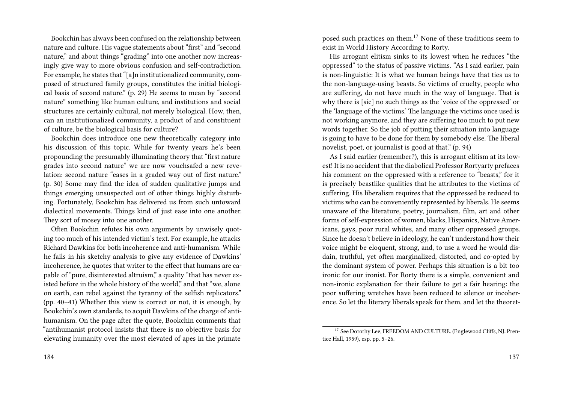Bookchin has always been confused on the relationship between nature and culture. His vague statements about "first" and "second nature," and about things "grading" into one another now increasingly give way to more obvious confusion and self-contradiction. For example, he states that "[a]n institutionalized community, composed of structured family groups, constitutes the initial biological basis of second nature." (p. 29) He seems to mean by "second nature" something like human culture, and institutions and social structures are certainly cultural, not merely biological. How, then, can an institutionalized community, a product of and constituent of culture, be the biological basis for culture?

Bookchin does introduce one new theoretically category into his discussion of this topic. While for twenty years he's been propounding the presumably illuminating theory that "first nature grades into second nature" we are now vouchsafed a new revelation: second nature "eases in a graded way out of first nature." (p. 30) Some may find the idea of sudden qualitative jumps and things emerging unsuspected out of other things highly disturbing. Fortunately, Bookchin has delivered us from such untoward dialectical movements. Things kind of just ease into one another. They sort of mosey into one another.

Often Bookchin refutes his own arguments by unwisely quoting too much of his intended victim's text. For example, he attacks Richard Dawkins for both incoherence and anti-humanism. While he fails in his sketchy analysis to give any evidence of Dawkins' incoherence, he quotes that writer to the effect that humans are capable of "pure, disinterested altruism," a quality "that has never existed before in the whole history of the world," and that "we, alone on earth, can rebel against the tyranny of the selfish replicators." (pp. 40–41) Whether this view is correct or not, it is enough, by Bookchin's own standards, to acquit Dawkins of the charge of antihumanism. On the page after the quote, Bookchin comments that "antihumanist protocol insists that there is no objective basis for elevating humanity over the most elevated of apes in the primate posed such practices on them.<sup>17</sup> None of these traditions seem to exist in World History According to Rorty.

His arrogant elitism sinks to its lowest when he reduces "the oppressed" to the status of passive victims. "As I said earlier, pain is non-linguistic: It is what we human beings have that ties us to the non-language-using beasts. So victims of cruelty, people who are suffering, do not have much in the way of language. That is why there is [sic] no such things as the 'voice of the oppressed' or the 'language of the victims.' The language the victims once used is not working anymore, and they are suffering too much to put new words together. So the job of putting their situation into language is going to have to be done for them by somebody else. The liberal novelist, poet, or journalist is good at that." (p. 94)

As I said earlier (remember?), this is arrogant elitism at its lowest! It is no accident that the diabolical Professor Rortyarty prefaces his comment on the oppressed with a reference to "beasts," for it is precisely beastlike qualities that he attributes to the victims of suffering. His liberalism requires that the oppressed be reduced to victims who can be conveniently represented by liberals. He seems unaware of the literature, poetry, journalism, film, art and other forms of self-expression of women, blacks, Hispanics, Native Americans, gays, poor rural whites, and many other oppressed groups. Since he doesn't believe in ideology, he can't understand how their voice might be eloquent, strong, and, to use a word he would disdain, truthful, yet often marginalized, distorted, and co-opted by the dominant system of power. Perhaps this situation is a bit too ironic for our ironist. For Rorty there is a simple, convenient and non-ironic explanation for their failure to get a fair hearing: the poor suffering wretches have been reduced to silence or incoherence. So let the literary liberals speak for them, and let the theoret-

<sup>&</sup>lt;sup>17</sup> See Dorothy Lee, FREEDOM AND CULTURE. (Englewood Cliffs, NJ: Prentice Hall, 1959), esp. pp. 5–26.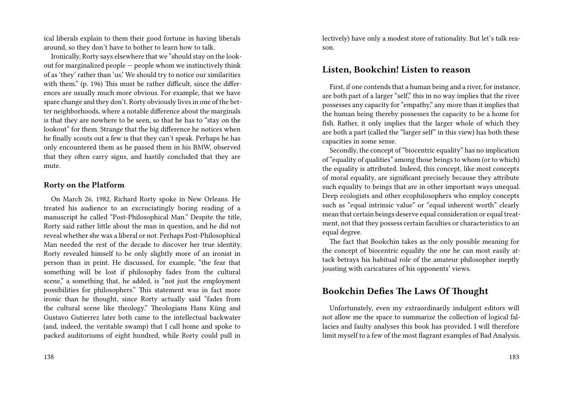ical liberals explain to them their good fortune in having liberals around, so they don't have to bother to learn how to talk.

Ironically, Rorty says elsewhere that we "should stay on the lookout for marginalized people — people whom we instinctively think of as 'they' rather than 'us.' We should try to notice our similarities with them." (p. 196) This must be rather difficult, since the differences are usually much more obvious. For example, that we have spare change and they don't. Rorty obviously lives in one of the better neighborhoods, where a notable difference about the marginals is that they are nowhere to be seen, so that he has to "stay on the lookout" for them. Strange that the big difference he notices when he finally scouts out a few is that they can't speak. Perhaps he has only encountered them as he passed them in his BMW, observed that they often carry signs, and hastily concluded that they are mute.

#### **Rorty on the Platform**

On March 26, 1982, Richard Rorty spoke in New Orleans. He treated his audience to an excruciatingly boring reading of a manuscript he called "Post-Philosophical Man." Despite the title, Rorty said rather little about the man in question, and he did not reveal whether she was a liberal or not. Perhaps Post-Philosophical Man needed the rest of the decade to discover her true identity. Rorty revealed himself to be only slightly more of an ironist in person than in print. He discussed, for example, "the fear that something will be lost if philosophy fades from the cultural scene," a something that, he added, is "not just the employment possibilities for philosophers." This statement was in fact more ironic than he thought, since Rorty actually said "fades from the cultural scene like theology." Theologians Hans Küng and Gustavo Gutierrez later both came to the intellectual backwater (and, indeed, the veritable swamp) that I call home and spoke to packed auditoriums of eight hundred, while Rorty could pull in lectively) have only a modest store of rationality. But let's talk reason.

### **Listen, Bookchin! Listen to reason**

First, if one contends that a human being and a river, for instance, are both part of a larger "self," this in no way implies that the river possesses any capacity for "empathy," any more than it implies that the human being thereby possesses the capacity to be a home for fish. Rather, it only implies that the larger whole of which they are both a part (called the "larger self" in this view) has both these capacities in some sense.

Secondly, the concept of "biocentric equality" has no implication of "equality of qualities" among those beings to whom (or to which) the equality is attributed. Indeed, this concept, like most concepts of moral equality, are significant precisely because they attribute such equality to beings that are in other important ways unequal. Deep ecologists and other ecophilosophers who employ concepts such as "equal intrinsic value" or "equal inherent worth" clearly mean that certain beings deserve equal consideration or equal treatment, not that they possess certain faculties or characteristics to an equal degree.

The fact that Bookchin takes as the only possible meaning for the concept of biocentric equality the one he can most easily attack betrays his habitual role of the amateur philosopher ineptly jousting with caricatures of his opponents' views.

## **Bookchin Defies The Laws Of Thought**

Unfortunately, even my extraordinarily indulgent editors will not allow me the space to summarize the collection of logical fallacies and faulty analyses this book has provided. I will therefore limit myself to a few of the most flagrant examples of Bad Analysis.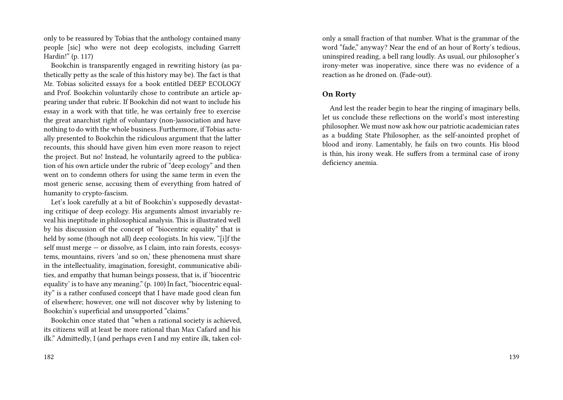only to be reassured by Tobias that the anthology contained many people [sic] who were not deep ecologists, including Garrett Hardin!" (p. 117)

Bookchin is transparently engaged in rewriting history (as pathetically petty as the scale of this history may be). The fact is that Mr. Tobias solicited essays for a book entitled DEEP ECOLOGY and Prof. Bookchin voluntarily chose to contribute an article appearing under that rubric. If Bookchin did not want to include his essay in a work with that title, he was certainly free to exercise the great anarchist right of voluntary (non-)association and have nothing to do with the whole business. Furthermore, if Tobias actually presented to Bookchin the ridiculous argument that the latter recounts, this should have given him even more reason to reject the project. But no! Instead, he voluntarily agreed to the publication of his own article under the rubric of "deep ecology" and then went on to condemn others for using the same term in even the most generic sense, accusing them of everything from hatred of humanity to crypto-fascism.

Let's look carefully at a bit of Bookchin's supposedly devastating critique of deep ecology. His arguments almost invariably reveal his ineptitude in philosophical analysis. This is illustrated well by his discussion of the concept of "biocentric equality" that is held by some (though not all) deep ecologists. In his view, "[i]f the self must merge — or dissolve, as I claim, into rain forests, ecosystems, mountains, rivers 'and so on,' these phenomena must share in the intellectuality, imagination, foresight, communicative abilities, and empathy that human beings possess, that is, if 'biocentric equality' is to have any meaning." (p. 100) In fact, "biocentric equality" is a rather confused concept that I have made good clean fun of elsewhere; however, one will not discover why by listening to Bookchin's superficial and unsupported "claims."

Bookchin once stated that "when a rational society is achieved, its citizens will at least be more rational than Max Cafard and his ilk." Admittedly, I (and perhaps even I and my entire ilk, taken colonly a small fraction of that number. What is the grammar of the word "fade," anyway? Near the end of an hour of Rorty's tedious, uninspired reading, a bell rang loudly. As usual, our philosopher's irony-meter was inoperative, since there was no evidence of a reaction as he droned on. (Fade-out).

#### **On Rorty**

And lest the reader begin to hear the ringing of imaginary bells, let us conclude these reflections on the world's most interesting philosopher. We must now ask how our patriotic academician rates as a budding State Philosopher, as the self-anointed prophet of blood and irony. Lamentably, he fails on two counts. His blood is thin, his irony weak. He suffers from a terminal case of irony deficiency anemia.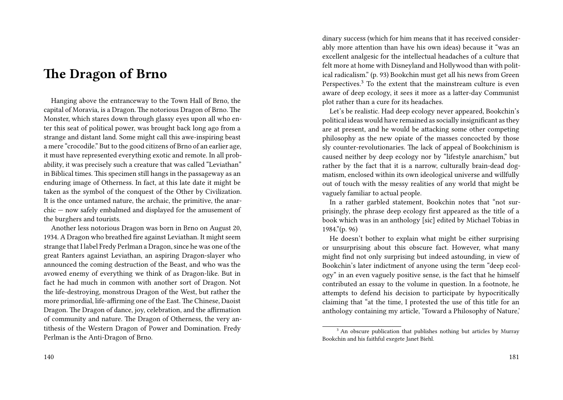# **The Dragon of Brno**

Hanging above the entranceway to the Town Hall of Brno, the capital of Moravia, is a Dragon. The notorious Dragon of Brno. The Monster, which stares down through glassy eyes upon all who enter this seat of political power, was brought back long ago from a strange and distant land. Some might call this awe-inspiring beast a mere "crocodile." But to the good citizens of Brno of an earlier age, it must have represented everything exotic and remote. In all probability, it was precisely such a creature that was called "Leviathan" in Biblical times. This specimen still hangs in the passageway as an enduring image of Otherness. In fact, at this late date it might be taken as the symbol of the conquest of the Other by Civilization. It is the once untamed nature, the archaic, the primitive, the anarchic — now safely embalmed and displayed for the amusement of the burghers and tourists.

Another less notorious Dragon was born in Brno on August 20, 1934. A Dragon who breathed fire against Leviathan. It might seem strange that I label Fredy Perlman a Dragon, since he was one of the great Ranters against Leviathan, an aspiring Dragon-slayer who announced the coming destruction of the Beast, and who was the avowed enemy of everything we think of as Dragon-like. But in fact he had much in common with another sort of Dragon. Not the life-destroying, monstrous Dragon of the West, but rather the more primordial, life-affirming one of the East. The Chinese, Daoist Dragon. The Dragon of dance, joy, celebration, and the affirmation of community and nature. The Dragon of Otherness, the very antithesis of the Western Dragon of Power and Domination. Fredy Perlman is the Anti-Dragon of Brno.

dinary success (which for him means that it has received considerably more attention than have his own ideas) because it "was an excellent analgesic for the intellectual headaches of a culture that felt more at home with Disneyland and Hollywood than with political radicalism." (p. 93) Bookchin must get all his news from Green Perspectives.<sup>3</sup> To the extent that the mainstream culture is even aware of deep ecology, it sees it more as a latter-day Communist plot rather than a cure for its headaches.

Let's be realistic. Had deep ecology never appeared, Bookchin's political ideas would have remained as socially insignificant as they are at present, and he would be attacking some other competing philosophy as the new opiate of the masses concocted by those sly counter-revolutionaries. The lack of appeal of Bookchinism is caused neither by deep ecology nor by "lifestyle anarchism," but rather by the fact that it is a narrow, culturally brain-dead dogmatism, enclosed within its own ideological universe and willfully out of touch with the messy realities of any world that might be vaguely familiar to actual people.

In a rather garbled statement, Bookchin notes that "not surprisingly, the phrase deep ecology first appeared as the title of a book which was in an anthology [sic] edited by Michael Tobias in 1984."(p. 96)

He doesn't bother to explain what might be either surprising or unsurprising about this obscure fact. However, what many might find not only surprising but indeed astounding, in view of Bookchin's later indictment of anyone using the term "deep ecology" in an even vaguely positive sense, is the fact that he himself contributed an essay to the volume in question. In a footnote, he attempts to defend his decision to participate by hypocritically claiming that "at the time, I protested the use of this title for an anthology containing my article, 'Toward a Philosophy of Nature,'

<sup>&</sup>lt;sup>3</sup> An obscure publication that publishes nothing but articles by Murray Bookchin and his faithful exegete Janet Biehl.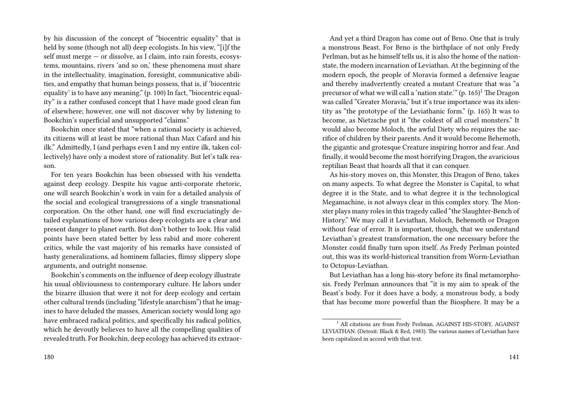by his discussion of the concept of "biocentric equality" that is held by some (though not all) deep ecologists. In his view, "[i]f the self must merge — or dissolve, as I claim, into rain forests, ecosystems, mountains, rivers 'and so on,' these phenomena must share in the intellectuality, imagination, foresight, communicative abilities, and empathy that human beings possess, that is, if 'biocentric equality' is to have any meaning." (p. 100) In fact, "biocentric equality" is a rather confused concept that I have made good clean fun of elsewhere; however, one will not discover why by listening to Bookchin's superficial and unsupported "claims."

Bookchin once stated that "when a rational society is achieved, its citizens will at least be more rational than Max Cafard and his ilk." Admittedly, I (and perhaps even I and my entire ilk, taken collectively) have only a modest store of rationality. But let's talk reason.

For ten years Bookchin has been obsessed with his vendetta against deep ecology. Despite his vague anti-corporate rhetoric, one will search Bookchin's work in vain for a detailed analysis of the social and ecological transgressions of a single transnational corporation. On the other hand, one will find excruciatingly detailed explanations of how various deep ecologists are a clear and present danger to planet earth. But don't bother to look. His valid points have been stated better by less rabid and more coherent critics, while the vast majority of his remarks have consisted of hasty generalizations, ad hominem fallacies, flimsy slippery slope arguments, and outright nonsense.

Bookchin's comments on the influence of deep ecology illustrate his usual obliviousness to contemporary culture. He labors under the bizarre illusion that were it not for deep ecology and certain other cultural trends (including "lifestyle anarchism") that he imagines to have deluded the masses, American society would long ago have embraced radical politics, and specifically his radical politics, which he devoutly believes to have all the compelling qualities of revealed truth. For Bookchin, deep ecology has achieved its extraor-

And yet a third Dragon has come out of Brno. One that is truly a monstrous Beast. For Brno is the birthplace of not only Fredy Perlman, but as he himself tells us, it is also the home of the nationstate, the modern incarnation of Leviathan. At the beginning of the modern epoch, the people of Moravia formed a defensive league and thereby inadvertently created a mutant Creature that was "a precursor of what we will call a 'nation state.'"  $(p. 165)^{1}$  The Dragon was called "Greater Moravia," but it's true importance was its identity as "the prototype of the Leviathanic form." (p. 165) It was to become, as Nietzsche put it "the coldest of all cruel monsters." It would also become Moloch, the awful Diety who requires the sacrifice of children by their parents. And it would become Behemoth, the gigantic and grotesque Creature inspiring horror and fear. And finally, it would become the most horrifying Dragon, the avaricious reptilian Beast that hoards all that it can conquer.

As his-story moves on, this Monster, this Dragon of Brno, takes on many aspects. To what degree the Monster is Capital, to what degree it is the State, and to what degree it is the technological Megamachine, is not always clear in this complex story. The Monster plays many roles in this tragedy called "the Slaughter-Bench of History." We may call it Leviathan, Moloch, Behemoth or Dragon without fear of error. It is important, though, that we understand Leviathan's greatest transformation, the one necessary before the Monster could finally turn upon itself. As Fredy Perlman pointed out, this was its world-historical transition from Worm-Leviathan to Octopus-Leviathan.

But Leviathan has a long his-story before its final metamorphosis. Fredy Perlman announces that "it is my aim to speak of the Beast's body. For it does have a body, a monstrous body, a body that has become more powerful than the Biosphere. It may be a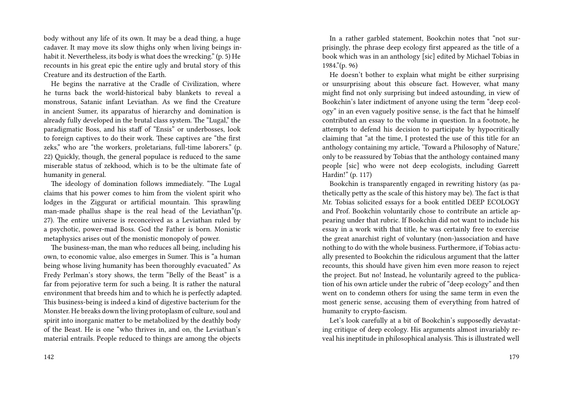body without any life of its own. It may be a dead thing, a huge cadaver. It may move its slow thighs only when living beings inhabit it. Nevertheless, its body is what does the wrecking." (p. 5) He recounts in his great epic the entire ugly and brutal story of this Creature and its destruction of the Earth.

He begins the narrative at the Cradle of Civilization, where he turns back the world-historical baby blankets to reveal a monstrous, Satanic infant Leviathan. As we find the Creature in ancient Sumer, its apparatus of hierarchy and domination is already fully developed in the brutal class system. The "Lugal," the paradigmatic Boss, and his staff of "Ensis" or underbosses, look to foreign captives to do their work. These captives are "the first zeks," who are "the workers, proletarians, full-time laborers." (p. 22) Quickly, though, the general populace is reduced to the same miserable status of zekhood, which is to be the ultimate fate of humanity in general.

The ideology of domination follows immediately. "The Lugal claims that his power comes to him from the violent spirit who lodges in the Ziggurat or artificial mountain. This sprawling man-made phallus shape is the real head of the Leviathan"(p. 27). The entire universe is reconceived as a Leviathan ruled by a psychotic, power-mad Boss. God the Father is born. Monistic metaphysics arises out of the monistic monopoly of power.

The business-man, the man who reduces all being, including his own, to economic value, also emerges in Sumer. This is "a human being whose living humanity has been thoroughly evacuated." As Fredy Perlman's story shows, the term "Belly of the Beast" is a far from pejorative term for such a being. It is rather the natural environment that breeds him and to which he is perfectly adapted. This business-being is indeed a kind of digestive bacterium for the Monster. He breaks down the living protoplasm of culture, soul and spirit into inorganic matter to be metabolized by the deathly body of the Beast. He is one "who thrives in, and on, the Leviathan's material entrails. People reduced to things are among the objects

142

In a rather garbled statement, Bookchin notes that "not surprisingly, the phrase deep ecology first appeared as the title of a book which was in an anthology [sic] edited by Michael Tobias in 1984."(p. 96)

He doesn't bother to explain what might be either surprising or unsurprising about this obscure fact. However, what many might find not only surprising but indeed astounding, in view of Bookchin's later indictment of anyone using the term "deep ecology" in an even vaguely positive sense, is the fact that he himself contributed an essay to the volume in question. In a footnote, he attempts to defend his decision to participate by hypocritically claiming that "at the time, I protested the use of this title for an anthology containing my article, 'Toward a Philosophy of Nature,' only to be reassured by Tobias that the anthology contained many people [sic] who were not deep ecologists, including Garrett Hardin!" (p. 117)

Bookchin is transparently engaged in rewriting history (as pathetically petty as the scale of this history may be). The fact is that Mr. Tobias solicited essays for a book entitled DEEP ECOLOGY and Prof. Bookchin voluntarily chose to contribute an article appearing under that rubric. If Bookchin did not want to include his essay in a work with that title, he was certainly free to exercise the great anarchist right of voluntary (non-)association and have nothing to do with the whole business. Furthermore, if Tobias actually presented to Bookchin the ridiculous argument that the latter recounts, this should have given him even more reason to reject the project. But no! Instead, he voluntarily agreed to the publication of his own article under the rubric of "deep ecology" and then went on to condemn others for using the same term in even the most generic sense, accusing them of everything from hatred of humanity to crypto-fascism.

Let's look carefully at a bit of Bookchin's supposedly devastating critique of deep ecology. His arguments almost invariably reveal his ineptitude in philosophical analysis. This is illustrated well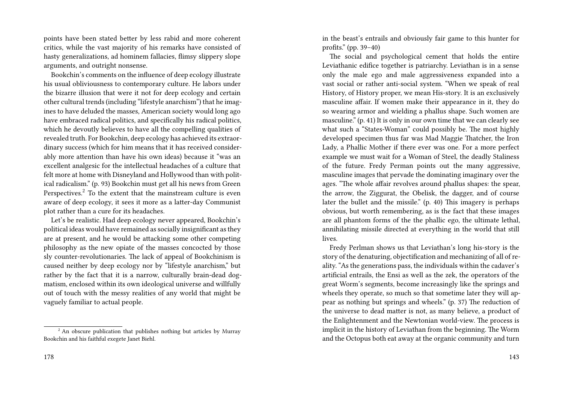points have been stated better by less rabid and more coherent critics, while the vast majority of his remarks have consisted of hasty generalizations, ad hominem fallacies, flimsy slippery slope arguments, and outright nonsense.

Bookchin's comments on the influence of deep ecology illustrate his usual obliviousness to contemporary culture. He labors under the bizarre illusion that were it not for deep ecology and certain other cultural trends (including "lifestyle anarchism") that he imagines to have deluded the masses, American society would long ago have embraced radical politics, and specifically his radical politics, which he devoutly believes to have all the compelling qualities of revealed truth. For Bookchin, deep ecology has achieved its extraordinary success (which for him means that it has received considerably more attention than have his own ideas) because it "was an excellent analgesic for the intellectual headaches of a culture that felt more at home with Disneyland and Hollywood than with political radicalism." (p. 93) Bookchin must get all his news from Green Perspectives.<sup>2</sup> To the extent that the mainstream culture is even aware of deep ecology, it sees it more as a latter-day Communist plot rather than a cure for its headaches.

Let's be realistic. Had deep ecology never appeared, Bookchin's political ideas would have remained as socially insignificant as they are at present, and he would be attacking some other competing philosophy as the new opiate of the masses concocted by those sly counter-revolutionaries. The lack of appeal of Bookchinism is caused neither by deep ecology nor by "lifestyle anarchism," but rather by the fact that it is a narrow, culturally brain-dead dogmatism, enclosed within its own ideological universe and willfully out of touch with the messy realities of any world that might be vaguely familiar to actual people.

in the beast's entrails and obviously fair game to this hunter for profits." (pp. 39–40)

The social and psychological cement that holds the entire Leviathanic edifice together is patriarchy. Leviathan is in a sense only the male ego and male aggressiveness expanded into a vast social or rather anti-social system. "When we speak of real History, of History proper, we mean His-story. It is an exclusively masculine affair. If women make their appearance in it, they do so wearing armor and wielding a phallus shape. Such women are masculine." (p. 41) It is only in our own time that we can clearly see what such a "States-Woman" could possibly be. The most highly developed specimen thus far was Mad Maggie Thatcher, the Iron Lady, a Phallic Mother if there ever was one. For a more perfect example we must wait for a Woman of Steel, the deadly Staliness of the future. Fredy Perman points out the many aggressive, masculine images that pervade the dominating imaginary over the ages. "The whole affair revolves around phallus shapes: the spear, the arrow, the Ziggurat, the Obelisk, the dagger, and of course later the bullet and the missile." (p. 40) This imagery is perhaps obvious, but worth remembering, as is the fact that these images are all phantom forms of the the phallic ego, the ultimate lethal, annihilating missile directed at everything in the world that still lives.

Fredy Perlman shows us that Leviathan's long his-story is the story of the denaturing, objectification and mechanizing of all of reality. "As the generations pass, the individuals within the cadaver's artificial entrails, the Ensi as well as the zek, the operators of the great Worm's segments, become increasingly like the springs and wheels they operate, so much so that sometime later they will appear as nothing but springs and wheels." (p. 37) The reduction of the universe to dead matter is not, as many believe, a product of the Enlightenment and the Newtonian world-view. The process is implicit in the history of Leviathan from the beginning. The Worm and the Octopus both eat away at the organic community and turn

 $2$  An obscure publication that publishes nothing but articles by Murray Bookchin and his faithful exegete Janet Biehl.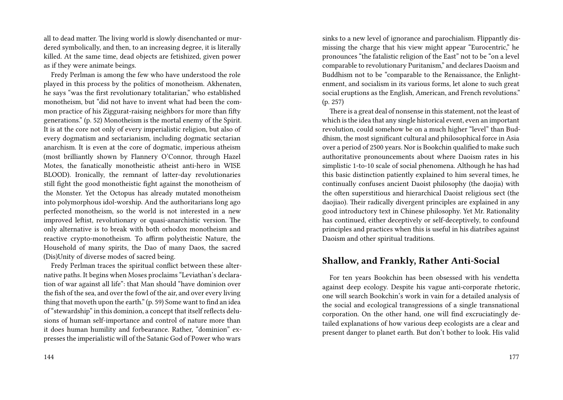all to dead matter. The living world is slowly disenchanted or murdered symbolically, and then, to an increasing degree, it is literally killed. At the same time, dead objects are fetishized, given power as if they were animate beings.

Fredy Perlman is among the few who have understood the role played in this process by the politics of monotheism. Akhenaten, he says "was the first revolutionary totalitarian," who established monotheism, but "did not have to invent what had been the common practice of his Ziggurat-raising neighbors for more than fifty generations." (p. 52) Monotheism is the mortal enemy of the Spirit. It is at the core not only of every imperialistic religion, but also of every dogmatism and sectarianism, including dogmatic sectarian anarchism. It is even at the core of dogmatic, imperious atheism (most brilliantly shown by Flannery O'Connor, through Hazel Motes, the fanatically monotheistic atheist anti-hero in WISE BLOOD). Ironically, the remnant of latter-day revolutionaries still fight the good monotheistic fight against the monotheism of the Monster. Yet the Octopus has already mutated monotheism into polymorphous idol-worship. And the authoritarians long ago perfected monotheism, so the world is not interested in a new improved leftist, revolutionary or quasi-anarchistic version. The only alternative is to break with both orhodox monotheism and reactive crypto-monotheism. To affirm polytheistic Nature, the Household of many spirits, the Dao of many Daos, the sacred (Dis)Unity of diverse modes of sacred being.

Fredy Perlman traces the spiritual conflict between these alternative paths. It begins when Moses proclaims "Leviathan's declaration of war against all life": that Man should "have dominion over the fish of the sea, and over the fowl of the air, and over every living thing that moveth upon the earth." (p. 59) Some want to find an idea of "stewardship" in this dominion, a concept that itself reflects delusions of human self-importance and control of nature more than it does human humility and forbearance. Rather, "dominion" expresses the imperialistic will of the Satanic God of Power who wars

sinks to a new level of ignorance and parochialism. Flippantly dismissing the charge that his view might appear "Eurocentric," he pronounces "the fatalistic religion of the East" not to be "on a level comparable to revolutionary Puritanism," and declares Daoism and Buddhism not to be "comparable to the Renaissance, the Enlightenment, and socialism in its various forms, let alone to such great social eruptions as the English, American, and French revolutions." (p. 257)

There is a great deal of nonsense in this statement, not the least of which is the idea that any single historical event, even an important revolution, could somehow be on a much higher "level" than Buddhism, the most significant cultural and philosophical force in Asia over a period of 2500 years. Nor is Bookchin qualified to make such authoritative pronouncements about where Daoism rates in his simplistic 1-to-10 scale of social phenomena. Although he has had this basic distinction patiently explained to him several times, he continually confuses ancient Daoist philosophy (the daojia) with the often superstitious and hierarchical Daoist religious sect (the daojiao). Their radically divergent principles are explained in any good introductory text in Chinese philosophy. Yet Mr. Rationality has continued, either deceptively or self-deceptively, to confound principles and practices when this is useful in his diatribes against Daoism and other spiritual traditions.

### **Shallow, and Frankly, Rather Anti-Social**

For ten years Bookchin has been obsessed with his vendetta against deep ecology. Despite his vague anti-corporate rhetoric, one will search Bookchin's work in vain for a detailed analysis of the social and ecological transgressions of a single transnational corporation. On the other hand, one will find excruciatingly detailed explanations of how various deep ecologists are a clear and present danger to planet earth. But don't bother to look. His valid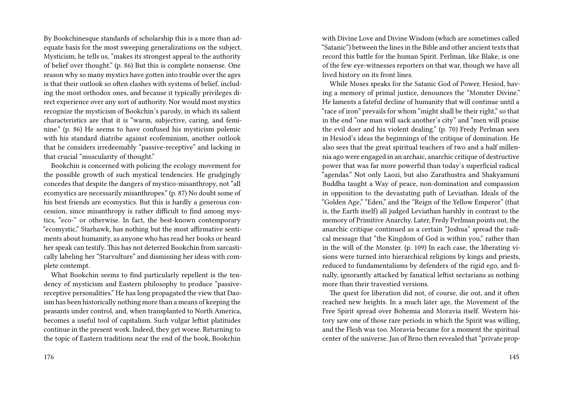By Bookchinesque standards of scholarship this is a more than adequate basis for the most sweeping generalizations on the subject. Mysticism, he tells us, "makes its strongest appeal to the authority of belief over thought." (p. 86) But this is complete nonsense. One reason why so many mystics have gotten into trouble over the ages is that their outlook so often clashes with systems of belief, including the most orthodox ones, and because it typically privileges direct experience over any sort of authority. Nor would most mystics recognize the mysticism of Bookchin's parody, in which its salient characteristics are that it is "warm, subjective, caring, and feminine." (p. 86) He seems to have confused his mysticism polemic with his standard diatribe against ecofeminism, another outlook that he considers irredeemably "passive-receptive" and lacking in that crucial "muscularity of thought."

Bookchin is concerned with policing the ecology movement for the possible growth of such mystical tendencies. He grudgingly concedes that despite the dangers of mystico-misanthropy, not "all ecomystics are necessarily misanthropes." (p. 87) No doubt some of his best friends are ecomystics. But this is hardly a generous concession, since misanthropy is rather difficult to find among mystics, "eco-" or otherwise. In fact, the best-known contemporary "ecomystic," Starhawk, has nothing but the most affirmative sentiments about humanity, as anyone who has read her books or heard her speak can testify. This has not deterred Bookchin from sarcastically labeling her "Starvulture" and dismissing her ideas with complete contempt.

What Bookchin seems to find particularly repellent is the tendency of mysticism and Eastern philosophy to produce "passivereceptive personalities." He has long propagated the view that Daoism has been historically nothing more than a means of keeping the peasants under control, and, when transplanted to North America, becomes a useful tool of capitalism. Such vulgar leftist platitudes continue in the present work. Indeed, they get worse. Returning to the topic of Eastern traditions near the end of the book, Bookchin with Divine Love and Divine Wisdom (which are sometimes called "Satanic") between the lines in the Bible and other ancient texts that record this battle for the human Spirit. Perlman, like Blake, is one of the few eye-witnesses reporters on that war, though we have all lived history on its front lines.

While Moses speaks for the Satanic God of Power, Hesiod, having a memory of primal justice, denounces the "Monster Divine." He laments a fateful decline of humanity that will continue until a "race of iron" prevails for whom "might shall be their right," so that in the end "one man will sack another's city" and "men will praise the evil doer and his violent dealing." (p. 70) Fredy Perlman sees in Hesiod's ideas the beginnings of the critique of domination. He also sees that the great spiritual teachers of two and a half millennia ago were engaged in an archaic, anarchic critique of destructive power that was far more powerful than today's superficial radical "agendas." Not only Laozi, but also Zarathustra and Shakyamuni Buddha taught a Way of peace, non-domination and compassion in opposition to the devastating path of Leviathan. Ideals of the "Golden Age," "Eden," and the "Reign of the Yellow Emperor" (that is, the Earth itself) all judged Leviathan harshly in contrast to the memory of Primitive Anarchy. Later, Fredy Perlman points out, the anarchic critique continued as a certain "Joshua" spread the radical message that "the Kingdom of God is within you," rather than in the will of the Monster. (p. 109) In each case, the liberating visions were turned into hierarchical religions by kings and priests, reduced to fundamentalisms by defenders of the rigid ego, and finally, ignorantly attacked by fanatical leftist sectarians as nothing more than their travestied versions.

The quest for liberation did not, of course, die out, and it often reached new heights. In a much later age, the Movement of the Free Spirit spread over Bohemia and Moravia itself. Western history saw one of those rare periods in which the Spirit was willing, and the Flesh was too. Moravia became for a moment the spiritual center of the universe. Jan of Brno then revealed that "private prop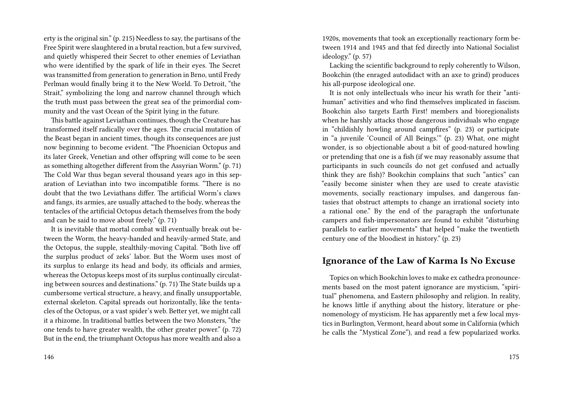erty is the original sin." (p. 215) Needless to say, the partisans of the Free Spirit were slaughtered in a brutal reaction, but a few survived, and quietly whispered their Secret to other enemies of Leviathan who were identified by the spark of life in their eyes. The Secret was transmitted from generation to generation in Brno, until Fredy Perlman would finally bring it to the New World. To Detroit, "the Strait," symbolizing the long and narrow channel through which the truth must pass between the great sea of the primordial community and the vast Ocean of the Spirit lying in the future.

This battle against Leviathan continues, though the Creature has transformed itself radically over the ages. The crucial mutation of the Beast began in ancient times, though its consequences are just now beginning to become evident. "The Phoenician Octopus and its later Greek, Venetian and other offspring will come to be seen as something altogether different from the Assyrian Worm." (p. 71) The Cold War thus began several thousand years ago in this separation of Leviathan into two incompatible forms. "There is no doubt that the two Leviathans differ. The artificial Worm's claws and fangs, its armies, are usually attached to the body, whereas the tentacles of the artificial Octopus detach themselves from the body and can be said to move about freely." (p. 71)

It is inevitable that mortal combat will eventually break out between the Worm, the heavy-handed and heavily-armed State, and the Octopus, the supple, stealthily-moving Capital. "Both live off the surplus product of zeks' labor. But the Worm uses most of its surplus to enlarge its head and body, its officials and armies, whereas the Octopus keeps most of its surplus continually circulating between sources and destinations." (p. 71) The State builds up a cumbersome vertical structure, a heavy, and finally unsupportable, external skeleton. Capital spreads out horizontally, like the tentacles of the Octopus, or a vast spider's web. Better yet, we might call it a rhizome. In traditional battles between the two Monsters, "the one tends to have greater wealth, the other greater power." (p. 72) But in the end, the triumphant Octopus has more wealth and also a

1920s, movements that took an exceptionally reactionary form between 1914 and 1945 and that fed directly into National Socialist ideology." (p. 57)

Lacking the scientific background to reply coherently to Wilson, Bookchin (the enraged autodidact with an axe to grind) produces his all-purpose ideological one.

It is not only intellectuals who incur his wrath for their "antihuman" activities and who find themselves implicated in fascism. Bookchin also targets Earth First! members and bioregionalists when he harshly attacks those dangerous individuals who engage in "childishly howling around campfires" (p. 23) or participate in "a juvenile 'Council of All Beings.'" (p. 23) What, one might wonder, is so objectionable about a bit of good-natured howling or pretending that one is a fish (if we may reasonably assume that participants in such councils do not get confused and actually think they are fish)? Bookchin complains that such "antics" can "easily become sinister when they are used to create atavistic movements, socially reactionary impulses, and dangerous fantasies that obstruct attempts to change an irrational society into a rational one." By the end of the paragraph the unfortunate campers and fish-impersonators are found to exhibit "disturbing parallels to earlier movements" that helped "make the twentieth century one of the bloodiest in history." (p. 23)

# **Ignorance of the Law of Karma Is No Excuse**

Topics on which Bookchin loves to make ex cathedra pronouncements based on the most patent ignorance are mysticism, "spiritual" phenomena, and Eastern philosophy and religion. In reality, he knows little if anything about the history, literature or phenomenology of mysticism. He has apparently met a few local mystics in Burlington, Vermont, heard about some in California (which he calls the "Mystical Zone"), and read a few popularized works.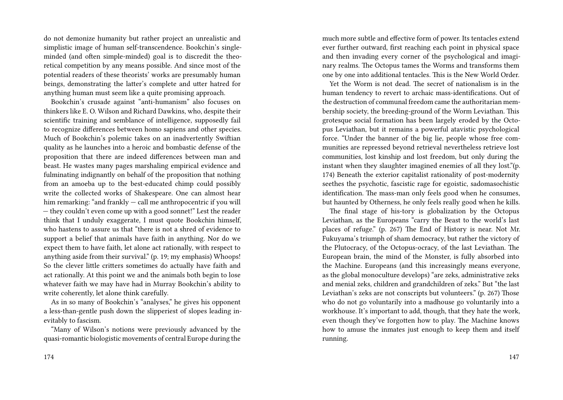do not demonize humanity but rather project an unrealistic and simplistic image of human self-transcendence. Bookchin's singleminded (and often simple-minded) goal is to discredit the theoretical competition by any means possible. And since most of the potential readers of these theorists' works are presumably human beings, demonstrating the latter's complete and utter hatred for anything human must seem like a quite promising approach.

Bookchin's crusade against "anti-humanism" also focuses on thinkers like E. O. Wilson and Richard Dawkins, who, despite their scientific training and semblance of intelligence, supposedly fail to recognize differences between homo sapiens and other species. Much of Bookchin's polemic takes on an inadvertently Swiftian quality as he launches into a heroic and bombastic defense of the proposition that there are indeed differences between man and beast. He wastes many pages marshaling empirical evidence and fulminating indignantly on behalf of the proposition that nothing from an amoeba up to the best-educated chimp could possibly write the collected works of Shakespeare. One can almost hear him remarking: "and frankly — call me anthropocentric if you will — they couldn't even come up with a good sonnet!" Lest the reader think that I unduly exaggerate, I must quote Bookchin himself, who hastens to assure us that "there is not a shred of evidence to support a belief that animals have faith in anything. Nor do we expect them to have faith, let alone act rationally, with respect to anything aside from their survival." (p. 19; my emphasis) Whoops! So the clever little critters sometimes do actually have faith and act rationally. At this point we and the animals both begin to lose whatever faith we may have had in Murray Bookchin's ability to write coherently, let alone think carefully.

As in so many of Bookchin's "analyses," he gives his opponent a less-than-gentle push down the slipperiest of slopes leading inevitably to fascism.

"Many of Wilson's notions were previously advanced by the quasi-romantic biologistic movements of central Europe during the much more subtle and effective form of power. Its tentacles extend ever further outward, first reaching each point in physical space and then invading every corner of the psychological and imaginary realms. The Octopus tames the Worms and transforms them one by one into additional tentacles. This is the New World Order.

Yet the Worm is not dead. The secret of nationalism is in the human tendency to revert to archaic mass-identifications. Out of the destruction of communal freedom came the authoritarian membership society, the breeding-ground of the Worm Leviathan. This grotesque social formation has been largely eroded by the Octopus Leviathan, but it remains a powerful atavistic psychological force. "Under the banner of the big lie, people whose free communities are repressed beyond retrieval nevertheless retrieve lost communities, lost kinship and lost freedom, but only during the instant when they slaughter imagined enemies of all they lost."(p. 174) Beneath the exterior capitalist rationality of post-modernity seethes the psychotic, fascistic rage for egoistic, sadomasochistic identification. The mass-man only feels good when he consumes, but haunted by Otherness, he only feels really good when he kills.

The final stage of his-tory is globalization by the Octopus Leviathan, as the Europeans "carry the Beast to the world's last places of refuge." (p. 267) The End of History is near. Not Mr. Fukuyama's triumph of sham democracy, but rather the victory of the Plutocracy, of the Octopus-ocracy, of the last Leviathan. The European brain, the mind of the Monster, is fully absorbed into the Machine. Europeans (and this increasingly means everyone, as the global monoculture develops) "are zeks, administrative zeks and menial zeks, children and grandchildren of zeks." But "the last Leviathan's zeks are not conscripts but volunteers." (p. 267) Those who do not go voluntarily into a madhouse go voluntarily into a workhouse. It's important to add, though, that they hate the work, even though they've forgotten how to play. The Machine knows how to amuse the inmates just enough to keep them and itself running.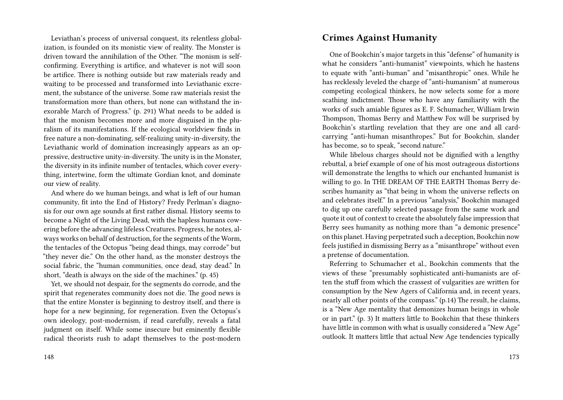Leviathan's process of universal conquest, its relentless globalization, is founded on its monistic view of reality. The Monster is driven toward the annihilation of the Other. "The monism is selfconfirming. Everything is artifice, and whatever is not will soon be artifice. There is nothing outside but raw materials ready and waiting to be processed and transformed into Leviathanic excrement, the substance of the universe. Some raw materials resist the transformation more than others, but none can withstand the inexorable March of Progress." (p. 291) What needs to be added is that the monism becomes more and more disguised in the pluralism of its manifestations. If the ecological worldview finds in free nature a non-dominating, self-realizing unity-in-diversity, the Leviathanic world of domination increasingly appears as an oppressive, destructive unity-in-diversity. The unity is in the Monster, the diversity in its infinite number of tentacles, which cover everything, intertwine, form the ultimate Gordian knot, and dominate our view of reality.

And where do we human beings, and what is left of our human community, fit into the End of History? Fredy Perlman's diagnosis for our own age sounds at first rather dismal. History seems to become a Night of the Living Dead, with the hapless humans cowering before the advancing lifeless Creatures. Progress, he notes, always works on behalf of destruction, for the segments of the Worm, the tentacles of the Octopus "being dead things, may corrode" but "they never die." On the other hand, as the monster destroys the social fabric, the "human communities, once dead, stay dead." In short, "death is always on the side of the machines." (p. 45)

Yet, we should not despair, for the segments do corrode, and the spirit that regenerates community does not die. The good news is that the entire Monster is beginning to destroy itself, and there is hope for a new beginning, for regeneration. Even the Octopus's own ideology, post-modernism, if read carefully, reveals a fatal judgment on itself. While some insecure but eminently flexible radical theorists rush to adapt themselves to the post-modern

### **Crimes Against Humanity**

One of Bookchin's major targets in this "defense" of humanity is what he considers "anti-humanist" viewpoints, which he hastens to equate with "anti-human" and "misanthropic" ones. While he has recklessly leveled the charge of "anti-humanism" at numerous competing ecological thinkers, he now selects some for a more scathing indictment. Those who have any familiarity with the works of such amiable figures as E. F. Schumacher, William Irwin Thompson, Thomas Berry and Matthew Fox will be surprised by Bookchin's startling revelation that they are one and all cardcarrying "anti-human misanthropes." But for Bookchin, slander has become, so to speak, "second nature."

While libelous charges should not be dignified with a lengthy rebuttal, a brief example of one of his most outrageous distortions will demonstrate the lengths to which our enchanted humanist is willing to go. In THE DREAM OF THE EARTH Thomas Berry describes humanity as "that being in whom the universe reflects on and celebrates itself." In a previous "analysis," Bookchin managed to dig up one carefully selected passage from the same work and quote it out of context to create the absolutely false impression that Berry sees humanity as nothing more than "a demonic presence" on this planet. Having perpetrated such a deception, Bookchin now feels justified in dismissing Berry as a "misanthrope" without even a pretense of documentation.

Referring to Schumacher et al., Bookchin comments that the views of these "presumably sophisticated anti-humanists are often the stuff from which the crassest of vulgarities are written for consumption by the New Agers of California and, in recent years, nearly all other points of the compass." (p.14) The result, he claims, is a "New Age mentality that demonizes human beings in whole or in part." (p. 3) It matters little to Bookchin that these thinkers have little in common with what is usually considered a "New Age" outlook. It matters little that actual New Age tendencies typically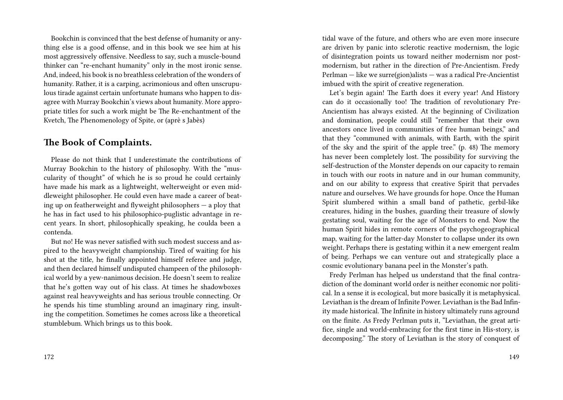Bookchin is convinced that the best defense of humanity or anything else is a good offense, and in this book we see him at his most aggressively offensive. Needless to say, such a muscle-bound thinker can "re-enchant humanity" only in the most ironic sense. And, indeed, his book is no breathless celebration of the wonders of humanity. Rather, it is a carping, acrimonious and often unscrupulous tirade against certain unfortunate humans who happen to disagree with Murray Bookchin's views about humanity. More appropriate titles for such a work might be The Re-enchantment of the Kvetch, The Phenomenology of Spite, or (aprè s Jabès)

### **The Book of Complaints.**

Please do not think that I underestimate the contributions of Murray Bookchin to the history of philosophy. With the "muscularity of thought" of which he is so proud he could certainly have made his mark as a lightweight, welterweight or even middleweight philosopher. He could even have made a career of beating up on featherweight and flyweight philosophers — a ploy that he has in fact used to his philosophico-puglistic advantage in recent years. In short, philosophically speaking, he coulda been a contenda.

But no! He was never satisfied with such modest success and aspired to the heavyweight championship. Tired of waiting for his shot at the title, he finally appointed himself referee and judge, and then declared himself undisputed champeen of the philosophical world by a yew-nanimous decision. He doesn't seem to realize that he's gotten way out of his class. At times he shadowboxes against real heavyweights and has serious trouble connecting. Or he spends his time stumbling around an imaginary ring, insulting the competition. Sometimes he comes across like a theoretical stumblebum. Which brings us to this book.

tidal wave of the future, and others who are even more insecure are driven by panic into sclerotic reactive modernism, the logic of disintegration points us toward neither modernism nor postmodernism, but rather in the direction of Pre-Ancientism. Fredy Perlman — like we surre(gion)alists — was a radical Pre-Ancientist imbued with the spirit of creative regeneration.

Let's begin again! The Earth does it every year! And History can do it occasionally too! The tradition of revolutionary Pre-Ancientism has always existed. At the beginning of Civilization and domination, people could still "remember that their own ancestors once lived in communities of free human beings," and that they "communed with animals, with Earth, with the spirit of the sky and the spirit of the apple tree." (p. 48) The memory has never been completely lost. The possibility for surviving the self-destruction of the Monster depends on our capacity to remain in touch with our roots in nature and in our human community, and on our ability to express that creative Spirit that pervades nature and ourselves. We have grounds for hope. Once the Human Spirit slumbered within a small band of pathetic, gerbil-like creatures, hiding in the bushes, guarding their treasure of slowly gestating soul, waiting for the age of Monsters to end. Now the human Spirit hides in remote corners of the psychogeographical map, waiting for the latter-day Monster to collapse under its own weight. Perhaps there is gestating within it a new emergent realm of being. Perhaps we can venture out and strategically place a cosmic evolutionary banana peel in the Monster's path.

Fredy Perlman has helped us understand that the final contradiction of the dominant world order is neither economic nor political. In a sense it is ecological, but more basically it is metaphysical. Leviathan is the dream of Infinite Power. Leviathan is the Bad Infinity made historical. The Infinite in history ultimately runs aground on the finite. As Fredy Perlman puts it, "Leviathan, the great artifice, single and world-embracing for the first time in His-story, is decomposing." The story of Leviathan is the story of conquest of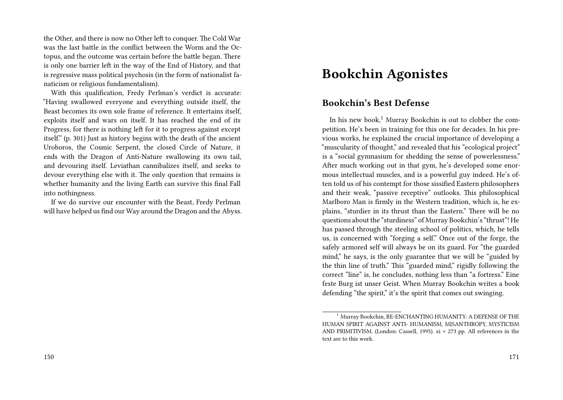the Other, and there is now no Other left to conquer. The Cold War was the last battle in the conflict between the Worm and the Octopus, and the outcome was certain before the battle began. There is only one barrier left in the way of the End of History, and that is regressive mass political psychosis (in the form of nationalist fanaticism or religious fundamentalism).

With this qualification, Fredy Perlman's verdict is accurate: "Having swallowed everyone and everything outside itself, the Beast becomes its own sole frame of reference. It entertains itself, exploits itself and wars on itself. It has reached the end of its Progress, for there is nothing left for it to progress against except itself." (p. 301) Just as history begins with the death of the ancient Uroboros, the Cosmic Serpent, the closed Circle of Nature, it ends with the Dragon of Anti-Nature swallowing its own tail, and devouring itself. Leviathan cannibalizes itself, and seeks to devour everything else with it. The only question that remains is whether humanity and the living Earth can survive this final Fall into nothingness.

If we do survive our encounter with the Beast, Fredy Perlman will have helped us find our Way around the Dragon and the Abyss.

# **Bookchin Agonistes**

### **Bookchin's Best Defense**

In his new book, $1$  Murray Bookchin is out to clobber the competition. He's been in training for this one for decades. In his previous works, he explained the crucial importance of developing a "muscularity of thought," and revealed that his "ecological project" is a "social gymnasium for shedding the sense of powerlessness." After much working out in that gym, he's developed some enormous intellectual muscles, and is a powerful guy indeed. He's often told us of his contempt for those sissified Eastern philosophers and their weak, "passive receptive" outlooks. This philosophical Marlboro Man is firmly in the Western tradition, which is, he explains, "sturdier in its thrust than the Eastern." There will be no questions about the "sturdiness" of Murray Bookchin's "thrust"! He has passed through the steeling school of politics, which, he tells us, is concerned with "forging a self." Once out of the forge, the safely armored self will always be on its guard. For "the guarded mind," he says, is the only guarantee that we will be "guided by the thin line of truth." This "guarded mind," rigidly following the correct "line" is, he concludes, nothing less than "a fortress." Eine feste Burg ist unser Geist. When Murray Bookchin writes a book defending "the spirit," it's the spirit that comes out swinging.

<sup>&</sup>lt;sup>1</sup> Murray Bookchin, RE-ENCHANTING HUMANITY: A DEFENSE OF THE HUMAN SPIRIT AGAINST ANTI- HUMANISM, MISANTHROPY, MYSTICISM AND PRIMITIVISM. (London: Cassell, 1995). xi + 273 pp. All references in the text are to this work.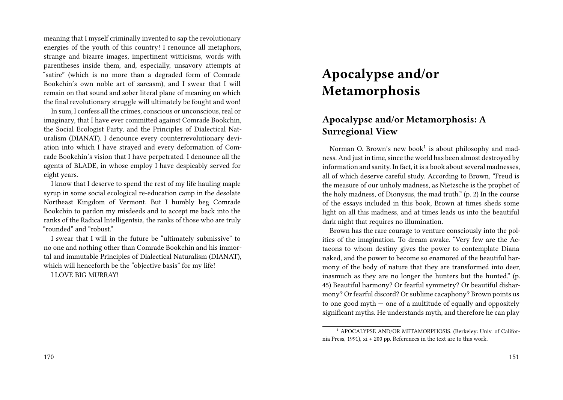meaning that I myself criminally invented to sap the revolutionary energies of the youth of this country! I renounce all metaphors, strange and bizarre images, impertinent witticisms, words with parentheses inside them, and, especially, unsavory attempts at "satire" (which is no more than a degraded form of Comrade Bookchin's own noble art of sarcasm), and I swear that I will remain on that sound and sober literal plane of meaning on which the final revolutionary struggle will ultimately be fought and won!

In sum, I confess all the crimes, conscious or unconscious, real or imaginary, that I have ever committed against Comrade Bookchin, the Social Ecologist Party, and the Principles of Dialectical Naturalism (DIANAT). I denounce every counterrevolutionary deviation into which I have strayed and every deformation of Comrade Bookchin's vision that I have perpetrated. I denounce all the agents of BLADE, in whose employ I have despicably served for eight years.

I know that I deserve to spend the rest of my life hauling maple syrup in some social ecological re-education camp in the desolate Northeast Kingdom of Vermont. But I humbly beg Comrade Bookchin to pardon my misdeeds and to accept me back into the ranks of the Radical Intelligentsia, the ranks of those who are truly "rounded" and "robust."

I swear that I will in the future be "ultimately submissive" to no one and nothing other than Comrade Bookchin and his immortal and immutable Principles of Dialectical Naturalism (DIANAT), which will henceforth be the "objective basis" for my life!

I LOVE BIG MURRAY!

# **Apocalypse and/or Metamorphosis**

# **Apocalypse and/or Metamorphosis: A Surregional View**

Norman O. Brown's new book<sup>1</sup> is about philosophy and madness. And just in time, since the world has been almost destroyed by information and sanity. In fact, it is a book about several madnesses, all of which deserve careful study. According to Brown, "Freud is the measure of our unholy madness, as Nietzsche is the prophet of the holy madness, of Dionysus, the mad truth." (p. 2) In the course of the essays included in this book, Brown at times sheds some light on all this madness, and at times leads us into the beautiful dark night that requires no illumination.

Brown has the rare courage to venture consciously into the politics of the imagination. To dream awake. "Very few are the Actaeons to whom destiny gives the power to contemplate Diana naked, and the power to become so enamored of the beautiful harmony of the body of nature that they are transformed into deer, inasmuch as they are no longer the hunters but the hunted." (p. 45) Beautiful harmony? Or fearful symmetry? Or beautiful disharmony? Or fearful discord? Or sublime cacaphony? Brown points us to one good myth — one of a multitude of equally and oppositely significant myths. He understands myth, and therefore he can play

<sup>1</sup> APOCALYPSE AND/OR METAMORPHOSIS. (Berkeley: Univ. of California Press, 1991), xi + 200 pp. References in the text are to this work.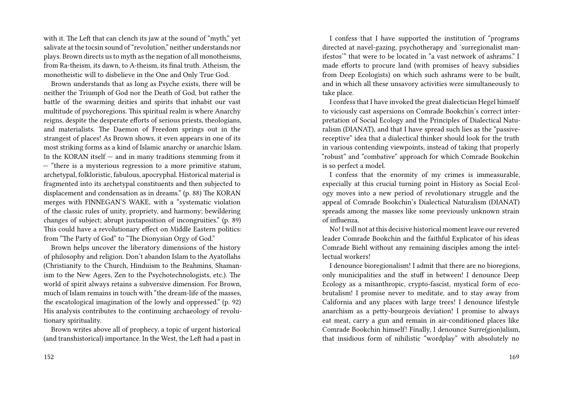with it. The Left that can clench its jaw at the sound of "myth," yet salivate at the tocsin sound of "revolution," neither understands nor plays. Brown directs us to myth as the negation of all monotheisms, from Ra-theism, its dawn, to A-theism, its final truth. Atheism, the monotheistic will to disbelieve in the One and Only True God.

Brown understands that as long as Psyche exists, there will be neither the Triumph of God nor the Death of God, but rather the battle of the swarming deities and spirits that inhabit our vast multitude of psychoregions. This spiritual realm is where Anarchy reigns, despite the desperate efforts of serious priests, theologians, and materialists. The Daemon of Freedom springs out in the strangest of places! As Brown shows, it even appears in one of its most striking forms as a kind of Islamic anarchy or anarchic Islam. In the KORAN itself  $-$  and in many traditions stemming from it — "there is a mysterious regression to a more primitive statum, archetypal, folkloristic, fabulous, apocryphal. Historical material is fragmented into its archetypal constituents and then subjected to displacement and condensation as in dreams." (p. 88) The KORAN merges with FINNEGAN'S WAKE, with a "systematic violation of the classic rules of unity, propriety, and harmony; bewildering changes of subject; abrupt juxtaposition of incongruities." (p. 89) This could have a revolutionary effect on Middle Eastern politics: from "The Party of God" to "The Dionysian Orgy of God."

Brown helps uncover the liberatory dimensions of the history of philosophy and religion. Don't abandon Islam to the Ayatollahs (Christianity to the Church, Hinduism to the Brahmins, Shamanism to the New Agers, Zen to the Psychotechnologists, etc.). The world of spirit always retains a subversive dimension. For Brown, much of Islam remains in touch with "the dream-life of the masses, the escatological imagination of the lowly and oppressed." (p. 92) His analysis contributes to the continuing archaeology of revolutionary spirituality.

Brown writes above all of prophecy, a topic of urgent historical (and transhistorical) importance. In the West, the Left had a past in

I confess that I have supported the institution of "programs directed at navel-gazing, psychotherapy and 'surregionalist manifestos'" that were to be located in "a vast network of ashrams." I made efforts to procure land (with promises of heavy subsidies from Deep Ecologists) on which such ashrams were to be built, and in which all these unsavory activities were simultaneously to take place.

I confess that I have invoked the great dialectician Hegel himself to viciously cast aspersions on Comrade Bookchin's correct interpretation of Social Ecology and the Principles of Dialectical Naturalism (DIANAT), and that I have spread such lies as the "passivereceptive" idea that a dialectical thinker should look for the truth in various contending viewpoints, instead of taking that properly "robust" and "combative" approach for which Comrade Bookchin is so perfect a model.

I confess that the enormity of my crimes is immeasurable, especially at this crucial turning point in History as Social Ecology moves into a new period of revolutionary struggle and the appeal of Comrade Bookchin's Dialectical Naturalism (DIANAT) spreads among the masses like some previously unknown strain of influenza.

No! I will not at this decisive historical moment leave our revered leader Comrade Bookchin and the faithful Explicator of his ideas Comrade Biehl without any remaining disciples among the intellectual workers!

I denounce bioregionalism! I admit that there are no bioregions, only municipalities and the stuff in between! I denounce Deep Ecology as a misanthropic, crypto-fascist, mystical form of ecobrutalism! I promise never to meditate, and to stay away from California and any places with large trees! I denounce lifestyle anarchism as a petty-bourgeois deviation! I promise to always eat meat, carry a gun and remain in air-conditioned places like Comrade Bookchin himself! Finally, I denounce Surre(gion)alism, that insidious form of nihilistic "wordplay" with absolutely no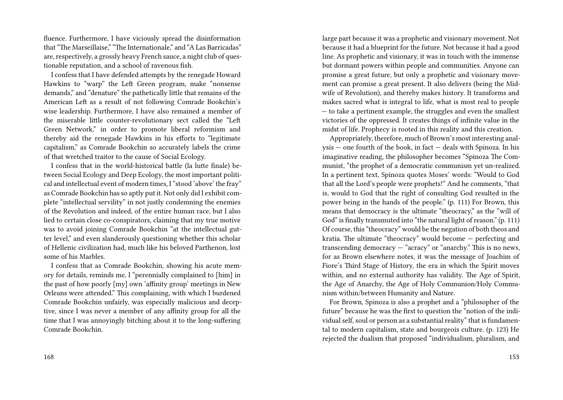fluence. Furthermore, I have viciously spread the disinformation that "The Marseillaise," "The Internationale," and "A Las Barricadas" are, respectively, a grossly heavy French sauce, a night club of questionable reputation, and a school of ravenous fish.

I confess that I have defended attempts by the renegade Howard Hawkins to "warp" the Left Green program, make "nonsense demands," and "denature" the pathetically little that remains of the American Left as a result of not following Comrade Bookchin's wise leadership. Furthermore, I have also remained a member of the miserable little counter-revolutionary sect called the "Left Green Network," in order to promote liberal reformism and thereby aid the renegade Hawkins in his efforts to "legitimate capitalism," as Comrade Bookchin so accurately labels the crime of that wretched traitor to the cause of Social Ecology.

I confess that in the world-historical battle (la lutte finale) between Social Ecology and Deep Ecology, the most important political and intellectual event of modern times, I "stood 'above' the fray" as Comrade Bookchin has so aptly put it. Not only did I exhibit complete "intellectual servility" in not justly condemning the enemies of the Revolution and indeed, of the entire human race, but I also lied to certain close co-conspirators, claiming that my true motive was to avoid joining Comrade Bookchin "at the intellectual gutter level," and even slanderously questioning whether this scholar of Hellenic civilization had, much like his beloved Parthenon, lost some of his Marbles.

I confess that as Comrade Bookchin, showing his acute memory for details, reminds me, I "perennially complained to [him] in the past of how poorly [my] own 'affinity group' meetings in New Orleans were attended." This complaining, with which I burdened Comrade Bookchin unfairly, was especially malicious and deceptive, since I was never a member of any affinity group for all the time that I was annoyingly bitching about it to the long-suffering Comrade Bookchin.

large part because it was a prophetic and visionary movement. Not because it had a blueprint for the future. Not because it had a good line. As prophetic and visionary, it was in touch with the immense but dormant powers within people and communities. Anyone can promise a great future, but only a prophetic and visionary movement can promise a great present. It also delivers (being the Midwife of Revolution), and thereby makes history. It transforms and makes sacred what is integral to life, what is most real to people — to take a pertinent example, the struggles and even the smallest victories of the oppressed. It creates things of infinite value in the midst of life. Prophecy is rooted in this reality and this creation.

Appropriately, therefore, much of Brown's most interesting analysis — one fourth of the book, in fact — deals with Spinoza. In his imaginative reading, the philosopher becomes "Spinoza The Communist, "the prophet of a democratic communism yet un-realized. In a pertinent text, Spinoza quotes Moses' words: "Would to God that all the Lord's people were prophets!" And he comments, "that is, would to God that the right of consulting God resulted in the power being in the hands of the people." (p. 111) For Brown, this means that democracy is the ultimate "theocracy," as the "will of God" is finally transmuted into "the natural light of reason." (p. 111) Of course, this "theocracy" would be the negation of both theos and kratia. The ultimate "theocracy" would become — perfecting and transcending democracy  $-$  "acracy" or "anarchy." This is no news, for as Brown elsewhere notes, it was the message of Joachim of Fiore's Third Stage of History, the era in which the Spirit moves within, and no external authority has validity. The Age of Spirit, the Age of Anarchy, the Age of Holy Communion/Holy Communism within/between Humanity and Nature.

For Brown, Spinoza is also a prophet and a "philosopher of the future" because he was the first to question the "notion of the individual self, soul or person as a substantial reality" that is fundamental to modern capitalism, state and bourgeois culture. (p. 123) He rejected the dualism that proposed "individualism, pluralism, and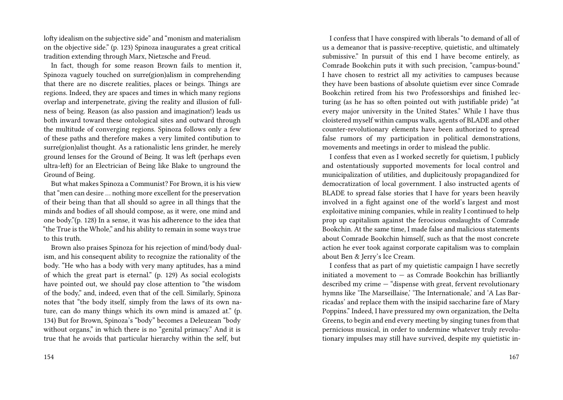lofty idealism on the subjective side" and "monism and materialism on the objective side." (p. 123) Spinoza inaugurates a great critical tradition extending through Marx, Nietzsche and Freud.

In fact, though for some reason Brown fails to mention it, Spinoza vaguely touched on surre(gion)alism in comprehending that there are no discrete realities, places or beings. Things are regions. Indeed, they are spaces and times in which many regions overlap and interpenetrate, giving the reality and illusion of fullness of being. Reason (as also passion and imagination!) leads us both inward toward these ontological sites and outward through the multitude of converging regions. Spinoza follows only a few of these paths and therefore makes a very limited contibution to surre(gion)alist thought. As a rationalistic lens grinder, he merely ground lenses for the Ground of Being. It was left (perhaps even ultra-left) for an Electrician of Being like Blake to unground the Ground of Being.

But what makes Spinoza a Communist? For Brown, it is his view that "men can desire … nothing more excellent for the preservation of their being than that all should so agree in all things that the minds and bodies of all should compose, as it were, one mind and one body."(p. 128) In a sense, it was his adherence to the idea that "the True is the Whole," and his ability to remain in some ways true to this truth.

Brown also praises Spinoza for his rejection of mind/body dualism, and his consequent ability to recognize the rationality of the body. "He who has a body with very many aptitudes, has a mind of which the great part is eternal." (p. 129) As social ecologists have pointed out, we should pay close attention to "the wisdom of the body," and, indeed, even that of the cell. Similarly, Spinoza notes that "the body itself, simply from the laws of its own nature, can do many things which its own mind is amazed at." (p. 134) But for Brown, Spinoza's "body" becomes a Deleuzean "body without organs," in which there is no "genital primacy." And it is true that he avoids that particular hierarchy within the self, but

I confess that I have conspired with liberals "to demand of all of us a demeanor that is passive-receptive, quietistic, and ultimately submissive." In pursuit of this end I have become entirely, as Comrade Bookchin puts it with such precision, "campus-bound." I have chosen to restrict all my activities to campuses because they have been bastions of absolute quietism ever since Comrade Bookchin retired from his two Professorships and finished lecturing (as he has so often pointed out with justifiable pride) "at every major university in the United States." While I have thus cloistered myself within campus walls, agents of BLADE and other counter-revolutionary elements have been authorized to spread false rumors of my participation in political demonstrations, movements and meetings in order to mislead the public.

I confess that even as I worked secretly for quietism, I publicly and ostentatiously supported movements for local control and municipalization of utilities, and duplicitously propagandized for democratization of local government. I also instructed agents of BLADE to spread false stories that I have for years been heavily involved in a fight against one of the world's largest and most exploitative mining companies, while in reality I continued to help prop up capitalism against the ferocious onslaughts of Comrade Bookchin. At the same time, I made false and malicious statements about Comrade Bookchin himself, such as that the most concrete action he ever took against corporate capitalism was to complain about Ben & Jerry's Ice Cream.

I confess that as part of my quietistic campaign I have secretly initiated a movement to  $-$  as Comrade Bookchin has brilliantly described my crime — "dispense with great, fervent revolutionary hymns like 'The Marseillaise,' 'The Internationale,' and 'A Las Barricadas' and replace them with the insipid saccharine fare of Mary Poppins." Indeed, I have pressured my own organization, the Delta Greens, to begin and end every meeting by singing tunes from that pernicious musical, in order to undermine whatever truly revolutionary impulses may still have survived, despite my quietistic in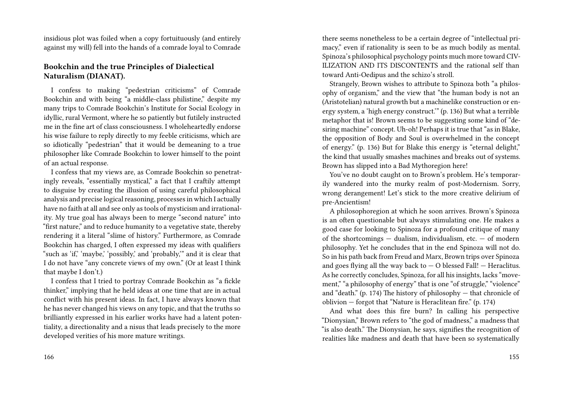insidious plot was foiled when a copy fortuituously (and entirely against my will) fell into the hands of a comrade loyal to Comrade

### **Bookchin and the true Principles of Dialectical Naturalism (DIANAT).**

I confess to making "pedestrian criticisms" of Comrade Bookchin and with being "a middle-class philistine," despite my many trips to Comrade Bookchin's Institute for Social Ecology in idyllic, rural Vermont, where he so patiently but futilely instructed me in the fine art of class consciousness. I wholeheartedly endorse his wise failure to reply directly to my feeble criticisms, which are so idiotically "pedestrian" that it would be demeaning to a true philosopher like Comrade Bookchin to lower himself to the point of an actual response.

I confess that my views are, as Comrade Bookchin so penetratingly reveals, "essentially mystical," a fact that I craftily attempt to disguise by creating the illusion of using careful philosophical analysis and precise logical reasoning, processes in which I actually have no faith at all and see only as tools of mysticism and irrationality. My true goal has always been to merge "second nature" into "first nature," and to reduce humanity to a vegetative state, thereby rendering it a literal "slime of history." Furthermore, as Comrade Bookchin has charged, I often expressed my ideas with qualifiers "such as 'if,' 'maybe,' 'possibly,' and 'probably,'" and it is clear that I do not have "any concrete views of my own." (Or at least I think that maybe I don't.)

I confess that I tried to portray Comrade Bookchin as "a fickle thinker," implying that he held ideas at one time that are in actual conflict with his present ideas. In fact, I have always known that he has never changed his views on any topic, and that the truths so brilliantly expressed in his earlier works have had a latent potentiality, a directionality and a nisus that leads precisely to the more developed verities of his more mature writings.

166

there seems nonetheless to be a certain degree of "intellectual primacy," even if rationality is seen to be as much bodily as mental. Spinoza's philosophical psychology points much more toward CIV-ILIZATION AND ITS DISCONTENTS and the rational self than toward Anti-Oedipus and the schizo's stroll.

Strangely, Brown wishes to attribute to Spinoza both "a philosophy of organism," and the view that "the human body is not an (Aristotelian) natural growth but a machinelike construction or energy system, a 'high energy construct.'" (p. 136) But what a terrible metaphor that is! Brown seems to be suggesting some kind of "desiring machine" concept. Uh-oh! Perhaps it is true that "as in Blake, the opposition of Body and Soul is overwhelmed in the concept of energy." (p. 136) But for Blake this energy is "eternal delight," the kind that usually smashes machines and breaks out of systems. Brown has slipped into a Bad Mythoregion here!

You've no doubt caught on to Brown's problem. He's temporarily wandered into the murky realm of post-Modernism. Sorry, wrong derangement! Let's stick to the more creative delirium of pre-Ancientism!

A philosophoregion at which he soon arrives. Brown's Spinoza is an often questionable but always stimulating one. He makes a good case for looking to Spinoza for a profound critique of many of the shortcomings  $-$  dualism, individualism, etc.  $-$  of modern philosophy. Yet he concludes that in the end Spinoza will not do. So in his path back from Freud and Marx, Brown trips over Spinoza and goes flying all the way back to  $-$  O blessed Fall!  $-$  Heraclitus. As he correctly concludes, Spinoza, for all his insights, lacks "movement," "a philosophy of energy" that is one "of struggle," "violence" and "death." (p. 174) The history of philosophy  $-$  that chronicle of oblivion — forgot that "Nature is Heraclitean fire." (p. 174)

And what does this fire burn? In calling his perspective "Dionysian," Brown refers to "the god of madness," a madness that "is also death." The Dionysian, he says, signifies the recognition of realities like madness and death that have been so systematically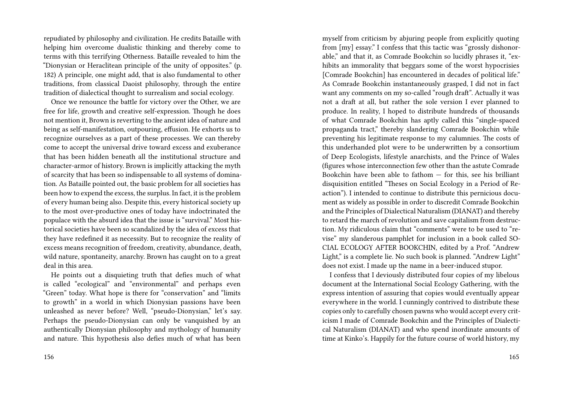repudiated by philosophy and civilization. He credits Bataille with helping him overcome dualistic thinking and thereby come to terms with this terrifying Otherness. Bataille revealed to him the "Dionysian or Heraclitean principle of the unity of opposites." (p. 182) A principle, one might add, that is also fundamental to other traditions, from classical Daoist philosophy, through the entire tradition of dialectical thought to surrealism and social ecology.

Once we renounce the battle for victory over the Other, we are free for life, growth and creative self-expression. Though he does not mention it, Brown is reverting to the ancient idea of nature and being as self-manifestation, outpouring, effusion. He exhorts us to recognize ourselves as a part of these processes. We can thereby come to accept the universal drive toward excess and exuberance that has been hidden beneath all the institutional structure and character-armor of history. Brown is implicitly attacking the myth of scarcity that has been so indispensable to all systems of domination. As Bataille pointed out, the basic problem for all societies has been how to expend the excess, the surplus. In fact, it is the problem of every human being also. Despite this, every historical society up to the most over-productive ones of today have indoctrinated the populace with the absurd idea that the issue is "survival." Most historical societies have been so scandalized by the idea of excess that they have redefined it as necessity. But to recognize the reality of excess means recognition of freedom, creativity, abundance, death, wild nature, spontaneity, anarchy. Brown has caught on to a great deal in this area.

He points out a disquieting truth that defies much of what is called "ecological" and "environmental" and perhaps even "Green" today. What hope is there for "conservation" and "limits to growth" in a world in which Dionysian passions have been unleashed as never before? Well, "pseudo-Dionysian," let's say. Perhaps the pseudo-Dionysian can only be vanquished by an authentically Dionysian philosophy and mythology of humanity and nature. This hypothesis also defies much of what has been myself from criticism by abjuring people from explicitly quoting from [my] essay." I confess that this tactic was "grossly dishonorable," and that it, as Comrade Bookchin so lucidly phrases it, "exhibits an immorality that beggars some of the worst hypocrisies [Comrade Bookchin] has encountered in decades of political life." As Comrade Bookchin instantaneously grasped, I did not in fact want any comments on my so-called "rough draft". Actually it was not a draft at all, but rather the sole version I ever planned to produce. In reality, I hoped to distribute hundreds of thousands of what Comrade Bookchin has aptly called this "single-spaced propaganda tract," thereby slandering Comrade Bookchin while preventing his legitimate response to my calumnies. The costs of this underhanded plot were to be underwritten by a consortium of Deep Ecologists, lifestyle anarchists, and the Prince of Wales (figures whose interconnection few other than the astute Comrade Bookchin have been able to fathom  $-$  for this, see his brilliant disquisition entitled "Theses on Social Ecology in a Period of Reaction"). I intended to continue to distribute this pernicious document as widely as possible in order to discredit Comrade Bookchin and the Principles of Dialectical Naturalism (DIANAT) and thereby to retard the march of revolution and save capitalism from destruction. My ridiculous claim that "comments" were to be used to "revise" my slanderous pamphlet for inclusion in a book called SO-CIAL ECOLOGY AFTER BOOKCHIN, edited by a Prof. "Andrew Light," is a complete lie. No such book is planned. "Andrew Light" does not exist. I made up the name in a beer-induced stupor.

I confess that I deviously distributed four copies of my libelous document at the International Social Ecology Gathering, with the express intention of assuring that copies would eventually appear everywhere in the world. I cunningly contrived to distribute these copies only to carefully chosen pawns who would accept every criticism I made of Comrade Bookchin and the Principles of Dialectical Naturalism (DIANAT) and who spend inordinate amounts of time at Kinko's. Happily for the future course of world history, my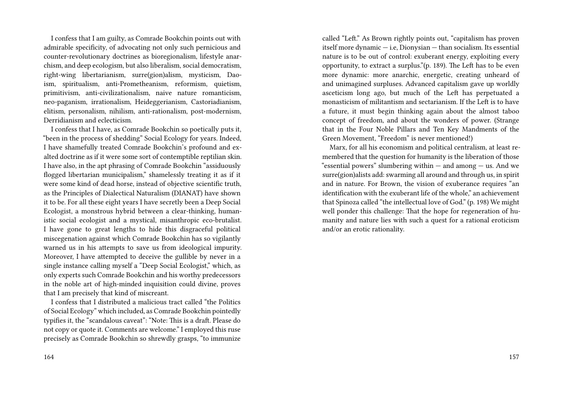I confess that I am guilty, as Comrade Bookchin points out with admirable specificity, of advocating not only such pernicious and counter-revolutionary doctrines as bioregionalism, lifestyle anarchism, and deep ecologism, but also liberalism, social democratism, right-wing libertarianism, surre(gion)alism, mysticism, Daoism, spiritualism, anti-Prometheanism, reformism, quietism, primitivism, anti-civilizationalism, naive nature romanticism, neo-paganism, irrationalism, Heideggerianism, Castoriadianism, elitism, personalism, nihilism, anti-rationalism, post-modernism, Derridianism and eclecticism.

I confess that I have, as Comrade Bookchin so poetically puts it, "been in the process of shedding" Social Ecology for years. Indeed, I have shamefully treated Comrade Bookchin's profound and exalted doctrine as if it were some sort of contemptible reptilian skin. I have also, in the apt phrasing of Comrade Bookchin "assiduously flogged libertarian municipalism," shamelessly treating it as if it were some kind of dead horse, instead of objective scientific truth, as the Principles of Dialectical Naturalism (DIANAT) have shown it to be. For all these eight years I have secretly been a Deep Social Ecologist, a monstrous hybrid between a clear-thinking, humanistic social ecologist and a mystical, misanthropic eco-brutalist. I have gone to great lengths to hide this disgraceful political miscegenation against which Comrade Bookchin has so vigilantly warned us in his attempts to save us from ideological impurity. Moreover, I have attempted to deceive the gullible by never in a single instance calling myself a "Deep Social Ecologist," which, as only experts such Comrade Bookchin and his worthy predecessors in the noble art of high-minded inquisition could divine, proves that I am precisely that kind of miscreant.

I confess that I distributed a malicious tract called "the Politics of Social Ecology" which included, as Comrade Bookchin pointedly typifies it, the "scandalous caveat": "Note: This is a draft. Please do not copy or quote it. Comments are welcome." I employed this ruse precisely as Comrade Bookchin so shrewdly grasps, "to immunize called "Left." As Brown rightly points out, "capitalism has proven itself more dynamic — i.e, Dionysian — than socialism. Its essential nature is to be out of control: exuberant energy, exploiting every opportunity, to extract a surplus."(p. 189). The Left has to be even more dynamic: more anarchic, energetic, creating unheard of and unimagined surpluses. Advanced capitalism gave up worldly asceticism long ago, but much of the Left has perpetuated a monasticism of militantism and sectarianism. If the Left is to have a future, it must begin thinking again about the almost taboo concept of freedom, and about the wonders of power. (Strange that in the Four Noble Pillars and Ten Key Mandments of the Green Movement, "Freedom" is never mentioned!)

Marx, for all his economism and political centralism, at least remembered that the question for humanity is the liberation of those "essential powers" slumbering within — and among — us. And we surre(gion)alists add: swarming all around and through us, in spirit and in nature. For Brown, the vision of exuberance requires "an identification with the exuberant life of the whole," an achievement that Spinoza called "the intellectual love of God." (p. 198) We might well ponder this challenge: That the hope for regeneration of humanity and nature lies with such a quest for a rational eroticism and/or an erotic rationality.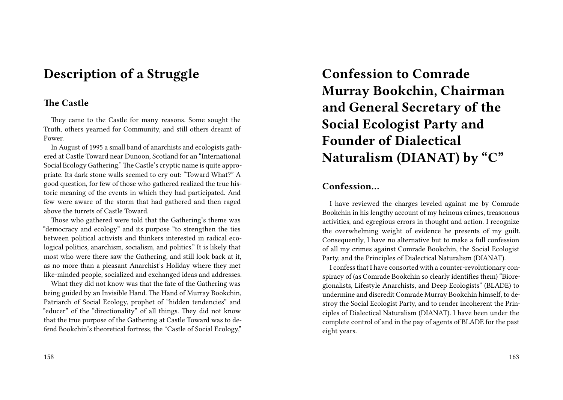# **Description of a Struggle**

# **The Castle**

They came to the Castle for many reasons. Some sought the Truth, others yearned for Community, and still others dreamt of Power.

In August of 1995 a small band of anarchists and ecologists gathered at Castle Toward near Dunoon, Scotland for an "International Social Ecology Gathering." The Castle's cryptic name is quite appropriate. Its dark stone walls seemed to cry out: "Toward What?" A good question, for few of those who gathered realized the true historic meaning of the events in which they had participated. And few were aware of the storm that had gathered and then raged above the turrets of Castle Toward.

Those who gathered were told that the Gathering's theme was "democracy and ecology" and its purpose "to strengthen the ties between political activists and thinkers interested in radical ecological politics, anarchism, socialism, and politics." It is likely that most who were there saw the Gathering, and still look back at it, as no more than a pleasant Anarchist's Holiday where they met like-minded people, socialized and exchanged ideas and addresses.

What they did not know was that the fate of the Gathering was being guided by an Invisible Hand. The Hand of Murray Bookchin, Patriarch of Social Ecology, prophet of "hidden tendencies" and "educer" of the "directionality" of all things. They did not know that the true purpose of the Gathering at Castle Toward was to defend Bookchin's theoretical fortress, the "Castle of Social Ecology,"

158

**Confession to Comrade Murray Bookchin, Chairman and General Secretary of the Social Ecologist Party and Founder of Dialectical Naturalism (DIANAT) by "C"**

## **Confession…**

I have reviewed the charges leveled against me by Comrade Bookchin in his lengthy account of my heinous crimes, treasonous activities, and egregious errors in thought and action. I recognize the overwhelming weight of evidence he presents of my guilt. Consequently, I have no alternative but to make a full confession of all my crimes against Comrade Bookchin, the Social Ecologist Party, and the Principles of Dialectical Naturalism (DIANAT).

I confess that I have consorted with a counter-revolutionary conspiracy of (as Comrade Bookchin so clearly identifies them) "Bioregionalists, Lifestyle Anarchists, and Deep Ecologists" (BLADE) to undermine and discredit Comrade Murray Bookchin himself, to destroy the Social Ecologist Party, and to render incoherent the Principles of Dialectical Naturalism (DIANAT). I have been under the complete control of and in the pay of agents of BLADE for the past eight years.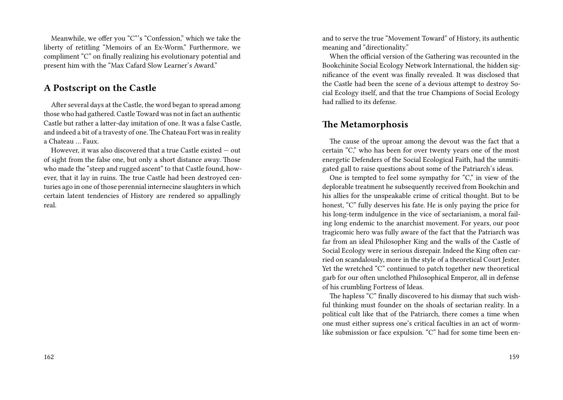Meanwhile, we offer you "C"'s "Confession," which we take the liberty of retitling "Memoirs of an Ex-Worm." Furthermore, we compliment "C" on finally realizing his evolutionary potential and present him with the "Max Cafard Slow Learner's Award."

### **A Postscript on the Castle**

After several days at the Castle, the word began to spread among those who had gathered. Castle Toward was not in fact an authentic Castle but rather a latter-day imitation of one. It was a false Castle, and indeed a bit of a travesty of one. The Chateau Fort was in reality a Chateau … Faux.

However, it was also discovered that a true Castle existed — out of sight from the false one, but only a short distance away. Those who made the "steep and rugged ascent" to that Castle found, however, that it lay in ruins. The true Castle had been destroyed centuries ago in one of those perennial internecine slaughters in which certain latent tendencies of History are rendered so appallingly real.

and to serve the true "Movement Toward" of History, its authentic meaning and "directionality."

When the official version of the Gathering was recounted in the Bookchinite Social Ecology Network International, the hidden significance of the event was finally revealed. It was disclosed that the Castle had been the scene of a devious attempt to destroy Social Ecology itself, and that the true Champions of Social Ecology had rallied to its defense.

### **The Metamorphosis**

The cause of the uproar among the devout was the fact that a certain "C," who has been for over twenty years one of the most energetic Defenders of the Social Ecological Faith, had the unmitigated gall to raise questions about some of the Patriarch's ideas.

One is tempted to feel some sympathy for "C," in view of the deplorable treatment he subsequently received from Bookchin and his allies for the unspeakable crime of critical thought. But to be honest, "C" fully deserves his fate. He is only paying the price for his long-term indulgence in the vice of sectarianism, a moral failing long endemic to the anarchist movement. For years, our poor tragicomic hero was fully aware of the fact that the Patriarch was far from an ideal Philosopher King and the walls of the Castle of Social Ecology were in serious disrepair. Indeed the King often carried on scandalously, more in the style of a theoretical Court Jester. Yet the wretched "C" continued to patch together new theoretical garb for our often unclothed Philosophical Emperor, all in defense of his crumbling Fortress of Ideas.

The hapless "C" finally discovered to his dismay that such wishful thinking must founder on the shoals of sectarian reality. In a political cult like that of the Patriarch, there comes a time when one must either supress one's critical faculties in an act of wormlike submission or face expulsion. "C" had for some time been en